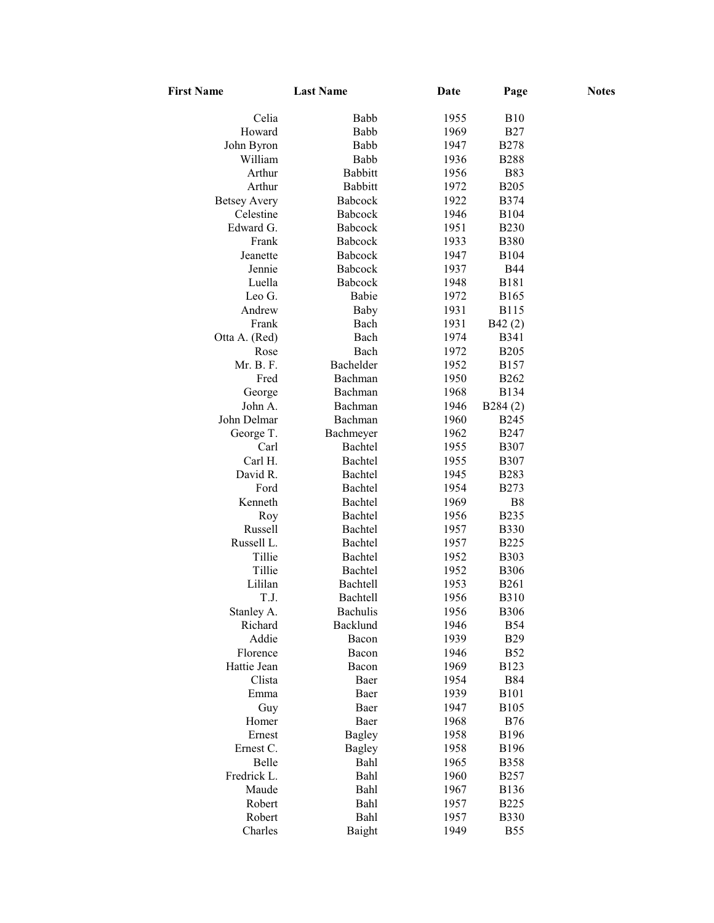| <b>First Name</b>   | <b>Last Name</b> | Date | Page         | <b>Notes</b> |
|---------------------|------------------|------|--------------|--------------|
| Celia               | Babb             | 1955 | <b>B10</b>   |              |
| Howard              | Babb             | 1969 | <b>B27</b>   |              |
| John Byron          | Babb             | 1947 | <b>B278</b>  |              |
| William             | Babb             | 1936 | <b>B288</b>  |              |
| Arthur              | <b>Babbitt</b>   | 1956 | <b>B83</b>   |              |
| Arthur              | <b>Babbitt</b>   | 1972 | <b>B205</b>  |              |
| <b>Betsey Avery</b> | <b>Babcock</b>   | 1922 | <b>B374</b>  |              |
| Celestine           | <b>Babcock</b>   | 1946 | <b>B104</b>  |              |
| Edward G.           | Babcock          | 1951 | <b>B230</b>  |              |
| Frank               | <b>Babcock</b>   | 1933 | <b>B380</b>  |              |
| Jeanette            | Babcock          | 1947 | <b>B104</b>  |              |
| Jennie              | <b>Babcock</b>   | 1937 | <b>B44</b>   |              |
| Luella              | Babcock          | 1948 | <b>B181</b>  |              |
| Leo G.              | Babie            | 1972 | <b>B165</b>  |              |
| Andrew              | Baby             | 1931 | <b>B115</b>  |              |
| Frank               | Bach             | 1931 | B42(2)       |              |
| Otta A. (Red)       | Bach             | 1974 | B341         |              |
| Rose                | Bach             | 1972 | <b>B205</b>  |              |
| Mr. B. F.           | Bachelder        | 1952 | B157         |              |
| Fred                | Bachman          | 1950 | <b>B262</b>  |              |
| George              | Bachman          | 1968 | <b>B134</b>  |              |
| John A.             | Bachman          | 1946 | B284(2)      |              |
| John Delmar         | Bachman          | 1960 | <b>B245</b>  |              |
| George T.           | Bachmeyer        | 1962 | <b>B247</b>  |              |
| Carl                | Bachtel          | 1955 | <b>B307</b>  |              |
| Carl H.             | Bachtel          | 1955 | <b>B307</b>  |              |
| David R.            | Bachtel          | 1945 | <b>B283</b>  |              |
| Ford                | Bachtel          | 1954 | <b>B273</b>  |              |
| Kenneth             | Bachtel          | 1969 | B8           |              |
| Roy                 | Bachtel          | 1956 | <b>B235</b>  |              |
| Russell             | Bachtel          | 1957 | <b>B330</b>  |              |
| Russell L.          | Bachtel          | 1957 | <b>B225</b>  |              |
| Tillie              | Bachtel          | 1952 | <b>B</b> 303 |              |
| Tillie              | Bachtel          | 1952 | <b>B306</b>  |              |
| Lililan             | Bachtell         | 1953 | <b>B261</b>  |              |
| T.J.                | <b>Bachtell</b>  | 1956 | <b>B310</b>  |              |
| Stanley A.          | Bachulis         | 1956 | <b>B306</b>  |              |
| Richard             | Backlund         | 1946 | <b>B54</b>   |              |
| Addie               | Bacon            | 1939 | <b>B29</b>   |              |
| Florence            | Bacon            | 1946 | <b>B52</b>   |              |
| Hattie Jean         | Bacon            | 1969 | <b>B123</b>  |              |
| Clista              | Baer             | 1954 | <b>B84</b>   |              |
| Emma                | Baer             | 1939 | <b>B101</b>  |              |
| Guy                 | Baer             | 1947 | <b>B105</b>  |              |
| Homer               | Baer             | 1968 | <b>B76</b>   |              |
| Ernest              | <b>Bagley</b>    | 1958 | <b>B196</b>  |              |
| Ernest C.           | <b>Bagley</b>    | 1958 | <b>B196</b>  |              |
| Belle               | Bahl             | 1965 | <b>B358</b>  |              |
| Fredrick L.         | Bahl             | 1960 | <b>B257</b>  |              |
| Maude               | Bahl             | 1967 | <b>B</b> 136 |              |
| Robert              | Bahl             | 1957 | <b>B225</b>  |              |
| Robert              | Bahl             | 1957 | <b>B330</b>  |              |
| Charles             | Baight           | 1949 | <b>B55</b>   |              |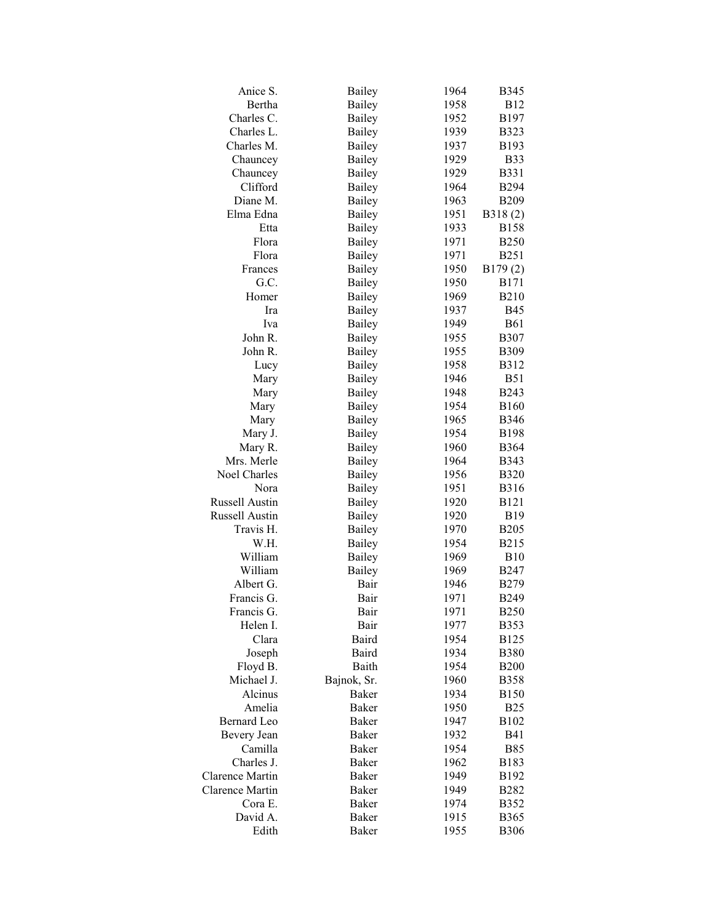| Anice S.        | Bailey        | 1964 | <b>B345</b>  |
|-----------------|---------------|------|--------------|
| Bertha          | <b>Bailey</b> | 1958 | <b>B12</b>   |
| Charles C.      | <b>Bailey</b> | 1952 | B197         |
| Charles L.      | <b>Bailey</b> | 1939 | <b>B323</b>  |
| Charles M.      | <b>Bailey</b> | 1937 | B193         |
| Chauncey        | <b>Bailey</b> | 1929 | <b>B33</b>   |
| Chauncey        | <b>Bailey</b> | 1929 | <b>B331</b>  |
| Clifford        | <b>Bailey</b> | 1964 | <b>B294</b>  |
| Diane M.        | Bailey        | 1963 | <b>B209</b>  |
| Elma Edna       | <b>Bailey</b> | 1951 | B318(2)      |
| Etta            | <b>Bailey</b> | 1933 | <b>B158</b>  |
| Flora           | <b>Bailey</b> | 1971 | <b>B250</b>  |
| Flora           | <b>Bailey</b> | 1971 | <b>B251</b>  |
| Frances         | <b>Bailey</b> | 1950 | B179(2)      |
| G.C.            | <b>Bailey</b> | 1950 | <b>B171</b>  |
| Homer           | <b>Bailey</b> | 1969 | <b>B210</b>  |
| Ira             | <b>Bailey</b> | 1937 | <b>B45</b>   |
| Iva             | Bailey        | 1949 | <b>B61</b>   |
| John R.         | <b>Bailey</b> | 1955 | <b>B307</b>  |
| John R.         | <b>Bailey</b> | 1955 | <b>B309</b>  |
| Lucy            | <b>Bailey</b> | 1958 | <b>B312</b>  |
| Mary            | <b>Bailey</b> | 1946 | <b>B51</b>   |
| Mary            | Bailey        | 1948 | <b>B243</b>  |
| Mary            | Bailey        | 1954 | <b>B160</b>  |
| Mary            | Bailey        | 1965 | <b>B346</b>  |
| Mary J.         | Bailey        | 1954 | <b>B198</b>  |
| Mary R.         | Bailey        | 1960 | <b>B364</b>  |
| Mrs. Merle      | Bailey        | 1964 | <b>B</b> 343 |
| Noel Charles    | <b>Bailey</b> | 1956 | <b>B320</b>  |
| Nora            | <b>Bailey</b> | 1951 | <b>B316</b>  |
| Russell Austin  | <b>Bailey</b> | 1920 | <b>B121</b>  |
| Russell Austin  | <b>Bailey</b> | 1920 | <b>B19</b>   |
| Travis H.       | <b>Bailey</b> | 1970 | <b>B205</b>  |
| W.H.            | <b>Bailey</b> | 1954 | <b>B215</b>  |
| William         | <b>Bailey</b> | 1969 | <b>B10</b>   |
| William         | <b>Bailey</b> | 1969 | <b>B247</b>  |
| Albert G.       | Bair          | 1946 | <b>B279</b>  |
| Francis G.      | Bair          | 1971 | <b>B249</b>  |
| Francis G.      | Bair          | 1971 | <b>B250</b>  |
| Helen I.        | Bair          | 1977 | <b>B353</b>  |
| Clara           | Baird         | 1954 | <b>B125</b>  |
| Joseph          | Baird         | 1934 | <b>B380</b>  |
| Floyd B.        | Baith         | 1954 | <b>B200</b>  |
| Michael J.      | Bajnok, Sr.   | 1960 | <b>B358</b>  |
| Alcinus         | Baker         | 1934 | <b>B150</b>  |
| Amelia          | Baker         | 1950 | <b>B25</b>   |
| Bernard Leo     | Baker         | 1947 | B102         |
| Bevery Jean     | <b>Baker</b>  | 1932 | <b>B41</b>   |
| Camilla         | Baker         | 1954 | <b>B85</b>   |
| Charles J.      | Baker         | 1962 | B183         |
| Clarence Martin | Baker         | 1949 | B192         |
| Clarence Martin | Baker         | 1949 | <b>B282</b>  |
| Cora E.         | <b>Baker</b>  | 1974 | <b>B352</b>  |
| David A.        | <b>Baker</b>  | 1915 | <b>B365</b>  |
| Edith           | <b>Baker</b>  | 1955 | <b>B306</b>  |
|                 |               |      |              |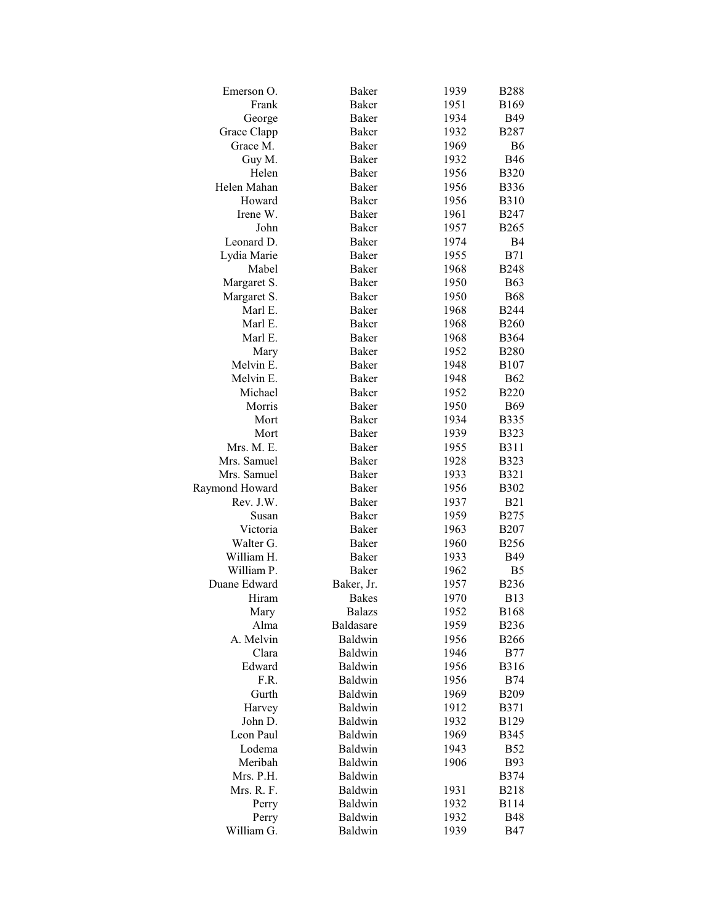| Emerson O.     | <b>Baker</b>  | 1939 | <b>B288</b>    |
|----------------|---------------|------|----------------|
| Frank          | Baker         | 1951 | <b>B169</b>    |
| George         | Baker         | 1934 | <b>B49</b>     |
| Grace Clapp    | Baker         | 1932 | <b>B287</b>    |
| Grace M.       | <b>Baker</b>  | 1969 | B <sub>6</sub> |
| Guy M.         | <b>Baker</b>  | 1932 | <b>B46</b>     |
| Helen          | <b>Baker</b>  | 1956 | <b>B320</b>    |
| Helen Mahan    | Baker         | 1956 | <b>B336</b>    |
| Howard         | Baker         | 1956 | <b>B310</b>    |
| Irene W.       | <b>Baker</b>  | 1961 | <b>B247</b>    |
| John           | <b>Baker</b>  | 1957 | <b>B265</b>    |
| Leonard D.     | <b>Baker</b>  | 1974 | B4             |
| Lydia Marie    | <b>Baker</b>  | 1955 | <b>B71</b>     |
| Mabel          | <b>Baker</b>  | 1968 | <b>B248</b>    |
| Margaret S.    | Baker         | 1950 | <b>B63</b>     |
| Margaret S.    | <b>Baker</b>  | 1950 | <b>B68</b>     |
| Marl E.        | Baker         | 1968 | <b>B244</b>    |
| Marl E.        | <b>Baker</b>  | 1968 | <b>B260</b>    |
| Marl E.        | <b>Baker</b>  | 1968 | <b>B364</b>    |
|                | Baker         |      |                |
| Mary           |               | 1952 | <b>B280</b>    |
| Melvin E.      | Baker         | 1948 | <b>B107</b>    |
| Melvin E.      | Baker         | 1948 | <b>B62</b>     |
| Michael        | <b>Baker</b>  | 1952 | <b>B220</b>    |
| Morris         | <b>Baker</b>  | 1950 | <b>B69</b>     |
| Mort           | <b>Baker</b>  | 1934 | <b>B335</b>    |
| Mort           | Baker         | 1939 | <b>B323</b>    |
| Mrs. M. E.     | Baker         | 1955 | <b>B311</b>    |
| Mrs. Samuel    | Baker         | 1928 | <b>B323</b>    |
| Mrs. Samuel    | Baker         | 1933 | <b>B321</b>    |
| Raymond Howard | Baker         | 1956 | <b>B302</b>    |
| Rev. J.W.      | <b>Baker</b>  | 1937 | <b>B21</b>     |
| Susan          | Baker         | 1959 | <b>B275</b>    |
| Victoria       | Baker         | 1963 | <b>B207</b>    |
| Walter G.      | <b>Baker</b>  | 1960 | <b>B256</b>    |
| William H.     | Baker         | 1933 | <b>B49</b>     |
| William P.     | <b>Baker</b>  | 1962 | B <sub>5</sub> |
| Duane Edward   | Baker, Jr.    | 1957 | <b>B236</b>    |
| Hiram          | <b>Bakes</b>  | 1970 | <b>B13</b>     |
| Mary           | <b>Balazs</b> | 1952 | <b>B168</b>    |
| Alma           | Baldasare     | 1959 | <b>B236</b>    |
| A. Melvin      | Baldwin       | 1956 | <b>B266</b>    |
| Clara          | Baldwin       | 1946 | <b>B77</b>     |
| Edward         | Baldwin       | 1956 | <b>B316</b>    |
| F.R.           | Baldwin       | 1956 | <b>B74</b>     |
| Gurth          | Baldwin       | 1969 | <b>B209</b>    |
| Harvey         | Baldwin       | 1912 | <b>B371</b>    |
| John D.        | Baldwin       | 1932 | <b>B129</b>    |
| Leon Paul      | Baldwin       | 1969 | <b>B345</b>    |
| Lodema         | Baldwin       | 1943 | <b>B52</b>     |
| Meribah        | Baldwin       | 1906 | <b>B93</b>     |
| Mrs. P.H.      | Baldwin       |      | <b>B374</b>    |
| Mrs. R. F.     | Baldwin       | 1931 | <b>B218</b>    |
| Perry          | Baldwin       | 1932 | <b>B114</b>    |
| Perry          | Baldwin       | 1932 | <b>B48</b>     |
| William G.     | Baldwin       | 1939 | <b>B47</b>     |
|                |               |      |                |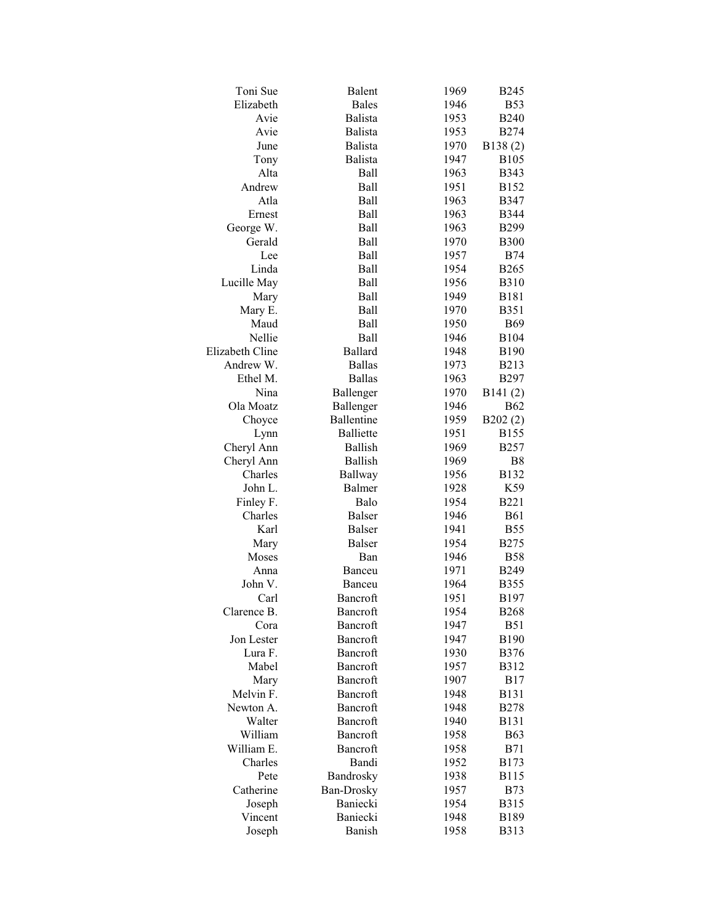| Toni Sue                     | Balent            | 1969 | <b>B245</b>      |
|------------------------------|-------------------|------|------------------|
| Elizabeth                    | <b>Bales</b>      | 1946 | <b>B53</b>       |
| Avie                         | Balista           | 1953 | <b>B240</b>      |
| Avie                         | <b>Balista</b>    | 1953 | <b>B274</b>      |
| June                         | <b>Balista</b>    | 1970 | B138(2)          |
| Tony                         | <b>Balista</b>    | 1947 | <b>B105</b>      |
| Alta                         | Ball              | 1963 | <b>B343</b>      |
| Andrew                       | <b>Ball</b>       | 1951 | B152             |
| Atla                         | Ball              | 1963 | <b>B347</b>      |
| Ernest                       | Ball              | 1963 | <b>B344</b>      |
| George W.                    | <b>Ball</b>       | 1963 | <b>B299</b>      |
| Gerald                       | <b>Ball</b>       | 1970 | <b>B300</b>      |
| Lee                          | <b>Ball</b>       | 1957 | <b>B74</b>       |
| Linda                        | <b>Ball</b>       | 1954 | <b>B265</b>      |
| Lucille May                  | <b>Ball</b>       | 1956 | <b>B310</b>      |
| Mary                         | <b>Ball</b>       | 1949 | <b>B181</b>      |
| Mary E.                      | Ball              | 1970 | <b>B351</b>      |
| Maud                         | Ball              | 1950 | <b>B69</b>       |
| Nellie                       | Ball              | 1946 | <b>B104</b>      |
|                              |                   |      |                  |
| Elizabeth Cline<br>Andrew W. | <b>Ballard</b>    | 1948 | <b>B190</b>      |
|                              | <b>Ballas</b>     | 1973 | <b>B213</b>      |
| Ethel M.                     | <b>Ballas</b>     | 1963 | <b>B297</b>      |
| Nina                         | Ballenger         | 1970 | B141(2)          |
| Ola Moatz                    | Ballenger         | 1946 | <b>B62</b>       |
| Choyce                       | Ballentine        | 1959 | B202(2)          |
| Lynn                         | <b>Balliette</b>  | 1951 | <b>B155</b>      |
| Cheryl Ann                   | <b>Ballish</b>    | 1969 | <b>B257</b>      |
| Cheryl Ann                   | <b>Ballish</b>    | 1969 | B <sub>8</sub>   |
| Charles                      | Ballway           | 1956 | <b>B132</b>      |
| John L.                      | Balmer            | 1928 | K59              |
| Finley F.                    | Balo              | 1954 | <b>B221</b>      |
| Charles                      | <b>Balser</b>     | 1946 | <b>B61</b>       |
| Karl                         | <b>Balser</b>     | 1941 | <b>B55</b>       |
| Mary                         | Balser            | 1954 | <b>B275</b>      |
| Moses                        | Ban               | 1946 | <b>B58</b>       |
| Anna                         | Banceu            | 1971 | <b>B249</b>      |
| John V.                      | Banceu            | 1964 | <b>B355</b>      |
| Carl                         | Bancroft          | 1951 | B <sub>197</sub> |
| Clarence B.                  | Bancroft          | 1954 | <b>B268</b>      |
| Cora                         | Bancroft          | 1947 | <b>B51</b>       |
| Jon Lester                   | Bancroft          | 1947 | <b>B190</b>      |
| Lura F.                      | Bancroft          | 1930 | <b>B376</b>      |
| Mabel                        | Bancroft          | 1957 | <b>B312</b>      |
| Mary                         | Bancroft          | 1907 | <b>B17</b>       |
| Melvin F.                    | Bancroft          | 1948 | <b>B131</b>      |
| Newton A.                    | Bancroft          | 1948 | <b>B278</b>      |
| Walter                       | Bancroft          | 1940 | <b>B131</b>      |
| William                      | Bancroft          | 1958 | <b>B63</b>       |
| William E.                   | Bancroft          | 1958 | <b>B71</b>       |
| Charles                      | Bandi             | 1952 | <b>B173</b>      |
| Pete                         | Bandrosky         | 1938 | <b>B115</b>      |
| Catherine                    | <b>Ban-Drosky</b> | 1957 | <b>B73</b>       |
| Joseph                       | Baniecki          | 1954 | <b>B315</b>      |
| Vincent                      | Baniecki          | 1948 | B189             |
| Joseph                       | Banish            | 1958 | <b>B313</b>      |
|                              |                   |      |                  |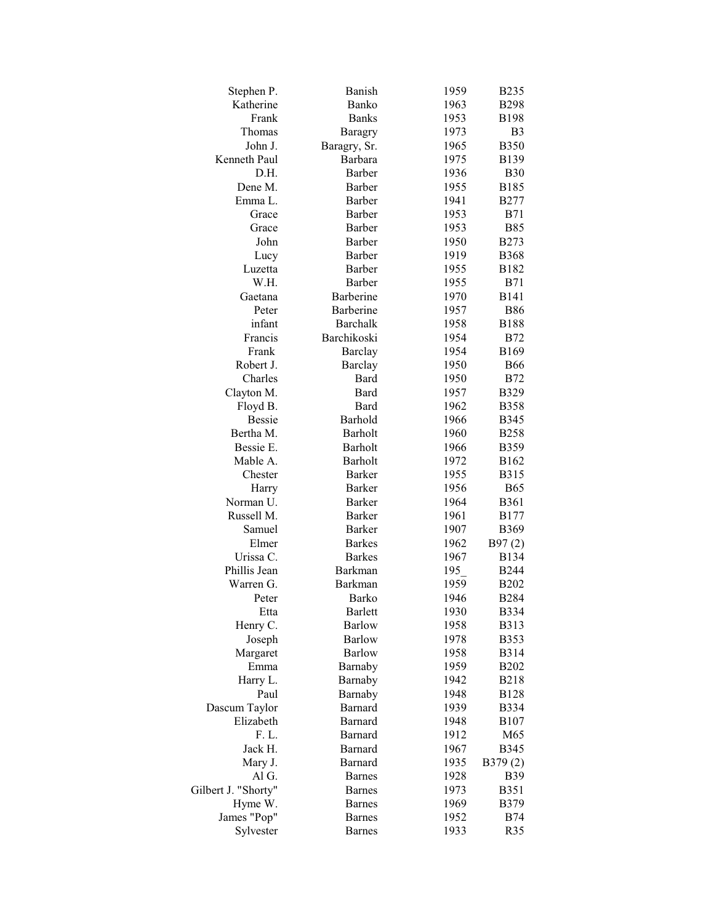| Stephen P.          | Banish         | 1959 | <b>B235</b>    |
|---------------------|----------------|------|----------------|
| Katherine           | Banko          | 1963 | <b>B298</b>    |
| Frank               | <b>Banks</b>   | 1953 | <b>B198</b>    |
| Thomas              | <b>Baragry</b> | 1973 | B <sub>3</sub> |
| John J.             | Baragry, Sr.   | 1965 | <b>B350</b>    |
| Kenneth Paul        | Barbara        | 1975 | <b>B139</b>    |
| D.H.                | Barber         | 1936 | <b>B30</b>     |
| Dene M.             | Barber         | 1955 | <b>B185</b>    |
| Emma L.             | Barber         | 1941 | <b>B277</b>    |
| Grace               | Barber         | 1953 | <b>B71</b>     |
| Grace               | Barber         | 1953 | <b>B85</b>     |
| John                | Barber         | 1950 | <b>B273</b>    |
| Lucy                | Barber         | 1919 | <b>B368</b>    |
| Luzetta             | Barber         | 1955 | <b>B182</b>    |
| W.H.                | Barber         | 1955 | <b>B71</b>     |
| Gaetana             | Barberine      | 1970 | <b>B141</b>    |
| Peter               | Barberine      | 1957 | <b>B86</b>     |
| infant              | Barchalk       | 1958 | <b>B188</b>    |
| Francis             | Barchikoski    | 1954 | <b>B72</b>     |
| Frank               | <b>Barclay</b> | 1954 | B169           |
| Robert J.           | Barclay        | 1950 | <b>B66</b>     |
| Charles             | Bard           | 1950 | <b>B72</b>     |
| Clayton M.          | Bard           | 1957 | <b>B329</b>    |
| Floyd B.            | Bard           | 1962 | <b>B358</b>    |
| <b>Bessie</b>       | Barhold        | 1966 | <b>B345</b>    |
| Bertha M.           | Barholt        | 1960 | <b>B258</b>    |
| Bessie E.           | <b>Barholt</b> | 1966 | B359           |
| Mable A.            | Barholt        | 1972 | B162           |
| Chester             | <b>Barker</b>  | 1955 | <b>B315</b>    |
| Harry               | <b>Barker</b>  | 1956 | <b>B65</b>     |
| Norman U.           | <b>Barker</b>  | 1964 | <b>B361</b>    |
| Russell M.          | Barker         | 1961 | B177           |
| Samuel              | Barker         | 1907 | <b>B369</b>    |
| Elmer               | <b>Barkes</b>  | 1962 | B97(2)         |
| Urissa C.           | <b>Barkes</b>  | 1967 | <b>B134</b>    |
| Phillis Jean        | Barkman        | 195  | <b>B244</b>    |
| Warren G.           | <b>Barkman</b> | 1959 | <b>B202</b>    |
| Peter               | Barko          | 1946 | <b>B284</b>    |
| Etta                | <b>Barlett</b> | 1930 | B334           |
| Henry C.            | <b>Barlow</b>  | 1958 | B313           |
| Joseph              | <b>Barlow</b>  | 1978 | B353           |
| Margaret            | <b>Barlow</b>  | 1958 | <b>B314</b>    |
| Emma                | Barnaby        | 1959 | <b>B202</b>    |
| Harry L.            | Barnaby        | 1942 | <b>B218</b>    |
| Paul                | Barnaby        | 1948 | <b>B128</b>    |
| Dascum Taylor       | Barnard        | 1939 | <b>B334</b>    |
| Elizabeth           | Barnard        | 1948 | <b>B107</b>    |
| F. L.               | Barnard        | 1912 | M65            |
| Jack H.             | <b>Barnard</b> | 1967 | <b>B345</b>    |
| Mary J.             | <b>Barnard</b> | 1935 | B379(2)        |
| Al G.               | <b>Barnes</b>  | 1928 | <b>B39</b>     |
| Gilbert J. "Shorty" | <b>Barnes</b>  | 1973 | <b>B351</b>    |
| Hyme W.             | <b>Barnes</b>  | 1969 | B379           |
| James "Pop"         | <b>Barnes</b>  | 1952 | <b>B74</b>     |
| Sylvester           | <b>Barnes</b>  | 1933 | R35            |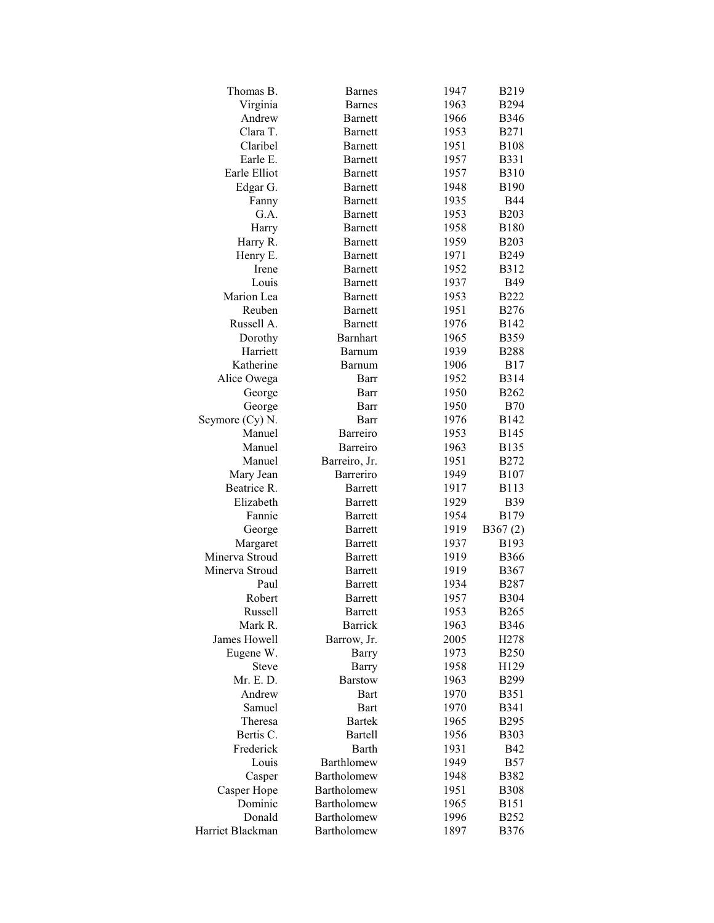| Thomas B.        | <b>Barnes</b>   | 1947 | B219             |
|------------------|-----------------|------|------------------|
| Virginia         | <b>Barnes</b>   | 1963 | <b>B294</b>      |
| Andrew           | Barnett         | 1966 | <b>B346</b>      |
| Clara T.         | <b>Barnett</b>  | 1953 | <b>B271</b>      |
| Claribel         | <b>Barnett</b>  | 1951 | <b>B108</b>      |
| Earle E.         | <b>Barnett</b>  | 1957 | <b>B331</b>      |
| Earle Elliot     | <b>Barnett</b>  | 1957 | <b>B310</b>      |
| Edgar G.         | <b>Barnett</b>  | 1948 | <b>B190</b>      |
| Fanny            | <b>Barnett</b>  | 1935 | <b>B44</b>       |
| G.A.             | <b>Barnett</b>  | 1953 | <b>B203</b>      |
| Harry            | <b>Barnett</b>  | 1958 | <b>B180</b>      |
| Harry R.         | <b>Barnett</b>  | 1959 | <b>B203</b>      |
| Henry E.         | <b>Barnett</b>  | 1971 | <b>B249</b>      |
| Irene            | Barnett         | 1952 | <b>B312</b>      |
| Louis            | Barnett         | 1937 | <b>B49</b>       |
| Marion Lea       | <b>Barnett</b>  | 1953 | <b>B222</b>      |
| Reuben           | <b>Barnett</b>  | 1951 | <b>B276</b>      |
| Russell A.       | <b>Barnett</b>  | 1976 | B142             |
| Dorothy          | <b>Barnhart</b> | 1965 | B359             |
| Harriett         | Barnum          | 1939 | <b>B288</b>      |
| Katherine        | Barnum          | 1906 | <b>B17</b>       |
| Alice Owega      | Barr            | 1952 | <b>B314</b>      |
| George           | Barr            | 1950 | <b>B262</b>      |
| George           | Barr            | 1950 | <b>B70</b>       |
| Seymore (Cy) N.  | Barr            | 1976 | B142             |
| Manuel           | Barreiro        | 1953 | <b>B145</b>      |
| Manuel           | Barreiro        | 1963 | <b>B135</b>      |
| Manuel           | Barreiro, Jr.   | 1951 | <b>B272</b>      |
| Mary Jean        | Barreriro       | 1949 | <b>B</b> 107     |
| Beatrice R.      | <b>Barrett</b>  | 1917 | <b>B113</b>      |
| Elizabeth        | <b>Barrett</b>  | 1929 | <b>B39</b>       |
| Fannie           | <b>Barrett</b>  | 1954 | <b>B179</b>      |
| George           | <b>Barrett</b>  | 1919 | B367(2)          |
| Margaret         | <b>Barrett</b>  | 1937 | B193             |
| Minerva Stroud   | <b>Barrett</b>  | 1919 | <b>B366</b>      |
| Minerva Stroud   | <b>Barrett</b>  | 1919 | B367             |
| Paul             | <b>Barrett</b>  | 1934 | <b>B287</b>      |
| Robert           | Barrett         | 1957 | <b>B304</b>      |
| Russell          | <b>Barrett</b>  | 1953 | <b>B265</b>      |
| Mark R.          | <b>Barrick</b>  | 1963 | <b>B346</b>      |
| James Howell     | Barrow, Jr.     | 2005 | H <sub>278</sub> |
| Eugene W.        | <b>Barry</b>    | 1973 | <b>B250</b>      |
| <b>Steve</b>     | <b>Barry</b>    | 1958 | H129             |
| Mr. E. D.        | <b>Barstow</b>  | 1963 | B299             |
| Andrew           | Bart            | 1970 | <b>B351</b>      |
| Samuel           | <b>Bart</b>     | 1970 | <b>B341</b>      |
| Theresa          | <b>Bartek</b>   | 1965 | <b>B295</b>      |
| Bertis C.        | <b>Bartell</b>  | 1956 | <b>B303</b>      |
| Frederick        | Barth           | 1931 | <b>B42</b>       |
| Louis            | Barthlomew      | 1949 | <b>B57</b>       |
| Casper           | Bartholomew     | 1948 | <b>B382</b>      |
| Casper Hope      | Bartholomew     | 1951 | <b>B308</b>      |
| Dominic          | Bartholomew     | 1965 | <b>B151</b>      |
| Donald           | Bartholomew     | 1996 | <b>B252</b>      |
| Harriet Blackman | Bartholomew     | 1897 | <b>B376</b>      |
|                  |                 |      |                  |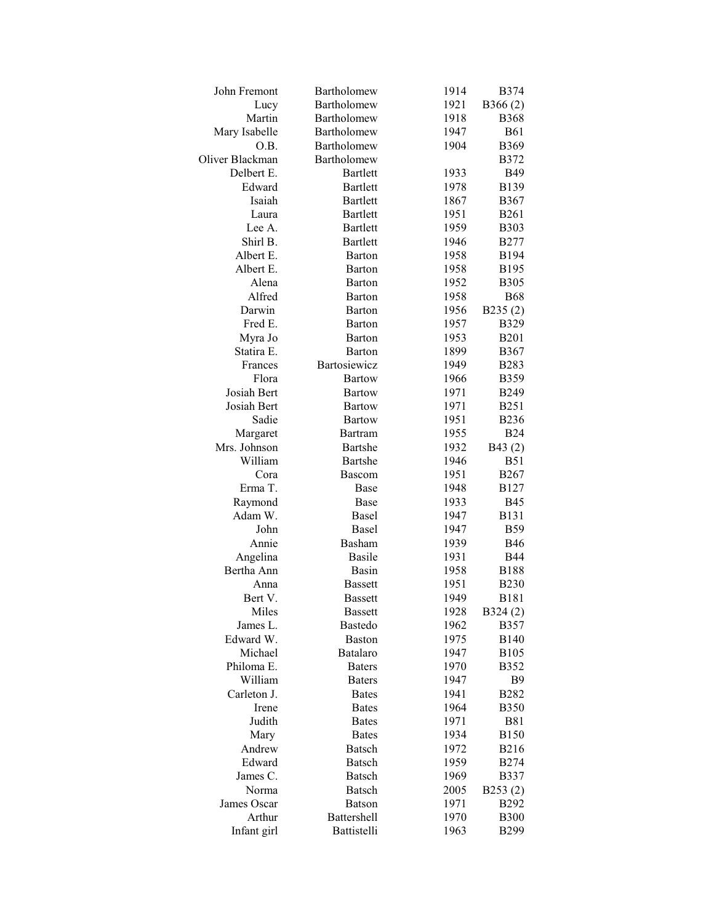| John Fremont    | Bartholomew                  | 1914         | <b>B</b> 374     |
|-----------------|------------------------------|--------------|------------------|
| Lucy            | Bartholomew                  | 1921         | B366(2)          |
| Martin          | Bartholomew                  | 1918         | <b>B368</b>      |
| Mary Isabelle   | Bartholomew                  | 1947         | <b>B61</b>       |
| O.B.            | Bartholomew                  | 1904         | B369             |
| Oliver Blackman | Bartholomew                  |              | <b>B372</b>      |
| Delbert E.      | <b>Bartlett</b>              | 1933         | <b>B49</b>       |
| Edward          | <b>Bartlett</b>              | 1978         | <b>B139</b>      |
| Isaiah          | <b>Bartlett</b>              | 1867         | <b>B367</b>      |
| Laura           | <b>Bartlett</b>              | 1951         | <b>B261</b>      |
| Lee A.          | <b>Bartlett</b>              | 1959         | <b>B303</b>      |
| Shirl B.        | <b>Bartlett</b>              | 1946         | <b>B277</b>      |
| Albert E.       | <b>Barton</b>                | 1958         | <b>B194</b>      |
| Albert E.       | Barton                       | 1958         | <b>B195</b>      |
| Alena           | Barton                       | 1952         | <b>B305</b>      |
| Alfred          | Barton                       | 1958         | <b>B68</b>       |
| Darwin          | Barton                       | 1956         | B235(2)          |
| Fred E.         | Barton                       | 1957         | <b>B329</b>      |
| Myra Jo         | Barton                       | 1953         | <b>B201</b>      |
| Statira E.      | Barton                       | 1899         | <b>B367</b>      |
| Frances         | Bartosiewicz                 | 1949         | <b>B283</b>      |
| Flora           | <b>Bartow</b>                | 1966         | <b>B359</b>      |
| Josiah Bert     | <b>Bartow</b>                | 1971         | <b>B249</b>      |
| Josiah Bert     | <b>Bartow</b>                | 1971         | <b>B251</b>      |
| Sadie           | <b>Bartow</b>                | 1951         | <b>B236</b>      |
| Margaret        | Bartram                      | 1955         | <b>B24</b>       |
| Mrs. Johnson    | Bartshe                      | 1932         | B43(2)           |
| William         | Bartshe                      | 1946         | <b>B51</b>       |
| Cora            | <b>Bascom</b>                | 1951         | <b>B267</b>      |
| Erma T.         | Base                         | 1948         | <b>B127</b>      |
| Raymond         | Base                         | 1933         | <b>B45</b>       |
| Adam W.         | Basel                        | 1947         | <b>B131</b>      |
| John            | Basel                        | 1947         | <b>B59</b>       |
| Annie           | Basham                       | 1939         | <b>B46</b>       |
| Angelina        | <b>Basile</b>                | 1931         | <b>B44</b>       |
| Bertha Ann      | Basin                        | 1958         | <b>B188</b>      |
| Anna            | <b>Bassett</b>               | 1951         | <b>B230</b>      |
| Bert V.         | <b>Bassett</b>               | 1949         | B181             |
| Miles           | <b>Bassett</b>               | 1928         | B324(2)          |
| James L.        | Bastedo                      | 1962         | <b>B357</b>      |
| Edward W.       | <b>Baston</b>                | 1975         | B <sub>140</sub> |
| Michael         | <b>Batalaro</b>              | 1947         | <b>B105</b>      |
| Philoma E.      | <b>Baters</b>                | 1970         | B352             |
| William         | <b>Baters</b>                | 1947         | <b>B</b> 9       |
| Carleton J.     | <b>Bates</b>                 | 1941         | <b>B282</b>      |
|                 |                              |              | <b>B350</b>      |
| Irene<br>Judith | <b>Bates</b><br><b>Bates</b> | 1964<br>1971 | <b>B81</b>       |
| Mary            |                              | 1934         | <b>B150</b>      |
|                 | <b>Bates</b>                 |              |                  |
| Andrew          | <b>Batsch</b>                | 1972         | <b>B216</b>      |
| Edward          | Batsch                       | 1959         | <b>B274</b>      |
| James C.        | <b>Batsch</b>                | 1969         | <b>B337</b>      |
| Norma           | <b>Batsch</b>                | 2005         | B253(2)          |
| James Oscar     | <b>Batson</b>                | 1971         | <b>B292</b>      |
| Arthur          | Battershell<br>Battistelli   | 1970         | <b>B300</b>      |
| Infant girl     |                              | 1963         | <b>B299</b>      |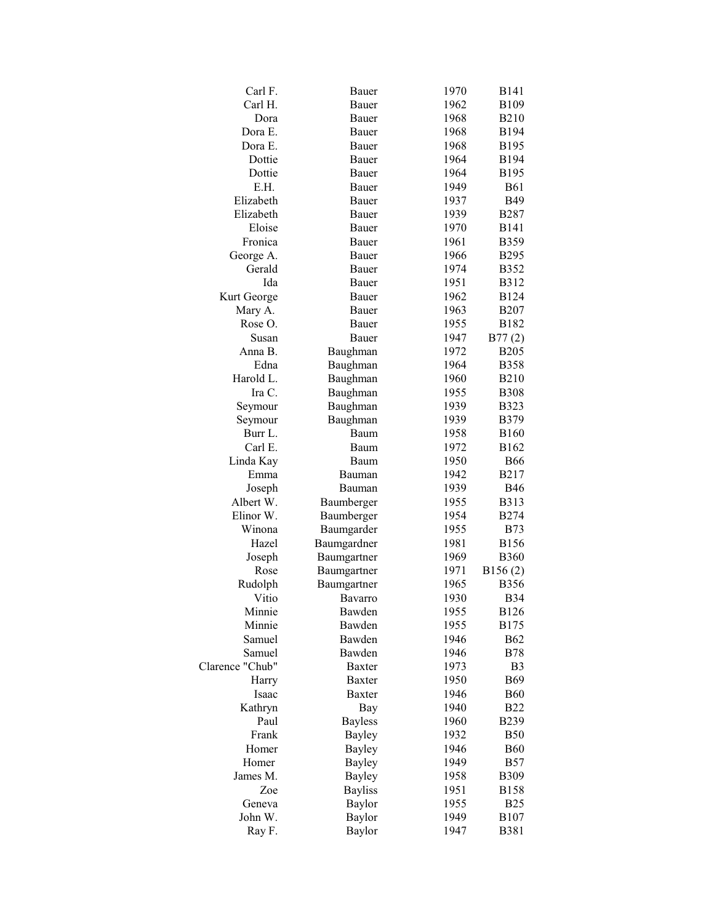| Carl F.            | Bauer          | 1970 | <b>B141</b>      |
|--------------------|----------------|------|------------------|
| Carl H.            | Bauer          | 1962 | <b>B109</b>      |
| Dora               | Bauer          | 1968 | <b>B210</b>      |
| Dora E.            | Bauer          | 1968 | B194             |
| Dora E.            | Bauer          | 1968 | B <sub>195</sub> |
| Dottie             | Bauer          | 1964 | <b>B194</b>      |
| Dottie             | Bauer          | 1964 | B <sub>195</sub> |
| E.H.               | Bauer          | 1949 | <b>B61</b>       |
| Elizabeth          | Bauer          | 1937 | <b>B49</b>       |
| Elizabeth          | Bauer          | 1939 | <b>B287</b>      |
| Eloise             | Bauer          | 1970 | <b>B141</b>      |
| Fronica            | Bauer          | 1961 | <b>B359</b>      |
| George A.          | Bauer          | 1966 | <b>B295</b>      |
| Gerald             | Bauer          | 1974 | <b>B352</b>      |
| Ida                | Bauer          | 1951 | <b>B312</b>      |
| Kurt George        | Bauer          | 1962 | <b>B124</b>      |
|                    | Bauer          | 1963 | <b>B207</b>      |
| Mary A.<br>Rose O. |                |      |                  |
|                    | Bauer          | 1955 | B182             |
| Susan              | Bauer          | 1947 | B77(2)           |
| Anna B.            | Baughman       | 1972 | <b>B205</b>      |
| Edna               | Baughman       | 1964 | <b>B358</b>      |
| Harold L.          | Baughman       | 1960 | <b>B210</b>      |
| Ira C.             | Baughman       | 1955 | <b>B308</b>      |
| Seymour            | Baughman       | 1939 | <b>B323</b>      |
| Seymour            | Baughman       | 1939 | B379             |
| Burr L.            | Baum           | 1958 | <b>B160</b>      |
| Carl E.            | Baum           | 1972 | B162             |
| Linda Kay          | Baum           | 1950 | <b>B66</b>       |
| Emma               | Bauman         | 1942 | <b>B217</b>      |
| Joseph             | Bauman         | 1939 | <b>B46</b>       |
| Albert W.          | Baumberger     | 1955 | <b>B313</b>      |
| Elinor W.          | Baumberger     | 1954 | <b>B274</b>      |
| Winona             | Baumgarder     | 1955 | <b>B73</b>       |
| Hazel              | Baumgardner    | 1981 | <b>B156</b>      |
| Joseph             | Baumgartner    | 1969 | <b>B360</b>      |
| Rose               | Baumgartner    | 1971 | B156(2)          |
| Rudolph            | Baumgartner    | 1965 | <b>B356</b>      |
| Vitio              | Bavarro        | 1930 | <b>B</b> 34      |
| Minnie             | Bawden         | 1955 | <b>B126</b>      |
| Minnie             | Bawden         | 1955 | B175             |
| Samuel             | Bawden         | 1946 | <b>B62</b>       |
| Samuel             | Bawden         | 1946 | <b>B78</b>       |
| Clarence "Chub"    | <b>Baxter</b>  | 1973 | B <sub>3</sub>   |
| Harry              | <b>Baxter</b>  | 1950 | <b>B69</b>       |
| Isaac              | <b>Baxter</b>  | 1946 | <b>B60</b>       |
| Kathryn            | Bay            | 1940 | <b>B22</b>       |
| Paul               | <b>Bayless</b> | 1960 | B239             |
| Frank              | <b>Bayley</b>  | 1932 | <b>B50</b>       |
| Homer              | <b>Bayley</b>  | 1946 | <b>B60</b>       |
| Homer              | <b>Bayley</b>  | 1949 | <b>B57</b>       |
| James M.           | <b>Bayley</b>  | 1958 | <b>B309</b>      |
| Zoe                | <b>Bayliss</b> | 1951 | <b>B158</b>      |
| Geneva             | Baylor         | 1955 | B <sub>25</sub>  |
| John W.            | Baylor         | 1949 | <b>B107</b>      |
| Ray F.             | Baylor         | 1947 | B381             |
|                    |                |      |                  |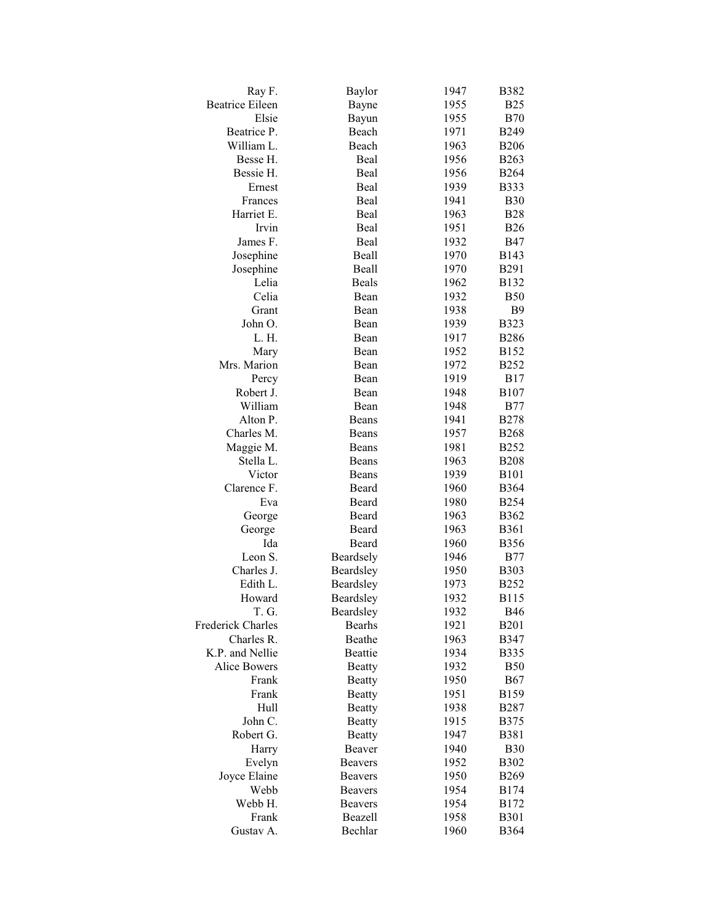| Ray F.                   | Baylor         | 1947 | <b>B382</b>  |
|--------------------------|----------------|------|--------------|
| <b>Beatrice Eileen</b>   | Bayne          | 1955 | <b>B25</b>   |
| Elsie                    | Bayun          | 1955 | <b>B70</b>   |
| Beatrice P.              | Beach          | 1971 | <b>B249</b>  |
| William L.               | Beach          | 1963 | <b>B206</b>  |
| Besse H.                 | Beal           | 1956 | <b>B263</b>  |
| Bessie H.                | Beal           | 1956 | <b>B264</b>  |
| Ernest                   | Beal           | 1939 | <b>B333</b>  |
| Frances                  | Beal           | 1941 | <b>B30</b>   |
| Harriet E.               | Beal           | 1963 | <b>B28</b>   |
| Irvin                    | Beal           | 1951 | <b>B26</b>   |
| James F.                 | Beal           | 1932 | <b>B47</b>   |
| Josephine                | Beall          | 1970 | B143         |
| Josephine                | Beall          | 1970 | <b>B291</b>  |
| Lelia                    | <b>Beals</b>   | 1962 | <b>B132</b>  |
| Celia                    | Bean           | 1932 | <b>B50</b>   |
| Grant                    | Bean           | 1938 | <b>B</b> 9   |
| John O.                  | Bean           | 1939 | <b>B323</b>  |
| L. H.                    | Bean           | 1917 | <b>B286</b>  |
| Mary                     | Bean           | 1952 | B152         |
| Mrs. Marion              | Bean           | 1972 | <b>B252</b>  |
| Percy                    | Bean           | 1919 | <b>B17</b>   |
| Robert J.                | Bean           | 1948 | <b>B107</b>  |
| William                  | Bean           | 1948 | <b>B77</b>   |
| Alton P.                 | Beans          | 1941 | <b>B278</b>  |
| Charles M.               | Beans          | 1957 | <b>B268</b>  |
| Maggie M.                | Beans          | 1981 | <b>B252</b>  |
| Stella L.                | Beans          | 1963 | <b>B208</b>  |
| Victor                   | Beans          | 1939 | <b>B</b> 101 |
| Clarence F.              | Beard          | 1960 | <b>B</b> 364 |
| Eva                      | Beard          | 1980 | <b>B254</b>  |
| George                   | Beard          | 1963 | <b>B</b> 362 |
| George                   | Beard          | 1963 | <b>B361</b>  |
| Ida                      | Beard          | 1960 | <b>B356</b>  |
| Leon S.                  | Beardsely      | 1946 | B77          |
| Charles J.               | Beardsley      | 1950 | <b>B</b> 303 |
| Edith L.                 | Beardsley      | 1973 | <b>B252</b>  |
| Howard                   | Beardsley      | 1932 | B115         |
| T. G.                    | Beardsley      | 1932 | <b>B46</b>   |
| <b>Frederick Charles</b> | <b>Bearhs</b>  | 1921 | <b>B201</b>  |
| Charles R.               | Beathe         | 1963 | <b>B347</b>  |
| K.P. and Nellie          | Beattie        | 1934 | <b>B335</b>  |
| Alice Bowers             | <b>Beatty</b>  | 1932 | <b>B50</b>   |
| Frank                    | <b>Beatty</b>  | 1950 | <b>B67</b>   |
| Frank                    | <b>Beatty</b>  | 1951 | <b>B159</b>  |
| Hull                     | <b>Beatty</b>  | 1938 | <b>B287</b>  |
| John C.                  | <b>Beatty</b>  | 1915 | <b>B375</b>  |
| Robert G.                | <b>Beatty</b>  | 1947 | <b>B381</b>  |
| Harry                    | Beaver         | 1940 | <b>B30</b>   |
| Evelyn                   | <b>Beavers</b> | 1952 | <b>B302</b>  |
| Joyce Elaine             | <b>Beavers</b> | 1950 | <b>B269</b>  |
| Webb                     | <b>Beavers</b> | 1954 | B174         |
| Webb H.                  | <b>Beavers</b> | 1954 | B172         |
| Frank                    | Beazell        | 1958 | <b>B301</b>  |
| Gustav A.                | Bechlar        | 1960 | <b>B</b> 364 |
|                          |                |      |              |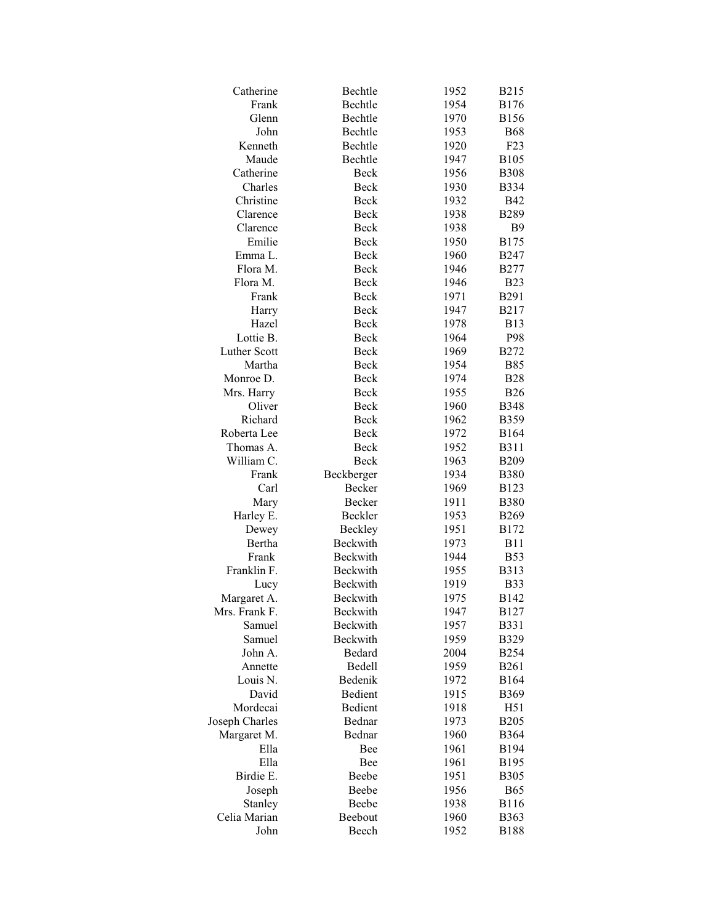| Catherine           | Bechtle         | 1952 | <b>B215</b>  |
|---------------------|-----------------|------|--------------|
| Frank               | Bechtle         | 1954 | <b>B176</b>  |
| Glenn               | Bechtle         | 1970 | <b>B156</b>  |
| John                | Bechtle         | 1953 | <b>B68</b>   |
| Kenneth             | Bechtle         | 1920 | F23          |
| Maude               | Bechtle         | 1947 | <b>B105</b>  |
| Catherine           | Beck            | 1956 | <b>B308</b>  |
| Charles             | Beck            | 1930 | <b>B</b> 334 |
| Christine           | <b>Beck</b>     | 1932 | <b>B42</b>   |
| Clarence            | Beck            | 1938 | <b>B289</b>  |
| Clarence            | Beck            | 1938 | <b>B9</b>    |
| Emilie              | Beck            | 1950 | <b>B175</b>  |
| Emma L.             | Beck            | 1960 | <b>B247</b>  |
| Flora M.            | Beck            | 1946 | <b>B277</b>  |
| Flora M.            | Beck            | 1946 | <b>B23</b>   |
| Frank               | Beck            | 1971 | <b>B291</b>  |
| Harry               | <b>Beck</b>     | 1947 | <b>B217</b>  |
| Hazel               | Beck            | 1978 | <b>B13</b>   |
| Lottie B.           | Beck            | 1964 | P98          |
| <b>Luther Scott</b> | Beck            | 1969 | <b>B272</b>  |
| Martha              | Beck            | 1954 | <b>B85</b>   |
| Monroe D.           | Beck            | 1974 | <b>B28</b>   |
| Mrs. Harry          | Beck            | 1955 | <b>B26</b>   |
| Oliver              | Beck            | 1960 | <b>B348</b>  |
| Richard             | Beck            | 1962 | <b>B359</b>  |
| Roberta Lee         | Beck            | 1972 | <b>B164</b>  |
| Thomas A.           | Beck            | 1952 | <b>B311</b>  |
| William C.          | Beck            | 1963 | <b>B209</b>  |
| Frank               | Beckberger      | 1934 | <b>B380</b>  |
| Carl                | Becker          | 1969 | <b>B123</b>  |
| Mary                | Becker          | 1911 | <b>B380</b>  |
| Harley E.           | Beckler         | 1953 | <b>B269</b>  |
| Dewey               | Beckley         | 1951 | <b>B172</b>  |
| Bertha              | Beckwith        | 1973 | <b>B11</b>   |
| Frank               | <b>Beckwith</b> | 1944 | <b>B53</b>   |
| Franklin F.         | <b>Beckwith</b> | 1955 | <b>B313</b>  |
| Lucy                | Beckwith        | 1919 | <b>B33</b>   |
| Margaret A.         | Beckwith        | 1975 | <b>B142</b>  |
| Mrs. Frank F.       | <b>Beckwith</b> | 1947 | <b>B127</b>  |
| Samuel              | Beckwith        | 1957 | <b>B331</b>  |
| Samuel              | Beckwith        | 1959 | <b>B329</b>  |
| John A.             | <b>Bedard</b>   | 2004 | <b>B254</b>  |
| Annette             | Bedell          | 1959 | <b>B261</b>  |
| Louis N.            | Bedenik         | 1972 | <b>B164</b>  |
| David               | Bedient         | 1915 | B369         |
| Mordecai            | Bedient         | 1918 | H51          |
| Joseph Charles      | Bednar          | 1973 | <b>B205</b>  |
| Margaret M.         | Bednar          | 1960 | <b>B364</b>  |
| Ella                | Bee             | 1961 | <b>B194</b>  |
| Ella                | Bee             | 1961 | <b>B195</b>  |
| Birdie E.           | Beebe           | 1951 | <b>B305</b>  |
| Joseph              | Beebe           | 1956 | <b>B65</b>   |
| Stanley             | Beebe           | 1938 | <b>B116</b>  |
| Celia Marian        | Beebout         | 1960 | <b>B363</b>  |
| John                | Beech           | 1952 | <b>B188</b>  |
|                     |                 |      |              |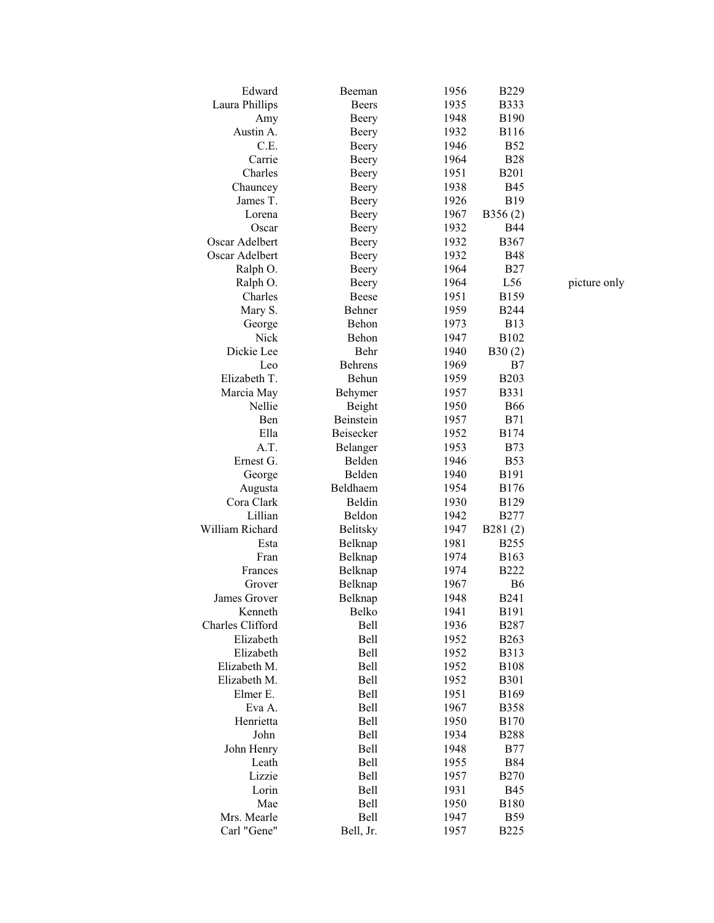| Edward           | Beeman         | 1956 | <b>B229</b>    |
|------------------|----------------|------|----------------|
| Laura Phillips   | <b>Beers</b>   | 1935 | <b>B333</b>    |
| Amy              | Beery          | 1948 | <b>B190</b>    |
| Austin A.        | Beery          | 1932 | <b>B116</b>    |
| C.E.             | Beery          | 1946 | <b>B52</b>     |
| Carrie           | Beery          | 1964 | <b>B28</b>     |
| Charles          | Beery          | 1951 | <b>B201</b>    |
| Chauncey         | Beery          | 1938 | <b>B45</b>     |
| James T.         | Beery          | 1926 | <b>B19</b>     |
| Lorena           | Beery          | 1967 | B356(2)        |
| Oscar            | Beery          | 1932 | <b>B44</b>     |
| Oscar Adelbert   | Beery          | 1932 | <b>B367</b>    |
| Oscar Adelbert   | Beery          | 1932 | <b>B48</b>     |
| Ralph O.         | Beery          | 1964 | <b>B27</b>     |
| Ralph O.         | Beery          | 1964 | L56            |
| Charles          | Beese          | 1951 | <b>B159</b>    |
| Mary S.          | Behner         | 1959 | <b>B244</b>    |
| George           | Behon          | 1973 | <b>B13</b>     |
| Nick             | Behon          | 1947 | <b>B102</b>    |
| Dickie Lee       | Behr           | 1940 |                |
| Leo              | <b>Behrens</b> | 1969 | B30(2)<br>B7   |
| Elizabeth T.     | Behun          | 1959 | <b>B203</b>    |
|                  |                | 1957 | <b>B331</b>    |
| Marcia May       | Behymer        |      |                |
| Nellie           | Beight         | 1950 | <b>B66</b>     |
| Ben              | Beinstein      | 1957 | <b>B71</b>     |
| Ella             | Beisecker      | 1952 | <b>B174</b>    |
| A.T.             | Belanger       | 1953 | <b>B73</b>     |
| Ernest G.        | Belden         | 1946 | <b>B53</b>     |
| George           | Belden         | 1940 | <b>B191</b>    |
| Augusta          | Beldhaem       | 1954 | <b>B176</b>    |
| Cora Clark       | Beldin         | 1930 | <b>B129</b>    |
| Lillian          | Beldon         | 1942 | <b>B277</b>    |
| William Richard  | Belitsky       | 1947 | B281(2)        |
| Esta             | Belknap        | 1981 | <b>B255</b>    |
| Fran             | Belknap        | 1974 | B163           |
| Frances          | Belknap        | 1974 | <b>B222</b>    |
| Grover           | Belknap        | 1967 | B <sub>6</sub> |
| James Grover     | Belknap        | 1948 | <b>B241</b>    |
| Kenneth          | Belko          | 1941 | <b>B191</b>    |
| Charles Clifford | Bell           | 1936 | <b>B287</b>    |
| Elizabeth        | Bell           | 1952 | <b>B263</b>    |
| Elizabeth        | Bell           | 1952 | <b>B313</b>    |
| Elizabeth M.     | Bell           | 1952 | <b>B108</b>    |
| Elizabeth M.     | Bell           | 1952 | <b>B301</b>    |
| Elmer E.         | Bell           | 1951 | B169           |
| Eva A.           | Bell           | 1967 | <b>B358</b>    |
| Henrietta        | Bell           | 1950 | <b>B170</b>    |
| John             | Bell           | 1934 | <b>B288</b>    |
| John Henry       | Bell           | 1948 | <b>B77</b>     |
| Leath            | Bell           | 1955 | <b>B84</b>     |
| Lizzie           | Bell           | 1957 | <b>B270</b>    |
| Lorin            | Bell           | 1931 | <b>B45</b>     |
| Mae              | Bell           | 1950 | <b>B180</b>    |
| Mrs. Mearle      | Bell           | 1947 | <b>B59</b>     |
| Carl "Gene"      | Bell, Jr.      | 1957 | <b>B225</b>    |

picture only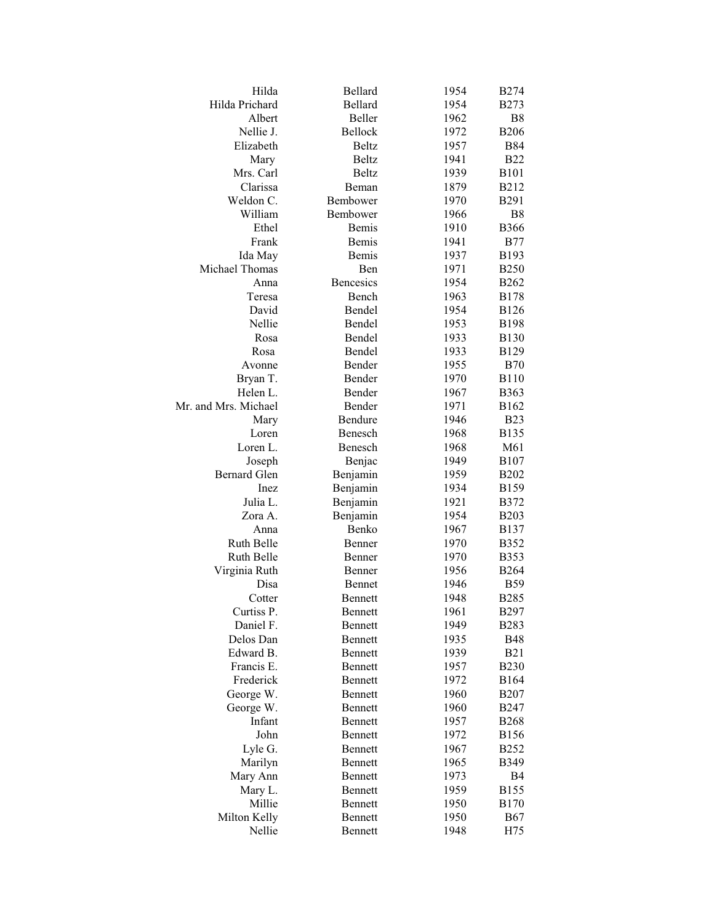| Hilda                | Bellard          | 1954 | <b>B274</b>      |
|----------------------|------------------|------|------------------|
| Hilda Prichard       | Bellard          | 1954 | <b>B273</b>      |
| Albert               | Beller           | 1962 | B <sub>8</sub>   |
| Nellie J.            | Bellock          | 1972 | <b>B206</b>      |
| Elizabeth            | <b>Beltz</b>     | 1957 | <b>B84</b>       |
| Mary                 | <b>Beltz</b>     | 1941 | <b>B22</b>       |
| Mrs. Carl            | <b>Beltz</b>     | 1939 | <b>B101</b>      |
| Clarissa             | Beman            | 1879 | <b>B212</b>      |
| Weldon C.            | Bembower         | 1970 | <b>B291</b>      |
| William              | Bembower         | 1966 | B <sub>8</sub>   |
| Ethel                | Bemis            | 1910 | <b>B366</b>      |
| Frank                | Bemis            | 1941 | <b>B77</b>       |
| Ida May              | Bemis            | 1937 | B193             |
| Michael Thomas       | Ben              | 1971 | <b>B250</b>      |
| Anna                 | <b>Bencesics</b> | 1954 | <b>B262</b>      |
| Teresa               | Bench            | 1963 | <b>B178</b>      |
| David                | Bendel           | 1954 | <b>B126</b>      |
| Nellie               | Bendel           | 1953 | <b>B198</b>      |
| Rosa                 | Bendel           | 1933 | <b>B130</b>      |
| Rosa                 | Bendel           | 1933 | <b>B129</b>      |
| Avonne               | Bender           | 1955 | <b>B70</b>       |
| Bryan T.             | Bender           | 1970 | <b>B110</b>      |
| Helen L.             | Bender           | 1967 | <b>B363</b>      |
| Mr. and Mrs. Michael | Bender           | 1971 | B162             |
| Mary                 | Bendure          | 1946 | <b>B23</b>       |
| Loren                | Benesch          | 1968 | <b>B135</b>      |
| Loren L.             | Benesch          | 1968 | M61              |
| Joseph               | Benjac           | 1949 | <b>B</b> 107     |
| <b>Bernard Glen</b>  | Benjamin         | 1959 | <b>B202</b>      |
| Inez                 | Benjamin         | 1934 | <b>B</b> 159     |
| Julia L.             | Benjamin         | 1921 | <b>B372</b>      |
| Zora A.              | Benjamin         | 1954 | <b>B203</b>      |
| Anna                 | Benko            | 1967 | <b>B</b> 137     |
| Ruth Belle           | Benner           | 1970 | <b>B352</b>      |
| Ruth Belle           | Benner           | 1970 | <b>B</b> 353     |
| Virginia Ruth        | Benner           | 1956 | <b>B264</b>      |
| Disa                 | Bennet           | 1946 | <b>B59</b>       |
| Cotter               | Bennett          | 1948 | <b>B285</b>      |
| Curtiss P.           | Bennett          | 1961 | B297             |
| Daniel F.            | Bennett          | 1949 | <b>B283</b>      |
| Delos Dan            | Bennett          | 1935 | <b>B48</b>       |
| Edward B.            | <b>Bennett</b>   | 1939 | <b>B21</b>       |
| Francis E.           | <b>Bennett</b>   | 1957 | <b>B230</b>      |
| Frederick            | <b>Bennett</b>   | 1972 | B <sub>164</sub> |
| George W.            | <b>Bennett</b>   | 1960 | <b>B207</b>      |
| George W.            | <b>Bennett</b>   | 1960 | <b>B247</b>      |
| Infant               | <b>Bennett</b>   | 1957 | <b>B268</b>      |
| John                 | <b>Bennett</b>   | 1972 | <b>B156</b>      |
| Lyle G.              | <b>Bennett</b>   | 1967 | <b>B252</b>      |
| Marilyn              | <b>Bennett</b>   | 1965 | B349             |
| Mary Ann             | <b>Bennett</b>   | 1973 | B4               |
| Mary L.              | Bennett          | 1959 | <b>B155</b>      |
| Millie               | Bennett          | 1950 | <b>B170</b>      |
| Milton Kelly         | Bennett          | 1950 | B67              |
| Nellie               | Bennett          | 1948 | H75              |
|                      |                  |      |                  |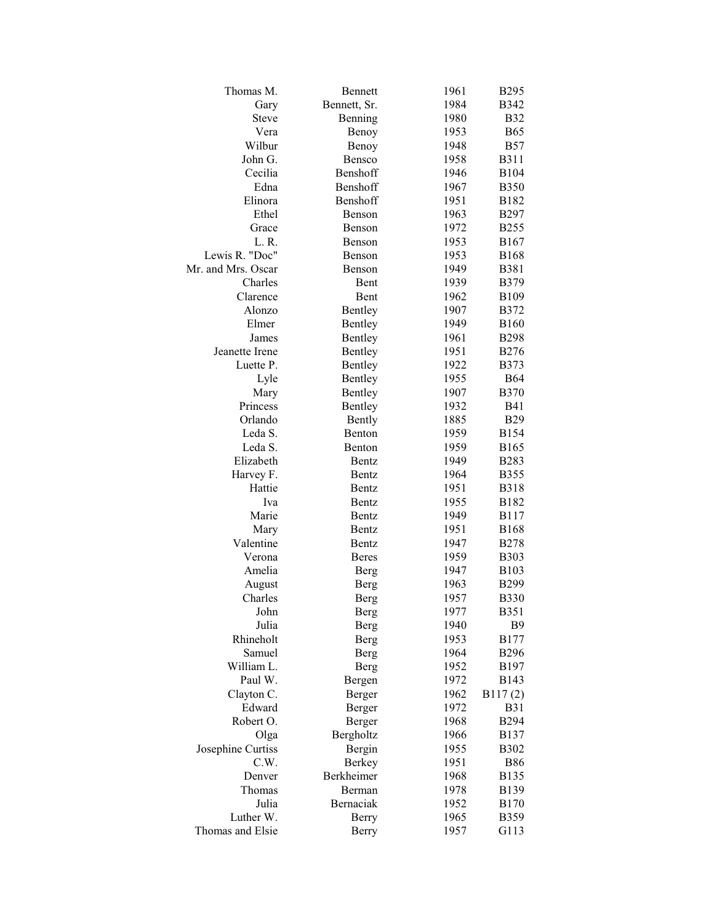| Thomas M.          | <b>Bennett</b> | 1961 | <b>B295</b>  |
|--------------------|----------------|------|--------------|
| Gary               | Bennett, Sr.   | 1984 | <b>B342</b>  |
| <b>Steve</b>       | Benning        | 1980 | <b>B32</b>   |
| Vera               | Benoy          | 1953 | <b>B65</b>   |
| Wilbur             | Benoy          | 1948 | <b>B57</b>   |
| John G.            | Bensco         | 1958 | <b>B311</b>  |
| Cecilia            | Benshoff       | 1946 | <b>B104</b>  |
| Edna               | Benshoff       | 1967 | <b>B350</b>  |
| Elinora            | Benshoff       | 1951 | B182         |
| Ethel              | Benson         | 1963 | <b>B297</b>  |
| Grace              | Benson         | 1972 | <b>B255</b>  |
| L.R.               | Benson         | 1953 | <b>B167</b>  |
| Lewis R. "Doc"     | Benson         | 1953 | <b>B168</b>  |
| Mr. and Mrs. Oscar | Benson         | 1949 | <b>B381</b>  |
| Charles            | Bent           | 1939 | <b>B379</b>  |
| Clarence           | Bent           | 1962 | <b>B109</b>  |
| Alonzo             | Bentley        | 1907 | <b>B372</b>  |
| Elmer              | Bentley        | 1949 | <b>B160</b>  |
| James              | Bentley        | 1961 | <b>B298</b>  |
| Jeanette Irene     | Bentley        | 1951 | <b>B276</b>  |
| Luette P.          | Bentley        | 1922 | <b>B373</b>  |
| Lyle               | Bentley        | 1955 | <b>B64</b>   |
| Mary               | Bentley        | 1907 | <b>B370</b>  |
| Princess           | Bentley        | 1932 | <b>B41</b>   |
| Orlando            | Bently         | 1885 | <b>B29</b>   |
| Leda S.            | Benton         | 1959 | <b>B154</b>  |
| Leda S.            | Benton         | 1959 | <b>B165</b>  |
| Elizabeth          | Bentz          | 1949 | <b>B283</b>  |
| Harvey F.          | Bentz          | 1964 | <b>B355</b>  |
| Hattie             | Bentz          | 1951 | <b>B318</b>  |
| Iva                | <b>Bentz</b>   | 1955 | B182         |
| Marie              | <b>Bentz</b>   | 1949 | B117         |
| Mary               | Bentz          | 1951 | <b>B</b> 168 |
| Valentine          | <b>Bentz</b>   | 1947 | <b>B278</b>  |
| Verona             | <b>Beres</b>   | 1959 | <b>B303</b>  |
| Amelia             | Berg           | 1947 | <b>B103</b>  |
| August             | Berg           | 1963 | <b>B299</b>  |
| Charles            | Berg           | 1957 | <b>B330</b>  |
| John               | Berg           | 1977 | <b>B351</b>  |
| Julia              | Berg           | 1940 | <b>B</b> 9   |
| Rhineholt          | Berg           | 1953 | <b>B177</b>  |
| Samuel             | Berg           | 1964 | <b>B296</b>  |
| William L.         | Berg           | 1952 | B197         |
| Paul W.            | Bergen         | 1972 | B143         |
| Clayton C.         | Berger         | 1962 | B117(2)      |
| Edward             | Berger         | 1972 | <b>B31</b>   |
| Robert O.          | Berger         | 1968 | <b>B294</b>  |
| Olga               | Bergholtz      | 1966 | <b>B137</b>  |
| Josephine Curtiss  | Bergin         | 1955 | <b>B302</b>  |
| C.W.               | <b>Berkey</b>  | 1951 | <b>B86</b>   |
| Denver             | Berkheimer     | 1968 | <b>B135</b>  |
| Thomas             | Berman         | 1978 | B139         |
| Julia              | Bernaciak      | 1952 | <b>B170</b>  |
| Luther W.          | <b>Berry</b>   | 1965 | B359         |
| Thomas and Elsie   | Berry          | 1957 | G113         |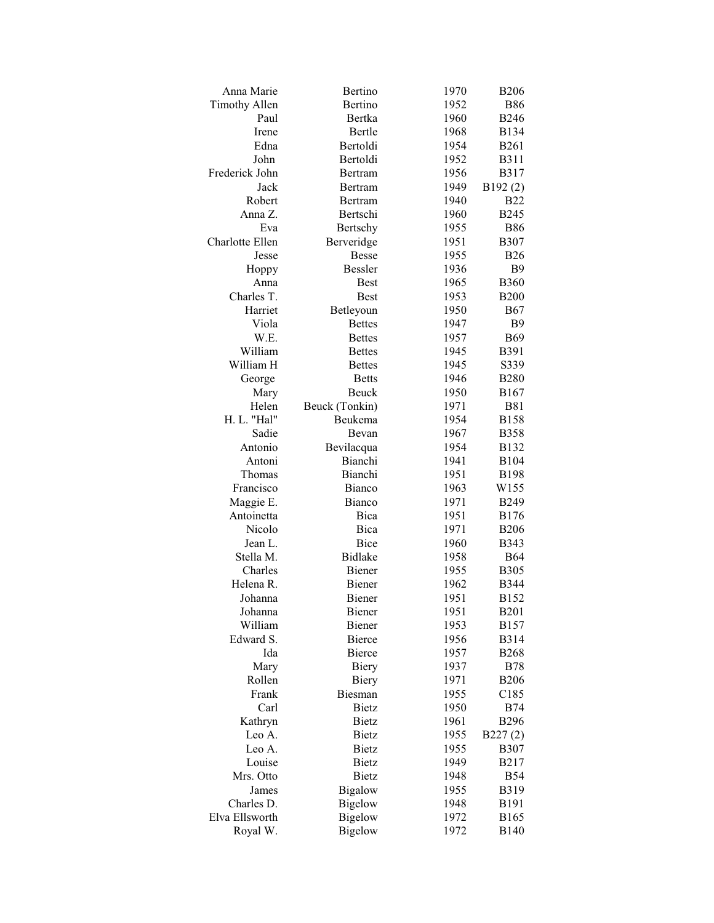| Anna Marie             | Bertino        | 1970 | <b>B206</b>    |
|------------------------|----------------|------|----------------|
| <b>Timothy Allen</b>   | Bertino        | 1952 | <b>B86</b>     |
| Paul                   | Bertka         | 1960 | <b>B246</b>    |
| Irene                  | Bertle         | 1968 | <b>B134</b>    |
| Edna                   | Bertoldi       | 1954 | <b>B261</b>    |
| John                   | Bertoldi       | 1952 | <b>B311</b>    |
| Frederick John         | Bertram        | 1956 | B317           |
| Jack                   | Bertram        | 1949 | B192(2)        |
| Robert                 | Bertram        | 1940 | <b>B22</b>     |
| Anna Z.                | Bertschi       | 1960 | <b>B245</b>    |
| Eva                    | Bertschy       | 1955 | <b>B86</b>     |
| <b>Charlotte Ellen</b> | Berveridge     | 1951 | <b>B307</b>    |
| Jesse                  | <b>Besse</b>   | 1955 | <b>B26</b>     |
| Hoppy                  | <b>Bessler</b> | 1936 | <b>B9</b>      |
| Anna                   | <b>Best</b>    | 1965 | <b>B360</b>    |
| Charles T.             | <b>Best</b>    | 1953 | <b>B200</b>    |
| Harriet                | Betleyoun      | 1950 | <b>B67</b>     |
| Viola                  | <b>Bettes</b>  | 1947 | B <sub>9</sub> |
| W.E.                   | <b>Bettes</b>  | 1957 | <b>B69</b>     |
| William                | <b>Bettes</b>  | 1945 | <b>B391</b>    |
| William H              | <b>Bettes</b>  | 1945 | S339           |
| George                 | <b>Betts</b>   | 1946 | <b>B280</b>    |
| Mary                   | Beuck          | 1950 | B167           |
| Helen                  | Beuck (Tonkin) | 1971 | <b>B81</b>     |
| H. L. "Hal"            | Beukema        | 1954 | <b>B158</b>    |
| Sadie                  | Bevan          | 1967 | <b>B358</b>    |
| Antonio                | Bevilacqua     | 1954 | <b>B132</b>    |
|                        | Bianchi        |      |                |
| Antoni                 | Bianchi        | 1941 | <b>B104</b>    |
| Thomas<br>Francisco    |                | 1951 | <b>B198</b>    |
|                        | Bianco         | 1963 | W155           |
| Maggie E.              | Bianco         | 1971 | <b>B249</b>    |
| Antoinetta             | Bica           | 1951 | <b>B176</b>    |
| Nicolo                 | Bica           | 1971 | <b>B206</b>    |
| Jean L.                | Bice           | 1960 | <b>B343</b>    |
| Stella M.              | <b>Bidlake</b> | 1958 | <b>B64</b>     |
| Charles                | Biener         | 1955 | <b>B305</b>    |
| Helena R.              | Biener         | 1962 | <b>B</b> 344   |
| Johanna                | Biener         | 1951 | <b>B152</b>    |
| Johanna                | Biener         | 1951 | <b>B201</b>    |
| William                | Biener         | 1953 | <b>B157</b>    |
| Edward S.              | Bierce         | 1956 | <b>B314</b>    |
| Ida                    | Bierce         | 1957 | <b>B268</b>    |
| Mary                   | Biery          | 1937 | <b>B78</b>     |
| Rollen                 | Biery          | 1971 | <b>B206</b>    |
| Frank                  | Biesman        | 1955 | C185           |
| Carl                   | <b>Bietz</b>   | 1950 | <b>B74</b>     |
| Kathryn                | <b>Bietz</b>   | 1961 | <b>B296</b>    |
| Leo A.                 | Bietz          | 1955 | B227(2)        |
| Leo A.                 | Bietz          | 1955 | <b>B307</b>    |
| Louise                 | <b>Bietz</b>   | 1949 | B217           |
| Mrs. Otto              | <b>Bietz</b>   | 1948 | <b>B54</b>     |
| James                  | <b>Bigalow</b> | 1955 | <b>B319</b>    |
| Charles D.             | <b>Bigelow</b> | 1948 | B191           |
| Elva Ellsworth         | <b>Bigelow</b> | 1972 | <b>B165</b>    |
| Royal W.               | <b>Bigelow</b> | 1972 | <b>B140</b>    |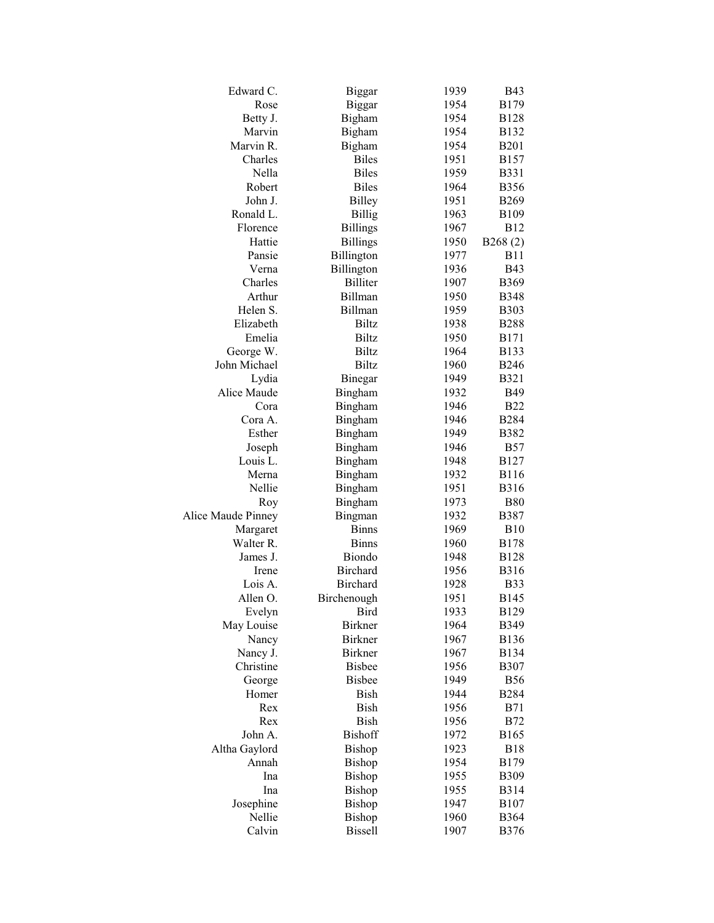| Edward C.          | Biggar          | 1939 | <b>B43</b>   |
|--------------------|-----------------|------|--------------|
| Rose               | <b>Biggar</b>   | 1954 | <b>B179</b>  |
| Betty J.           | Bigham          | 1954 | <b>B128</b>  |
| Marvin             | Bigham          | 1954 | B132         |
| Marvin R.          | Bigham          | 1954 | <b>B201</b>  |
| Charles            | <b>Biles</b>    | 1951 | <b>B157</b>  |
| Nella              | <b>Biles</b>    | 1959 | <b>B331</b>  |
| Robert             | <b>Biles</b>    | 1964 | <b>B356</b>  |
| John J.            | <b>Billey</b>   | 1951 | <b>B269</b>  |
| Ronald L.          | <b>Billig</b>   | 1963 | <b>B109</b>  |
| Florence           | <b>Billings</b> | 1967 | <b>B12</b>   |
| Hattie             | <b>Billings</b> | 1950 | B268(2)      |
| Pansie             | Billington      | 1977 | <b>B11</b>   |
| Verna              | Billington      | 1936 | <b>B43</b>   |
| Charles            | <b>Billiter</b> | 1907 | <b>B369</b>  |
| Arthur             | Billman         | 1950 | <b>B348</b>  |
| Helen S.           | Billman         | 1959 | <b>B303</b>  |
| Elizabeth          | <b>Biltz</b>    | 1938 | <b>B288</b>  |
| Emelia             | <b>Biltz</b>    | 1950 | <b>B171</b>  |
| George W.          | <b>Biltz</b>    | 1964 | <b>B133</b>  |
| John Michael       | <b>Biltz</b>    | 1960 | <b>B246</b>  |
| Lydia              | Binegar         | 1949 | <b>B321</b>  |
| Alice Maude        | Bingham         | 1932 | <b>B49</b>   |
| Cora               | Bingham         | 1946 | <b>B22</b>   |
| Cora A.            | Bingham         | 1946 | <b>B284</b>  |
| Esther             | Bingham         | 1949 | <b>B382</b>  |
| Joseph             | Bingham         | 1946 | <b>B57</b>   |
| Louis L.           | Bingham         | 1948 | <b>B127</b>  |
| Merna              | Bingham         | 1932 | <b>B116</b>  |
| Nellie             | Bingham         | 1951 | <b>B316</b>  |
| Roy                | Bingham         | 1973 | <b>B80</b>   |
| Alice Maude Pinney | Bingman         | 1932 | <b>B387</b>  |
| Margaret           | <b>Binns</b>    | 1969 | <b>B10</b>   |
| Walter R.          | <b>Binns</b>    | 1960 | <b>B178</b>  |
| James J.           | <b>Biondo</b>   | 1948 | <b>B128</b>  |
| Irene              | <b>Birchard</b> | 1956 | <b>B</b> 316 |
| Lois A.            | <b>Birchard</b> | 1928 | <b>B33</b>   |
| Allen O.           | Birchenough     | 1951 | B145         |
| Evelyn             | Bird            | 1933 | <b>B129</b>  |
| May Louise         | <b>Birkner</b>  | 1964 | B349         |
| Nancy              | <b>Birkner</b>  | 1967 | <b>B136</b>  |
| Nancy J.           | <b>Birkner</b>  | 1967 | <b>B134</b>  |
| Christine          | <b>Bisbee</b>   | 1956 | <b>B307</b>  |
| George             | <b>Bisbee</b>   | 1949 | <b>B56</b>   |
| Homer              | Bish            | 1944 | <b>B284</b>  |
| Rex                | Bish            | 1956 | <b>B71</b>   |
| Rex                | Bish            | 1956 | <b>B72</b>   |
| John A.            | <b>Bishoff</b>  | 1972 | B165         |
| Altha Gaylord      | Bishop          | 1923 | <b>B18</b>   |
| Annah              | Bishop          | 1954 | <b>B179</b>  |
| Ina                | Bishop          | 1955 | <b>B309</b>  |
| Ina                | Bishop          | 1955 | <b>B314</b>  |
| Josephine          | Bishop          | 1947 | <b>B107</b>  |
| Nellie             | Bishop          | 1960 | <b>B364</b>  |
| Calvin             | <b>Bissell</b>  | 1907 | <b>B376</b>  |
|                    |                 |      |              |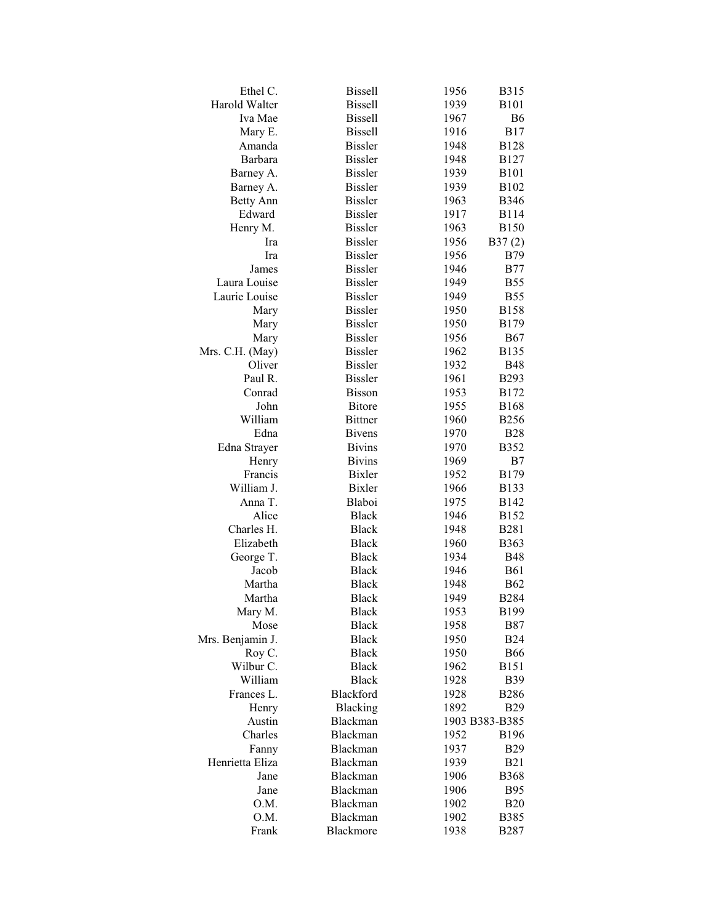| Ethel C.         | <b>Bissell</b> | 1956         | <b>B315</b>               |
|------------------|----------------|--------------|---------------------------|
| Harold Walter    | <b>Bissell</b> | 1939         | <b>B101</b>               |
| Iva Mae          | <b>Bissell</b> | 1967         | <b>B6</b>                 |
| Mary E.          | <b>Bissell</b> | 1916         | <b>B17</b>                |
| Amanda           | <b>Bissler</b> | 1948         | <b>B128</b>               |
| Barbara          | <b>Bissler</b> | 1948         | <b>B127</b>               |
| Barney A.        | <b>Bissler</b> | 1939         | <b>B101</b>               |
| Barney A.        | <b>Bissler</b> | 1939         | B102                      |
| <b>Betty Ann</b> | <b>Bissler</b> | 1963         | <b>B346</b>               |
| Edward           | <b>Bissler</b> | 1917         | <b>B114</b>               |
| Henry M.         | <b>Bissler</b> | 1963         | <b>B150</b>               |
| Ira              | <b>Bissler</b> | 1956         | B37(2)                    |
| Ira              | <b>Bissler</b> | 1956         | <b>B79</b>                |
| James            | <b>Bissler</b> | 1946         | <b>B77</b>                |
| Laura Louise     | <b>Bissler</b> | 1949         | <b>B55</b>                |
| Laurie Louise    | <b>Bissler</b> | 1949         | <b>B55</b>                |
| Mary             | <b>Bissler</b> | 1950         | <b>B158</b>               |
| Mary             | <b>Bissler</b> | 1950         | <b>B179</b>               |
| Mary             | <b>Bissler</b> | 1956         | <b>B67</b>                |
| Mrs. C.H. (May)  | <b>Bissler</b> | 1962         | <b>B135</b>               |
| Oliver           | <b>Bissler</b> | 1932         | <b>B48</b>                |
| Paul R.          | <b>Bissler</b> | 1961         | B293                      |
| Conrad           | <b>Bisson</b>  | 1953         | B172                      |
| John             | <b>Bitore</b>  | 1955         | <b>B168</b>               |
| William          | <b>Bittner</b> | 1960         | <b>B256</b>               |
| Edna             | <b>Bivens</b>  | 1970         | <b>B28</b>                |
| Edna Strayer     | <b>Bivins</b>  | 1970         | <b>B352</b>               |
|                  | <b>Bivins</b>  | 1969         | B7                        |
| Henry<br>Francis | <b>Bixler</b>  | 1952         | <b>B179</b>               |
| William J.       | <b>Bixler</b>  | 1966         | <b>B133</b>               |
| Anna T.          | Blaboi         | 1975         | <b>B142</b>               |
| Alice            | <b>Black</b>   | 1946         | B152                      |
| Charles H.       | <b>Black</b>   | 1948         | <b>B281</b>               |
| Elizabeth        | <b>Black</b>   |              |                           |
| George T.        | <b>Black</b>   | 1960<br>1934 | <b>B363</b><br><b>B48</b> |
|                  |                |              |                           |
| Jacob            | <b>Black</b>   | 1946         | <b>B61</b>                |
| Martha           | <b>Black</b>   | 1948         | <b>B62</b>                |
| Martha           | <b>Black</b>   | 1949         | <b>B284</b>               |
| Mary M.          | <b>Black</b>   | 1953         | <b>B199</b>               |
| Mose             | <b>Black</b>   | 1958         | <b>B87</b>                |
| Mrs. Benjamin J. | <b>Black</b>   | 1950         | <b>B24</b>                |
| Roy C.           | <b>Black</b>   | 1950         | <b>B66</b>                |
| Wilbur C.        | <b>Black</b>   | 1962         | <b>B151</b>               |
| William          | <b>Black</b>   | 1928         | <b>B39</b>                |
| Frances L.       | Blackford      | 1928         | <b>B286</b>               |
| Henry            | Blacking       | 1892         | <b>B29</b>                |
| Austin           | Blackman       |              | 1903 B383-B385            |
| Charles          | Blackman       | 1952         | <b>B196</b>               |
| Fanny            | Blackman       | 1937         | <b>B29</b>                |
| Henrietta Eliza  | Blackman       | 1939         | <b>B21</b>                |
| Jane             | Blackman       | 1906         | <b>B368</b>               |
| Jane             | Blackman       | 1906         | <b>B95</b>                |
| O.M.             | Blackman       | 1902         | <b>B20</b>                |
| O.M.             | Blackman       | 1902         | <b>B385</b>               |
| Frank            | Blackmore      | 1938         | B <sub>2</sub> 87         |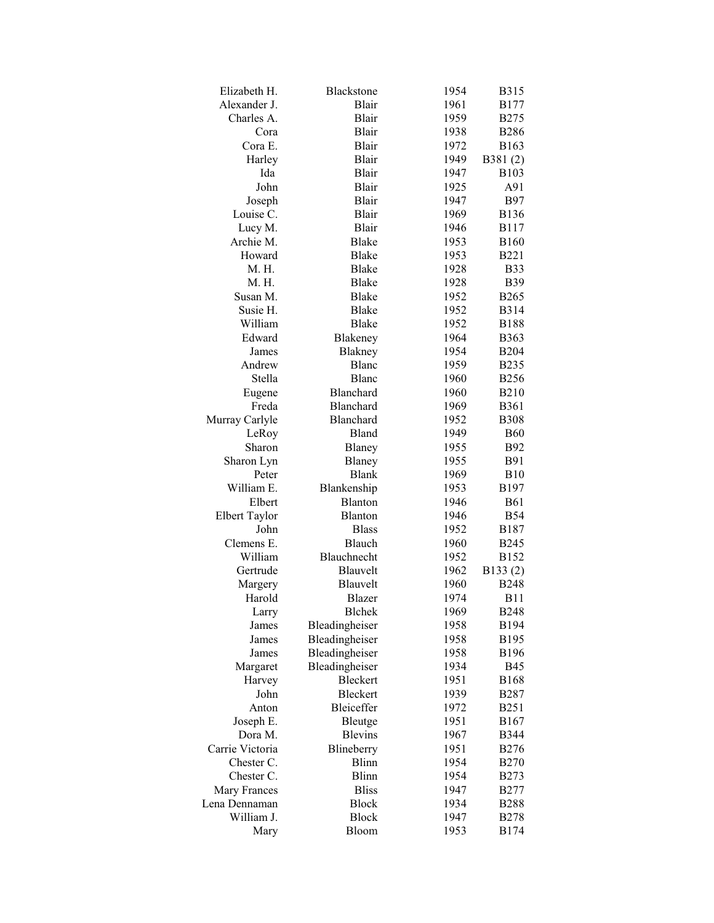| Elizabeth H.         | Blackstone       | 1954 | <b>B315</b> |
|----------------------|------------------|------|-------------|
| Alexander J.         | Blair            | 1961 | <b>B177</b> |
| Charles A.           | Blair            | 1959 | <b>B275</b> |
| Cora                 | Blair            | 1938 | <b>B286</b> |
| Cora E.              | Blair            | 1972 | <b>B163</b> |
| Harley               | Blair            | 1949 | B381(2)     |
| Ida                  | Blair            | 1947 | <b>B103</b> |
| John                 | Blair            | 1925 | A91         |
| Joseph               | Blair            | 1947 | <b>B97</b>  |
| Louise C.            | Blair            | 1969 | <b>B136</b> |
| Lucy M.              | Blair            | 1946 | <b>B117</b> |
| Archie M.            | Blake            | 1953 | <b>B160</b> |
| Howard               | Blake            | 1953 | <b>B221</b> |
| M. H.                | <b>Blake</b>     | 1928 | <b>B33</b>  |
| M. H.                | Blake            | 1928 | <b>B39</b>  |
| Susan M.             | Blake            | 1952 | <b>B265</b> |
| Susie H.             | <b>Blake</b>     | 1952 | <b>B314</b> |
| William              | Blake            | 1952 | <b>B188</b> |
| Edward               | Blakeney         | 1964 | <b>B363</b> |
| James                | Blakney          | 1954 | <b>B204</b> |
| Andrew               | Blanc            | 1959 | <b>B235</b> |
| Stella               | Blanc            | 1960 | <b>B256</b> |
| Eugene               | <b>Blanchard</b> | 1960 | <b>B210</b> |
| Freda                | <b>Blanchard</b> | 1969 | <b>B361</b> |
| Murray Carlyle       | Blanchard        | 1952 | <b>B308</b> |
| LeRoy                | Bland            | 1949 | <b>B60</b>  |
| Sharon               | Blaney           | 1955 | <b>B92</b>  |
| Sharon Lyn           | Blaney           | 1955 | <b>B91</b>  |
| Peter                | <b>Blank</b>     | 1969 | <b>B10</b>  |
| William E.           | Blankenship      | 1953 | B197        |
| Elbert               | Blanton          | 1946 | <b>B61</b>  |
| <b>Elbert Taylor</b> | Blanton          | 1946 | <b>B54</b>  |
| John                 | <b>Blass</b>     | 1952 | B187        |
| Clemens E.           | Blauch           | 1960 | <b>B245</b> |
| William              | Blauchnecht      | 1952 | <b>B152</b> |
| Gertrude             | Blauvelt         | 1962 | B133(2)     |
| Margery              | Blauvelt         | 1960 | <b>B248</b> |
| Harold               | Blazer           | 1974 | B11         |
| Larry                | <b>Blchek</b>    | 1969 | <b>B248</b> |
| James                | Bleadingheiser   | 1958 | <b>B194</b> |
| James                | Bleadingheiser   | 1958 | B195        |
| James                | Bleadingheiser   | 1958 | <b>B196</b> |
| Margaret             | Bleadingheiser   | 1934 | <b>B45</b>  |
| Harvey               | Bleckert         | 1951 | <b>B168</b> |
| John                 | Bleckert         | 1939 | <b>B287</b> |
| Anton                | Bleiceffer       | 1972 | <b>B251</b> |
| Joseph E.            | Bleutge          | 1951 | B167        |
| Dora M.              | <b>Blevins</b>   | 1967 | <b>B344</b> |
| Carrie Victoria      | Blineberry       | 1951 | <b>B276</b> |
| Chester C.           | <b>Blinn</b>     | 1954 | <b>B270</b> |
| Chester C.           | Blinn            | 1954 | <b>B273</b> |
| Mary Frances         | <b>Bliss</b>     | 1947 | <b>B277</b> |
| Lena Dennaman        | <b>Block</b>     | 1934 | <b>B288</b> |
| William J.           | <b>Block</b>     | 1947 | <b>B278</b> |
| Mary                 | Bloom            | 1953 | <b>B174</b> |
|                      |                  |      |             |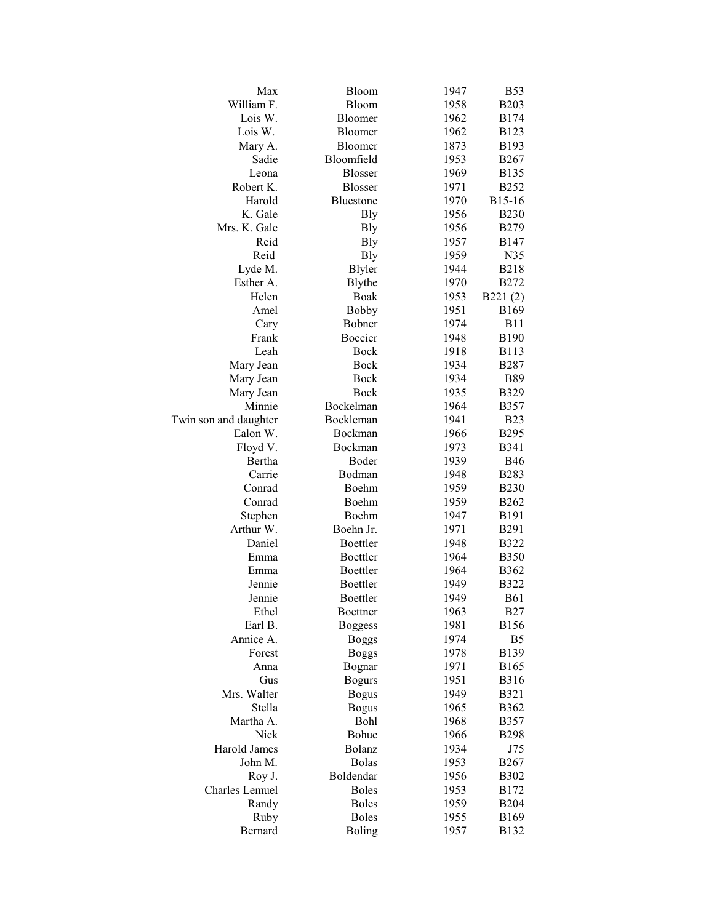| William F.<br>Bloom<br>1958<br><b>B203</b><br>Lois W.<br>1962<br><b>B174</b><br>Bloomer<br>Lois W.<br>1962<br><b>B123</b><br>Bloomer<br>Bloomer<br>1873<br>Mary A.<br>B <sub>193</sub><br>Sadie<br>Bloomfield<br>1953<br><b>B267</b><br>Leona<br><b>Blosser</b><br>1969<br><b>B135</b><br>Robert K.<br><b>Blosser</b><br>1971<br><b>B252</b><br>Harold<br>Bluestone<br>1970<br>B15-16<br>K. Gale<br>1956<br><b>B230</b><br><b>B</b> ly<br>Mrs. K. Gale<br><b>B</b> ly<br>1956<br><b>B279</b><br>Reid<br><b>Bly</b><br>1957<br><b>B147</b><br>Reid<br><b>Bly</b><br>1959<br>N35<br>Lyde M.<br><b>B</b> lyler<br>1944<br><b>B218</b><br>Esther A.<br>Blythe<br>1970<br><b>B272</b><br>Helen<br>Boak<br>B221(2)<br>1953<br>Amel<br><b>Bobby</b><br>1951<br><b>B169</b><br>Bobner<br>1974<br><b>B11</b><br>Cary<br>Frank<br>Boccier<br>1948<br><b>B190</b><br>Leah<br>Bock<br>1918<br><b>B113</b><br>Bock<br>1934<br><b>B287</b><br>Mary Jean<br><b>Bock</b><br>1934<br><b>B89</b><br>Mary Jean<br><b>Bock</b><br>1935<br><b>B329</b><br>Mary Jean<br>Minnie<br>Bockelman<br>1964<br><b>B357</b><br>Bockleman<br>1941<br><b>B23</b><br>Twin son and daughter<br>Ealon W.<br>Bockman<br>1966<br><b>B295</b><br>Bockman<br><b>B341</b><br>Floyd V.<br>1973<br>Bertha<br>Boder<br>1939<br><b>B46</b><br>Carrie<br>Bodman<br>1948<br><b>B283</b><br>Boehm<br>Conrad<br>1959<br><b>B230</b><br>Conrad<br>Boehm<br>1959<br><b>B262</b><br>Stephen<br>Boehm<br><b>B191</b><br>1947<br>Arthur W.<br>Boehn Jr.<br>B291<br>1971<br>Boettler<br>Daniel<br>1948<br><b>B322</b><br>Boettler<br>Emma<br>1964<br><b>B350</b><br>Boettler<br>1964<br>Emma<br><b>B362</b><br>Boettler<br>1949<br>Jennie<br><b>B322</b><br><b>B61</b><br>Jennie<br>Boettler<br>1949<br>Ethel<br>1963<br><b>B27</b><br>Boettner<br>Earl B.<br>1981<br><b>B156</b><br><b>Boggess</b><br>Annice A.<br>1974<br>B <sub>5</sub><br><b>Boggs</b><br>Forest<br><b>B139</b><br><b>Boggs</b><br>1978<br>1971<br><b>B165</b><br>Anna<br>Bognar<br>1951<br><b>B316</b><br>Gus<br><b>Bogurs</b><br>Mrs. Walter<br><b>Bogus</b><br>1949<br><b>B321</b><br>Stella<br><b>Bogus</b><br>1965<br>B362<br>Martha A.<br>Bohl<br>1968<br><b>B357</b><br>Nick<br>Bohuc<br>1966<br><b>B298</b><br>Bolanz<br>Harold James<br>1934<br>J75<br>John M.<br><b>Bolas</b><br>1953<br><b>B267</b><br>Boldendar<br>Roy J.<br>1956<br><b>B302</b><br>Charles Lemuel<br><b>Boles</b><br>1953<br>B172<br><b>Boles</b><br>Randy<br>1959<br><b>B204</b><br><b>Boles</b><br>Ruby<br>1955<br><b>B169</b><br>Bernard<br>Boling<br>1957<br>B132 | Max | Bloom | 1947 | <b>B53</b> |
|-----------------------------------------------------------------------------------------------------------------------------------------------------------------------------------------------------------------------------------------------------------------------------------------------------------------------------------------------------------------------------------------------------------------------------------------------------------------------------------------------------------------------------------------------------------------------------------------------------------------------------------------------------------------------------------------------------------------------------------------------------------------------------------------------------------------------------------------------------------------------------------------------------------------------------------------------------------------------------------------------------------------------------------------------------------------------------------------------------------------------------------------------------------------------------------------------------------------------------------------------------------------------------------------------------------------------------------------------------------------------------------------------------------------------------------------------------------------------------------------------------------------------------------------------------------------------------------------------------------------------------------------------------------------------------------------------------------------------------------------------------------------------------------------------------------------------------------------------------------------------------------------------------------------------------------------------------------------------------------------------------------------------------------------------------------------------------------------------------------------------------------------------------------------------------------------------------------------------------------------------------------------------------------------------------------------------------------------------------------------------------------------------------------------------------------------------------------------------------------------------------------------------------------------------------------------|-----|-------|------|------------|
|                                                                                                                                                                                                                                                                                                                                                                                                                                                                                                                                                                                                                                                                                                                                                                                                                                                                                                                                                                                                                                                                                                                                                                                                                                                                                                                                                                                                                                                                                                                                                                                                                                                                                                                                                                                                                                                                                                                                                                                                                                                                                                                                                                                                                                                                                                                                                                                                                                                                                                                                                                 |     |       |      |            |
|                                                                                                                                                                                                                                                                                                                                                                                                                                                                                                                                                                                                                                                                                                                                                                                                                                                                                                                                                                                                                                                                                                                                                                                                                                                                                                                                                                                                                                                                                                                                                                                                                                                                                                                                                                                                                                                                                                                                                                                                                                                                                                                                                                                                                                                                                                                                                                                                                                                                                                                                                                 |     |       |      |            |
|                                                                                                                                                                                                                                                                                                                                                                                                                                                                                                                                                                                                                                                                                                                                                                                                                                                                                                                                                                                                                                                                                                                                                                                                                                                                                                                                                                                                                                                                                                                                                                                                                                                                                                                                                                                                                                                                                                                                                                                                                                                                                                                                                                                                                                                                                                                                                                                                                                                                                                                                                                 |     |       |      |            |
|                                                                                                                                                                                                                                                                                                                                                                                                                                                                                                                                                                                                                                                                                                                                                                                                                                                                                                                                                                                                                                                                                                                                                                                                                                                                                                                                                                                                                                                                                                                                                                                                                                                                                                                                                                                                                                                                                                                                                                                                                                                                                                                                                                                                                                                                                                                                                                                                                                                                                                                                                                 |     |       |      |            |
|                                                                                                                                                                                                                                                                                                                                                                                                                                                                                                                                                                                                                                                                                                                                                                                                                                                                                                                                                                                                                                                                                                                                                                                                                                                                                                                                                                                                                                                                                                                                                                                                                                                                                                                                                                                                                                                                                                                                                                                                                                                                                                                                                                                                                                                                                                                                                                                                                                                                                                                                                                 |     |       |      |            |
|                                                                                                                                                                                                                                                                                                                                                                                                                                                                                                                                                                                                                                                                                                                                                                                                                                                                                                                                                                                                                                                                                                                                                                                                                                                                                                                                                                                                                                                                                                                                                                                                                                                                                                                                                                                                                                                                                                                                                                                                                                                                                                                                                                                                                                                                                                                                                                                                                                                                                                                                                                 |     |       |      |            |
|                                                                                                                                                                                                                                                                                                                                                                                                                                                                                                                                                                                                                                                                                                                                                                                                                                                                                                                                                                                                                                                                                                                                                                                                                                                                                                                                                                                                                                                                                                                                                                                                                                                                                                                                                                                                                                                                                                                                                                                                                                                                                                                                                                                                                                                                                                                                                                                                                                                                                                                                                                 |     |       |      |            |
|                                                                                                                                                                                                                                                                                                                                                                                                                                                                                                                                                                                                                                                                                                                                                                                                                                                                                                                                                                                                                                                                                                                                                                                                                                                                                                                                                                                                                                                                                                                                                                                                                                                                                                                                                                                                                                                                                                                                                                                                                                                                                                                                                                                                                                                                                                                                                                                                                                                                                                                                                                 |     |       |      |            |
|                                                                                                                                                                                                                                                                                                                                                                                                                                                                                                                                                                                                                                                                                                                                                                                                                                                                                                                                                                                                                                                                                                                                                                                                                                                                                                                                                                                                                                                                                                                                                                                                                                                                                                                                                                                                                                                                                                                                                                                                                                                                                                                                                                                                                                                                                                                                                                                                                                                                                                                                                                 |     |       |      |            |
|                                                                                                                                                                                                                                                                                                                                                                                                                                                                                                                                                                                                                                                                                                                                                                                                                                                                                                                                                                                                                                                                                                                                                                                                                                                                                                                                                                                                                                                                                                                                                                                                                                                                                                                                                                                                                                                                                                                                                                                                                                                                                                                                                                                                                                                                                                                                                                                                                                                                                                                                                                 |     |       |      |            |
|                                                                                                                                                                                                                                                                                                                                                                                                                                                                                                                                                                                                                                                                                                                                                                                                                                                                                                                                                                                                                                                                                                                                                                                                                                                                                                                                                                                                                                                                                                                                                                                                                                                                                                                                                                                                                                                                                                                                                                                                                                                                                                                                                                                                                                                                                                                                                                                                                                                                                                                                                                 |     |       |      |            |
|                                                                                                                                                                                                                                                                                                                                                                                                                                                                                                                                                                                                                                                                                                                                                                                                                                                                                                                                                                                                                                                                                                                                                                                                                                                                                                                                                                                                                                                                                                                                                                                                                                                                                                                                                                                                                                                                                                                                                                                                                                                                                                                                                                                                                                                                                                                                                                                                                                                                                                                                                                 |     |       |      |            |
|                                                                                                                                                                                                                                                                                                                                                                                                                                                                                                                                                                                                                                                                                                                                                                                                                                                                                                                                                                                                                                                                                                                                                                                                                                                                                                                                                                                                                                                                                                                                                                                                                                                                                                                                                                                                                                                                                                                                                                                                                                                                                                                                                                                                                                                                                                                                                                                                                                                                                                                                                                 |     |       |      |            |
|                                                                                                                                                                                                                                                                                                                                                                                                                                                                                                                                                                                                                                                                                                                                                                                                                                                                                                                                                                                                                                                                                                                                                                                                                                                                                                                                                                                                                                                                                                                                                                                                                                                                                                                                                                                                                                                                                                                                                                                                                                                                                                                                                                                                                                                                                                                                                                                                                                                                                                                                                                 |     |       |      |            |
|                                                                                                                                                                                                                                                                                                                                                                                                                                                                                                                                                                                                                                                                                                                                                                                                                                                                                                                                                                                                                                                                                                                                                                                                                                                                                                                                                                                                                                                                                                                                                                                                                                                                                                                                                                                                                                                                                                                                                                                                                                                                                                                                                                                                                                                                                                                                                                                                                                                                                                                                                                 |     |       |      |            |
|                                                                                                                                                                                                                                                                                                                                                                                                                                                                                                                                                                                                                                                                                                                                                                                                                                                                                                                                                                                                                                                                                                                                                                                                                                                                                                                                                                                                                                                                                                                                                                                                                                                                                                                                                                                                                                                                                                                                                                                                                                                                                                                                                                                                                                                                                                                                                                                                                                                                                                                                                                 |     |       |      |            |
|                                                                                                                                                                                                                                                                                                                                                                                                                                                                                                                                                                                                                                                                                                                                                                                                                                                                                                                                                                                                                                                                                                                                                                                                                                                                                                                                                                                                                                                                                                                                                                                                                                                                                                                                                                                                                                                                                                                                                                                                                                                                                                                                                                                                                                                                                                                                                                                                                                                                                                                                                                 |     |       |      |            |
|                                                                                                                                                                                                                                                                                                                                                                                                                                                                                                                                                                                                                                                                                                                                                                                                                                                                                                                                                                                                                                                                                                                                                                                                                                                                                                                                                                                                                                                                                                                                                                                                                                                                                                                                                                                                                                                                                                                                                                                                                                                                                                                                                                                                                                                                                                                                                                                                                                                                                                                                                                 |     |       |      |            |
|                                                                                                                                                                                                                                                                                                                                                                                                                                                                                                                                                                                                                                                                                                                                                                                                                                                                                                                                                                                                                                                                                                                                                                                                                                                                                                                                                                                                                                                                                                                                                                                                                                                                                                                                                                                                                                                                                                                                                                                                                                                                                                                                                                                                                                                                                                                                                                                                                                                                                                                                                                 |     |       |      |            |
|                                                                                                                                                                                                                                                                                                                                                                                                                                                                                                                                                                                                                                                                                                                                                                                                                                                                                                                                                                                                                                                                                                                                                                                                                                                                                                                                                                                                                                                                                                                                                                                                                                                                                                                                                                                                                                                                                                                                                                                                                                                                                                                                                                                                                                                                                                                                                                                                                                                                                                                                                                 |     |       |      |            |
|                                                                                                                                                                                                                                                                                                                                                                                                                                                                                                                                                                                                                                                                                                                                                                                                                                                                                                                                                                                                                                                                                                                                                                                                                                                                                                                                                                                                                                                                                                                                                                                                                                                                                                                                                                                                                                                                                                                                                                                                                                                                                                                                                                                                                                                                                                                                                                                                                                                                                                                                                                 |     |       |      |            |
|                                                                                                                                                                                                                                                                                                                                                                                                                                                                                                                                                                                                                                                                                                                                                                                                                                                                                                                                                                                                                                                                                                                                                                                                                                                                                                                                                                                                                                                                                                                                                                                                                                                                                                                                                                                                                                                                                                                                                                                                                                                                                                                                                                                                                                                                                                                                                                                                                                                                                                                                                                 |     |       |      |            |
|                                                                                                                                                                                                                                                                                                                                                                                                                                                                                                                                                                                                                                                                                                                                                                                                                                                                                                                                                                                                                                                                                                                                                                                                                                                                                                                                                                                                                                                                                                                                                                                                                                                                                                                                                                                                                                                                                                                                                                                                                                                                                                                                                                                                                                                                                                                                                                                                                                                                                                                                                                 |     |       |      |            |
|                                                                                                                                                                                                                                                                                                                                                                                                                                                                                                                                                                                                                                                                                                                                                                                                                                                                                                                                                                                                                                                                                                                                                                                                                                                                                                                                                                                                                                                                                                                                                                                                                                                                                                                                                                                                                                                                                                                                                                                                                                                                                                                                                                                                                                                                                                                                                                                                                                                                                                                                                                 |     |       |      |            |
|                                                                                                                                                                                                                                                                                                                                                                                                                                                                                                                                                                                                                                                                                                                                                                                                                                                                                                                                                                                                                                                                                                                                                                                                                                                                                                                                                                                                                                                                                                                                                                                                                                                                                                                                                                                                                                                                                                                                                                                                                                                                                                                                                                                                                                                                                                                                                                                                                                                                                                                                                                 |     |       |      |            |
|                                                                                                                                                                                                                                                                                                                                                                                                                                                                                                                                                                                                                                                                                                                                                                                                                                                                                                                                                                                                                                                                                                                                                                                                                                                                                                                                                                                                                                                                                                                                                                                                                                                                                                                                                                                                                                                                                                                                                                                                                                                                                                                                                                                                                                                                                                                                                                                                                                                                                                                                                                 |     |       |      |            |
|                                                                                                                                                                                                                                                                                                                                                                                                                                                                                                                                                                                                                                                                                                                                                                                                                                                                                                                                                                                                                                                                                                                                                                                                                                                                                                                                                                                                                                                                                                                                                                                                                                                                                                                                                                                                                                                                                                                                                                                                                                                                                                                                                                                                                                                                                                                                                                                                                                                                                                                                                                 |     |       |      |            |
|                                                                                                                                                                                                                                                                                                                                                                                                                                                                                                                                                                                                                                                                                                                                                                                                                                                                                                                                                                                                                                                                                                                                                                                                                                                                                                                                                                                                                                                                                                                                                                                                                                                                                                                                                                                                                                                                                                                                                                                                                                                                                                                                                                                                                                                                                                                                                                                                                                                                                                                                                                 |     |       |      |            |
|                                                                                                                                                                                                                                                                                                                                                                                                                                                                                                                                                                                                                                                                                                                                                                                                                                                                                                                                                                                                                                                                                                                                                                                                                                                                                                                                                                                                                                                                                                                                                                                                                                                                                                                                                                                                                                                                                                                                                                                                                                                                                                                                                                                                                                                                                                                                                                                                                                                                                                                                                                 |     |       |      |            |
|                                                                                                                                                                                                                                                                                                                                                                                                                                                                                                                                                                                                                                                                                                                                                                                                                                                                                                                                                                                                                                                                                                                                                                                                                                                                                                                                                                                                                                                                                                                                                                                                                                                                                                                                                                                                                                                                                                                                                                                                                                                                                                                                                                                                                                                                                                                                                                                                                                                                                                                                                                 |     |       |      |            |
|                                                                                                                                                                                                                                                                                                                                                                                                                                                                                                                                                                                                                                                                                                                                                                                                                                                                                                                                                                                                                                                                                                                                                                                                                                                                                                                                                                                                                                                                                                                                                                                                                                                                                                                                                                                                                                                                                                                                                                                                                                                                                                                                                                                                                                                                                                                                                                                                                                                                                                                                                                 |     |       |      |            |
|                                                                                                                                                                                                                                                                                                                                                                                                                                                                                                                                                                                                                                                                                                                                                                                                                                                                                                                                                                                                                                                                                                                                                                                                                                                                                                                                                                                                                                                                                                                                                                                                                                                                                                                                                                                                                                                                                                                                                                                                                                                                                                                                                                                                                                                                                                                                                                                                                                                                                                                                                                 |     |       |      |            |
|                                                                                                                                                                                                                                                                                                                                                                                                                                                                                                                                                                                                                                                                                                                                                                                                                                                                                                                                                                                                                                                                                                                                                                                                                                                                                                                                                                                                                                                                                                                                                                                                                                                                                                                                                                                                                                                                                                                                                                                                                                                                                                                                                                                                                                                                                                                                                                                                                                                                                                                                                                 |     |       |      |            |
|                                                                                                                                                                                                                                                                                                                                                                                                                                                                                                                                                                                                                                                                                                                                                                                                                                                                                                                                                                                                                                                                                                                                                                                                                                                                                                                                                                                                                                                                                                                                                                                                                                                                                                                                                                                                                                                                                                                                                                                                                                                                                                                                                                                                                                                                                                                                                                                                                                                                                                                                                                 |     |       |      |            |
|                                                                                                                                                                                                                                                                                                                                                                                                                                                                                                                                                                                                                                                                                                                                                                                                                                                                                                                                                                                                                                                                                                                                                                                                                                                                                                                                                                                                                                                                                                                                                                                                                                                                                                                                                                                                                                                                                                                                                                                                                                                                                                                                                                                                                                                                                                                                                                                                                                                                                                                                                                 |     |       |      |            |
|                                                                                                                                                                                                                                                                                                                                                                                                                                                                                                                                                                                                                                                                                                                                                                                                                                                                                                                                                                                                                                                                                                                                                                                                                                                                                                                                                                                                                                                                                                                                                                                                                                                                                                                                                                                                                                                                                                                                                                                                                                                                                                                                                                                                                                                                                                                                                                                                                                                                                                                                                                 |     |       |      |            |
|                                                                                                                                                                                                                                                                                                                                                                                                                                                                                                                                                                                                                                                                                                                                                                                                                                                                                                                                                                                                                                                                                                                                                                                                                                                                                                                                                                                                                                                                                                                                                                                                                                                                                                                                                                                                                                                                                                                                                                                                                                                                                                                                                                                                                                                                                                                                                                                                                                                                                                                                                                 |     |       |      |            |
|                                                                                                                                                                                                                                                                                                                                                                                                                                                                                                                                                                                                                                                                                                                                                                                                                                                                                                                                                                                                                                                                                                                                                                                                                                                                                                                                                                                                                                                                                                                                                                                                                                                                                                                                                                                                                                                                                                                                                                                                                                                                                                                                                                                                                                                                                                                                                                                                                                                                                                                                                                 |     |       |      |            |
|                                                                                                                                                                                                                                                                                                                                                                                                                                                                                                                                                                                                                                                                                                                                                                                                                                                                                                                                                                                                                                                                                                                                                                                                                                                                                                                                                                                                                                                                                                                                                                                                                                                                                                                                                                                                                                                                                                                                                                                                                                                                                                                                                                                                                                                                                                                                                                                                                                                                                                                                                                 |     |       |      |            |
|                                                                                                                                                                                                                                                                                                                                                                                                                                                                                                                                                                                                                                                                                                                                                                                                                                                                                                                                                                                                                                                                                                                                                                                                                                                                                                                                                                                                                                                                                                                                                                                                                                                                                                                                                                                                                                                                                                                                                                                                                                                                                                                                                                                                                                                                                                                                                                                                                                                                                                                                                                 |     |       |      |            |
|                                                                                                                                                                                                                                                                                                                                                                                                                                                                                                                                                                                                                                                                                                                                                                                                                                                                                                                                                                                                                                                                                                                                                                                                                                                                                                                                                                                                                                                                                                                                                                                                                                                                                                                                                                                                                                                                                                                                                                                                                                                                                                                                                                                                                                                                                                                                                                                                                                                                                                                                                                 |     |       |      |            |
|                                                                                                                                                                                                                                                                                                                                                                                                                                                                                                                                                                                                                                                                                                                                                                                                                                                                                                                                                                                                                                                                                                                                                                                                                                                                                                                                                                                                                                                                                                                                                                                                                                                                                                                                                                                                                                                                                                                                                                                                                                                                                                                                                                                                                                                                                                                                                                                                                                                                                                                                                                 |     |       |      |            |
|                                                                                                                                                                                                                                                                                                                                                                                                                                                                                                                                                                                                                                                                                                                                                                                                                                                                                                                                                                                                                                                                                                                                                                                                                                                                                                                                                                                                                                                                                                                                                                                                                                                                                                                                                                                                                                                                                                                                                                                                                                                                                                                                                                                                                                                                                                                                                                                                                                                                                                                                                                 |     |       |      |            |
|                                                                                                                                                                                                                                                                                                                                                                                                                                                                                                                                                                                                                                                                                                                                                                                                                                                                                                                                                                                                                                                                                                                                                                                                                                                                                                                                                                                                                                                                                                                                                                                                                                                                                                                                                                                                                                                                                                                                                                                                                                                                                                                                                                                                                                                                                                                                                                                                                                                                                                                                                                 |     |       |      |            |
|                                                                                                                                                                                                                                                                                                                                                                                                                                                                                                                                                                                                                                                                                                                                                                                                                                                                                                                                                                                                                                                                                                                                                                                                                                                                                                                                                                                                                                                                                                                                                                                                                                                                                                                                                                                                                                                                                                                                                                                                                                                                                                                                                                                                                                                                                                                                                                                                                                                                                                                                                                 |     |       |      |            |
|                                                                                                                                                                                                                                                                                                                                                                                                                                                                                                                                                                                                                                                                                                                                                                                                                                                                                                                                                                                                                                                                                                                                                                                                                                                                                                                                                                                                                                                                                                                                                                                                                                                                                                                                                                                                                                                                                                                                                                                                                                                                                                                                                                                                                                                                                                                                                                                                                                                                                                                                                                 |     |       |      |            |
|                                                                                                                                                                                                                                                                                                                                                                                                                                                                                                                                                                                                                                                                                                                                                                                                                                                                                                                                                                                                                                                                                                                                                                                                                                                                                                                                                                                                                                                                                                                                                                                                                                                                                                                                                                                                                                                                                                                                                                                                                                                                                                                                                                                                                                                                                                                                                                                                                                                                                                                                                                 |     |       |      |            |
|                                                                                                                                                                                                                                                                                                                                                                                                                                                                                                                                                                                                                                                                                                                                                                                                                                                                                                                                                                                                                                                                                                                                                                                                                                                                                                                                                                                                                                                                                                                                                                                                                                                                                                                                                                                                                                                                                                                                                                                                                                                                                                                                                                                                                                                                                                                                                                                                                                                                                                                                                                 |     |       |      |            |
|                                                                                                                                                                                                                                                                                                                                                                                                                                                                                                                                                                                                                                                                                                                                                                                                                                                                                                                                                                                                                                                                                                                                                                                                                                                                                                                                                                                                                                                                                                                                                                                                                                                                                                                                                                                                                                                                                                                                                                                                                                                                                                                                                                                                                                                                                                                                                                                                                                                                                                                                                                 |     |       |      |            |
|                                                                                                                                                                                                                                                                                                                                                                                                                                                                                                                                                                                                                                                                                                                                                                                                                                                                                                                                                                                                                                                                                                                                                                                                                                                                                                                                                                                                                                                                                                                                                                                                                                                                                                                                                                                                                                                                                                                                                                                                                                                                                                                                                                                                                                                                                                                                                                                                                                                                                                                                                                 |     |       |      |            |
|                                                                                                                                                                                                                                                                                                                                                                                                                                                                                                                                                                                                                                                                                                                                                                                                                                                                                                                                                                                                                                                                                                                                                                                                                                                                                                                                                                                                                                                                                                                                                                                                                                                                                                                                                                                                                                                                                                                                                                                                                                                                                                                                                                                                                                                                                                                                                                                                                                                                                                                                                                 |     |       |      |            |
|                                                                                                                                                                                                                                                                                                                                                                                                                                                                                                                                                                                                                                                                                                                                                                                                                                                                                                                                                                                                                                                                                                                                                                                                                                                                                                                                                                                                                                                                                                                                                                                                                                                                                                                                                                                                                                                                                                                                                                                                                                                                                                                                                                                                                                                                                                                                                                                                                                                                                                                                                                 |     |       |      |            |
|                                                                                                                                                                                                                                                                                                                                                                                                                                                                                                                                                                                                                                                                                                                                                                                                                                                                                                                                                                                                                                                                                                                                                                                                                                                                                                                                                                                                                                                                                                                                                                                                                                                                                                                                                                                                                                                                                                                                                                                                                                                                                                                                                                                                                                                                                                                                                                                                                                                                                                                                                                 |     |       |      |            |
|                                                                                                                                                                                                                                                                                                                                                                                                                                                                                                                                                                                                                                                                                                                                                                                                                                                                                                                                                                                                                                                                                                                                                                                                                                                                                                                                                                                                                                                                                                                                                                                                                                                                                                                                                                                                                                                                                                                                                                                                                                                                                                                                                                                                                                                                                                                                                                                                                                                                                                                                                                 |     |       |      |            |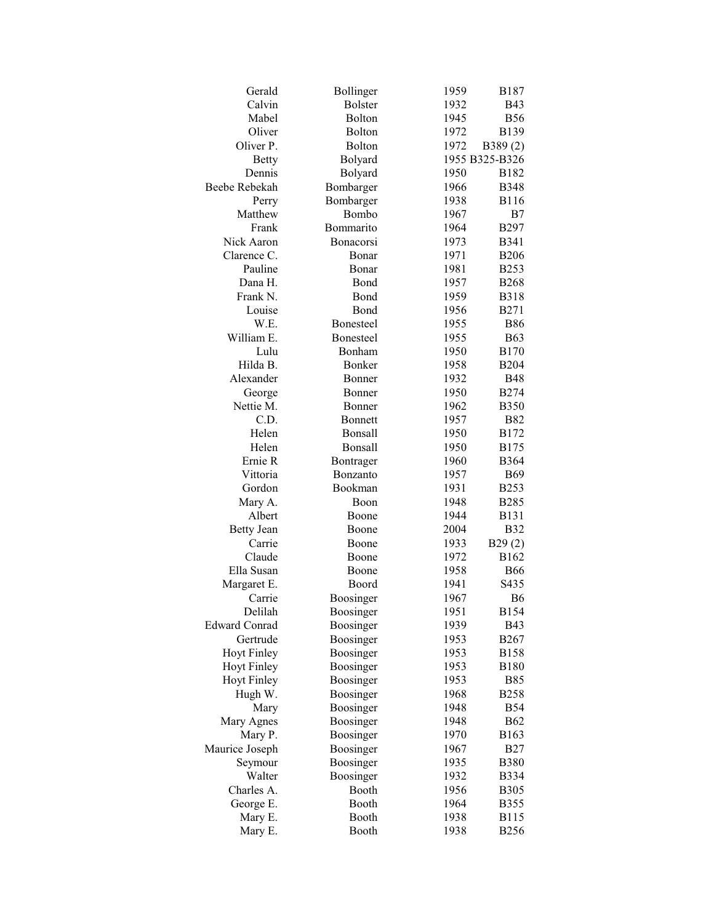| Gerald               | Bollinger             | 1959 | <b>B187</b>    |
|----------------------|-----------------------|------|----------------|
| Calvin               | <b>Bolster</b>        | 1932 | <b>B43</b>     |
| Mabel                | Bolton                | 1945 | <b>B56</b>     |
| Oliver               | <b>Bolton</b>         | 1972 | <b>B139</b>    |
| Oliver P.            | <b>Bolton</b>         | 1972 | B389(2)        |
| <b>Betty</b>         | Bolyard               |      | 1955 B325-B326 |
| Dennis               | Bolyard               | 1950 | <b>B182</b>    |
| Beebe Rebekah        | Bombarger             | 1966 | <b>B348</b>    |
| Perry                | Bombarger             | 1938 | <b>B116</b>    |
| Matthew              | Bombo                 | 1967 | B7             |
| Frank                | Bommarito             | 1964 | <b>B297</b>    |
| Nick Aaron           | Bonacorsi             | 1973 | <b>B341</b>    |
| Clarence C.          | Bonar                 | 1971 | <b>B206</b>    |
| Pauline              | Bonar                 | 1981 | <b>B253</b>    |
| Dana H.              | Bond                  | 1957 | <b>B268</b>    |
| Frank N.             | Bond                  | 1959 | <b>B318</b>    |
| Louise               | Bond                  | 1956 | <b>B271</b>    |
| W.E.                 | <b>Bonesteel</b>      | 1955 | <b>B86</b>     |
| William E.           | <b>Bonesteel</b>      | 1955 | <b>B63</b>     |
| Lulu                 | Bonham                | 1950 | <b>B170</b>    |
| Hilda B.             | Bonker                | 1958 | <b>B204</b>    |
| Alexander            | Bonner                | 1932 | <b>B48</b>     |
| George               | Bonner                | 1950 | <b>B274</b>    |
| Nettie M.            | Bonner                | 1962 | <b>B350</b>    |
| C.D.                 | Bonnett               | 1957 | <b>B82</b>     |
| Helen                | Bonsall               | 1950 | B172           |
| Helen                | Bonsall               | 1950 | <b>B175</b>    |
| Ernie R              |                       |      |                |
| Vittoria             | Bontrager<br>Bonzanto | 1960 | <b>B</b> 364   |
|                      | Bookman               | 1957 | <b>B69</b>     |
| Gordon               |                       | 1931 | <b>B253</b>    |
| Mary A.              | Boon                  | 1948 | <b>B285</b>    |
| Albert               | Boone                 | 1944 | <b>B131</b>    |
| <b>Betty Jean</b>    | Boone                 | 2004 | <b>B32</b>     |
| Carrie               | Boone                 | 1933 | B29(2)         |
| Claude               | Boone                 | 1972 | B162           |
| Ella Susan           | Boone                 | 1958 | <b>B66</b>     |
| Margaret E.          | Boord                 | 1941 | S435           |
| Carrie               | Boosinger             | 1967 | <b>B6</b>      |
| Delilah              | Boosinger             | 1951 | <b>B154</b>    |
| <b>Edward Conrad</b> | Boosinger             | 1939 | <b>B43</b>     |
| Gertrude             | Boosinger             | 1953 | <b>B267</b>    |
| <b>Hoyt Finley</b>   | Boosinger             | 1953 | <b>B158</b>    |
| <b>Hoyt Finley</b>   | Boosinger             | 1953 | <b>B180</b>    |
| <b>Hoyt Finley</b>   | Boosinger             | 1953 | <b>B85</b>     |
| Hugh W.              | Boosinger             | 1968 | <b>B258</b>    |
| Mary                 | Boosinger             | 1948 | <b>B54</b>     |
| Mary Agnes           | Boosinger             | 1948 | <b>B62</b>     |
| Mary P.              | Boosinger             | 1970 | B163           |
| Maurice Joseph       | Boosinger             | 1967 | <b>B27</b>     |
| Seymour              | Boosinger             | 1935 | <b>B380</b>    |
| Walter               | Boosinger             | 1932 | <b>B334</b>    |
| Charles A.           | Booth                 | 1956 | <b>B305</b>    |
| George E.            | Booth                 | 1964 | <b>B355</b>    |
| Mary E.              | Booth                 | 1938 | <b>B115</b>    |
| Mary E.              | Booth                 | 1938 | <b>B256</b>    |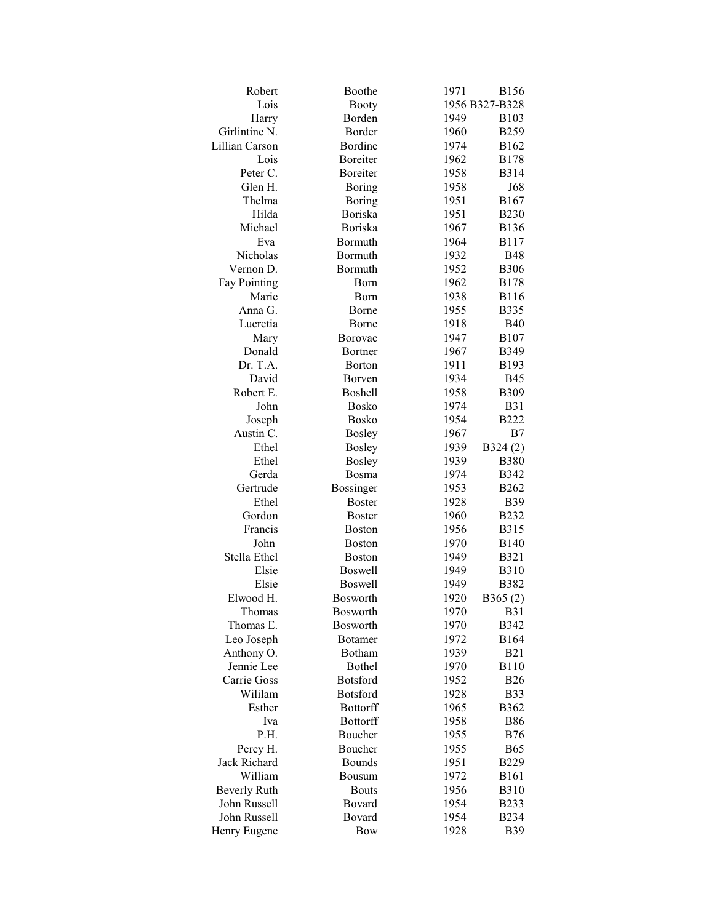| Robert              | Boothe          | 1971 | <b>B156</b>    |
|---------------------|-----------------|------|----------------|
| Lois                | <b>Booty</b>    |      | 1956 B327-B328 |
| Harry               | Borden          | 1949 | <b>B103</b>    |
| Girlintine N.       | Border          | 1960 | <b>B259</b>    |
| Lillian Carson      | Bordine         | 1974 | B162           |
| Lois                | Boreiter        | 1962 | <b>B178</b>    |
| Peter C.            | <b>Boreiter</b> | 1958 | <b>B314</b>    |
| Glen H.             |                 |      |                |
|                     | Boring          | 1958 | J68            |
| Thelma              | <b>Boring</b>   | 1951 | <b>B167</b>    |
| Hilda               | <b>Boriska</b>  | 1951 | <b>B230</b>    |
| Michael             | Boriska         | 1967 | <b>B136</b>    |
| Eva                 | Bormuth         | 1964 | <b>B117</b>    |
| Nicholas            | Bormuth         | 1932 | <b>B48</b>     |
| Vernon D.           | Bormuth         | 1952 | <b>B306</b>    |
| <b>Fay Pointing</b> | Born            | 1962 | <b>B178</b>    |
| Marie               | Born            | 1938 | <b>B116</b>    |
| Anna G.             | Borne           | 1955 | <b>B335</b>    |
| Lucretia            | Borne           | 1918 | <b>B40</b>     |
| Mary                | Borovac         | 1947 | <b>B107</b>    |
| Donald              | Bortner         | 1967 | <b>B349</b>    |
| Dr. T.A.            | Borton          | 1911 | B193           |
| David               | Borven          | 1934 | <b>B45</b>     |
| Robert E.           | Boshell         | 1958 | <b>B309</b>    |
| John                | <b>Bosko</b>    | 1974 | <b>B31</b>     |
| Joseph              | <b>Bosko</b>    | 1954 | <b>B222</b>    |
| Austin C.           | <b>Bosley</b>   | 1967 | B7             |
| Ethel               | <b>Bosley</b>   | 1939 | B324(2)        |
| Ethel               | <b>Bosley</b>   | 1939 | <b>B380</b>    |
| Gerda               | Bosma           | 1974 | <b>B342</b>    |
|                     |                 |      |                |
| Gertrude            | Bossinger       | 1953 | B262           |
| Ethel               | <b>Boster</b>   | 1928 | <b>B39</b>     |
| Gordon              | <b>Boster</b>   | 1960 | <b>B232</b>    |
| Francis             | <b>Boston</b>   | 1956 | <b>B315</b>    |
| John                | <b>Boston</b>   | 1970 | <b>B140</b>    |
| Stella Ethel        | <b>Boston</b>   | 1949 | <b>B321</b>    |
| Elsie               | <b>Boswell</b>  | 1949 | <b>B310</b>    |
| Elsie               | <b>Boswell</b>  | 1949 | <b>B382</b>    |
| Elwood H.           | <b>Bosworth</b> | 1920 | B365(2)        |
| Thomas              | Bosworth        | 1970 | <b>B31</b>     |
| Thomas E.           | <b>Bosworth</b> | 1970 | <b>B342</b>    |
| Leo Joseph          | <b>Botamer</b>  | 1972 | <b>B164</b>    |
| Anthony O.          | Botham          | 1939 | <b>B21</b>     |
| Jennie Lee          | <b>Bothel</b>   | 1970 | <b>B110</b>    |
| Carrie Goss         | <b>Botsford</b> | 1952 | <b>B26</b>     |
| Wililam             | <b>Botsford</b> | 1928 | <b>B33</b>     |
| Esther              | <b>Bottorff</b> | 1965 | <b>B362</b>    |
| Iva                 | <b>Bottorff</b> | 1958 | <b>B86</b>     |
| P.H.                | Boucher         | 1955 | <b>B76</b>     |
| Percy H.            | Boucher         | 1955 | <b>B65</b>     |
| Jack Richard        | <b>Bounds</b>   | 1951 | <b>B229</b>    |
| William             | <b>Bousum</b>   | 1972 | <b>B161</b>    |
| <b>Beverly Ruth</b> | <b>Bouts</b>    | 1956 | <b>B310</b>    |
| John Russell        | Bovard          | 1954 | <b>B233</b>    |
| John Russell        | Bovard          | 1954 | <b>B234</b>    |
| Henry Eugene        | <b>Bow</b>      | 1928 | <b>B</b> 39    |
|                     |                 |      |                |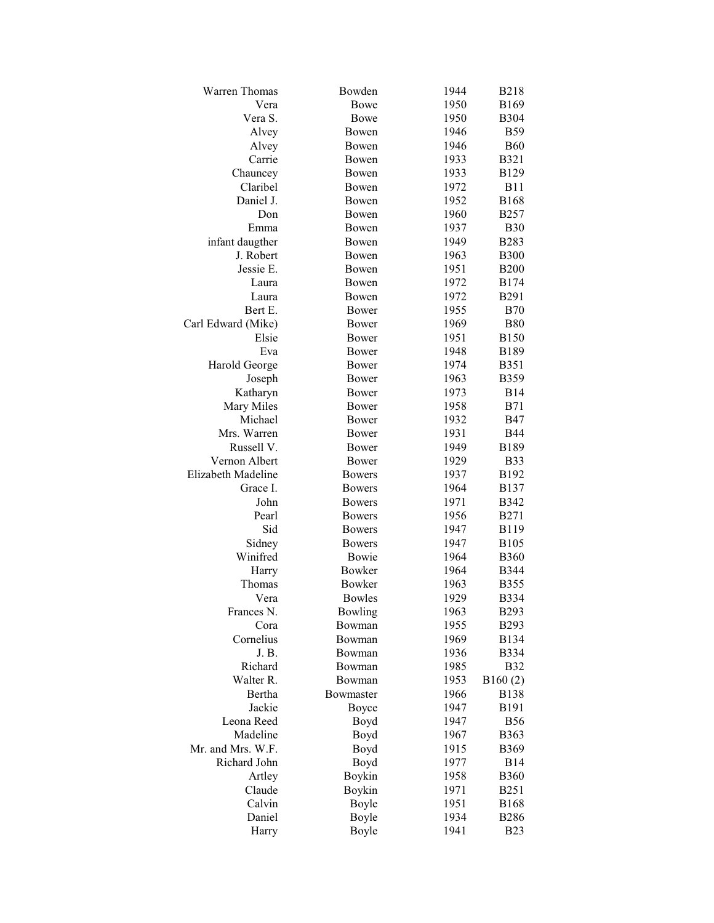| <b>Warren Thomas</b> | Bowden         | 1944 | <b>B218</b>      |
|----------------------|----------------|------|------------------|
| Vera                 | <b>Bowe</b>    | 1950 | <b>B169</b>      |
| Vera S.              | Bowe           | 1950 | <b>B304</b>      |
| Alvey                | Bowen          | 1946 | <b>B59</b>       |
| Alvey                | Bowen          | 1946 | <b>B60</b>       |
| Carrie               | Bowen          | 1933 | <b>B321</b>      |
| Chauncey             | Bowen          | 1933 | B129             |
| Claribel             | Bowen          | 1972 | <b>B11</b>       |
| Daniel J.            | Bowen          | 1952 | <b>B168</b>      |
| Don                  | Bowen          | 1960 | <b>B257</b>      |
| Emma                 | Bowen          | 1937 | <b>B30</b>       |
| infant daugther      | Bowen          | 1949 | <b>B283</b>      |
| J. Robert            | Bowen          | 1963 | <b>B300</b>      |
| Jessie E.            | Bowen          | 1951 | <b>B200</b>      |
| Laura                | Bowen          | 1972 | <b>B174</b>      |
| Laura                | Bowen          | 1972 | <b>B291</b>      |
| Bert E.              | Bower          | 1955 | <b>B70</b>       |
| Carl Edward (Mike)   | Bower          | 1969 | <b>B80</b>       |
| Elsie                | Bower          | 1951 | <b>B150</b>      |
| Eva                  | Bower          | 1948 | <b>B189</b>      |
| Harold George        | Bower          | 1974 | B351             |
| Joseph               | Bower          | 1963 | <b>B359</b>      |
| Katharyn             | Bower          | 1973 | <b>B14</b>       |
| Mary Miles           | Bower          | 1958 | <b>B71</b>       |
| Michael              | Bower          | 1932 | <b>B47</b>       |
| Mrs. Warren          | Bower          | 1931 | <b>B44</b>       |
| Russell V.           | Bower          | 1949 | <b>B189</b>      |
| Vernon Albert        | Bower          | 1929 | <b>B33</b>       |
| Elizabeth Madeline   | <b>Bowers</b>  | 1937 | B <sub>192</sub> |
| Grace I.             | <b>Bowers</b>  | 1964 | <b>B137</b>      |
| John                 | <b>Bowers</b>  | 1971 | <b>B342</b>      |
| Pearl                | <b>Bowers</b>  | 1956 | <b>B271</b>      |
| Sid                  | <b>Bowers</b>  | 1947 | B119             |
| Sidney               | <b>Bowers</b>  | 1947 | <b>B</b> 105     |
| Winifred             | Bowie          | 1964 | <b>B360</b>      |
| Harry                | Bowker         | 1964 | <b>B</b> 344     |
| Thomas               | <b>Bowker</b>  | 1963 | <b>B355</b>      |
| Vera                 | <b>Bowles</b>  | 1929 | <b>B334</b>      |
| Frances N.           | <b>Bowling</b> | 1963 | <b>B293</b>      |
| Cora                 | Bowman         | 1955 | B293             |
| Cornelius            | Bowman         | 1969 | B134             |
| J. B.                | Bowman         | 1936 | B334             |
| Richard              | Bowman         | 1985 | <b>B32</b>       |
| Walter R.            | Bowman         | 1953 | B160(2)          |
| Bertha               | Bowmaster      | 1966 | <b>B138</b>      |
| Jackie               | Boyce          | 1947 | <b>B191</b>      |
| Leona Reed           | Boyd           | 1947 | <b>B56</b>       |
| Madeline             | Boyd           | 1967 | <b>B363</b>      |
| Mr. and Mrs. W.F.    | Boyd           | 1915 | <b>B369</b>      |
| Richard John         | Boyd           | 1977 | <b>B14</b>       |
| Artley               | Boykin         | 1958 | <b>B360</b>      |
| Claude               | Boykin         | 1971 | <b>B251</b>      |
| Calvin               | Boyle          | 1951 | <b>B168</b>      |
| Daniel               | Boyle          | 1934 | <b>B286</b>      |
| Harry                | Boyle          | 1941 | <b>B23</b>       |
|                      |                |      |                  |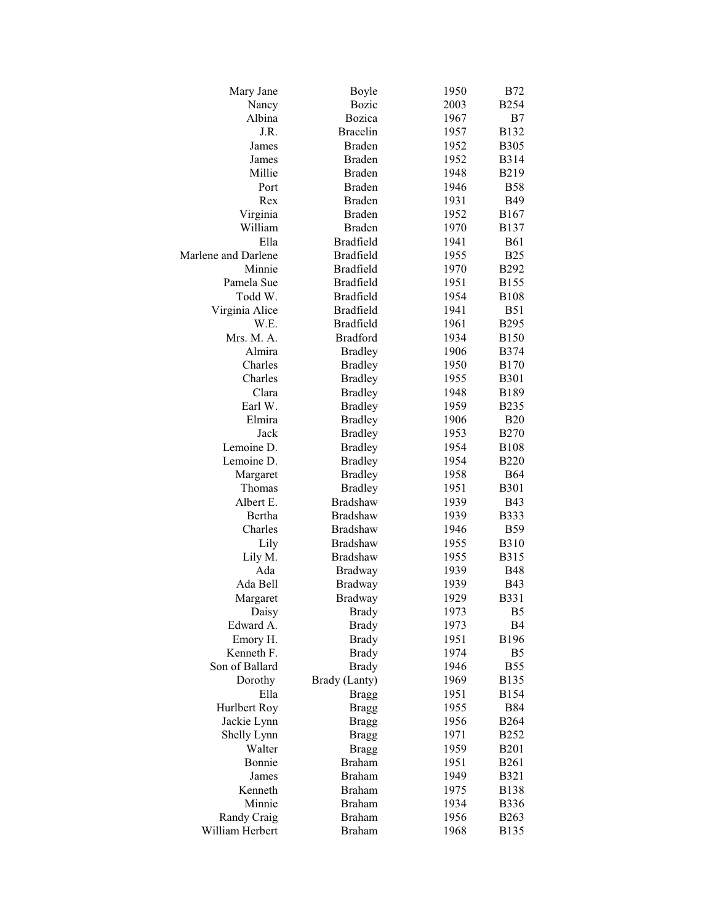| Mary Jane           | Boyle            | 1950 | <b>B72</b>        |
|---------------------|------------------|------|-------------------|
| Nancy               | <b>Bozic</b>     | 2003 | <b>B254</b>       |
| Albina              | Bozica           | 1967 | B7                |
| J.R.                | <b>Bracelin</b>  | 1957 | B132              |
| James               | <b>Braden</b>    | 1952 | <b>B305</b>       |
| James               | <b>Braden</b>    | 1952 | <b>B314</b>       |
| Millie              | <b>Braden</b>    | 1948 | B <sub>2</sub> 19 |
| Port                | <b>Braden</b>    | 1946 | <b>B58</b>        |
| Rex                 | <b>Braden</b>    | 1931 | <b>B49</b>        |
| Virginia            | <b>Braden</b>    | 1952 | B167              |
| William             | <b>Braden</b>    | 1970 | <b>B137</b>       |
| Ella                | <b>Bradfield</b> | 1941 | <b>B61</b>        |
| Marlene and Darlene | <b>Bradfield</b> | 1955 | <b>B25</b>        |
| Minnie              | <b>Bradfield</b> | 1970 | <b>B292</b>       |
| Pamela Sue          | <b>Bradfield</b> | 1951 | <b>B155</b>       |
| Todd W.             | <b>Bradfield</b> | 1954 | <b>B108</b>       |
| Virginia Alice      | <b>Bradfield</b> | 1941 | <b>B51</b>        |
| W.E.                | <b>Bradfield</b> | 1961 | <b>B295</b>       |
| Mrs. M. A.          | <b>Bradford</b>  | 1934 | <b>B150</b>       |
| Almira              | <b>Bradley</b>   | 1906 | <b>B374</b>       |
| Charles             | <b>Bradley</b>   | 1950 | <b>B170</b>       |
| Charles             | <b>Bradley</b>   | 1955 | <b>B301</b>       |
| Clara               | <b>Bradley</b>   | 1948 | <b>B189</b>       |
| Earl W.             | <b>Bradley</b>   | 1959 | <b>B235</b>       |
| Elmira              | <b>Bradley</b>   | 1906 | <b>B20</b>        |
| Jack                | <b>Bradley</b>   | 1953 | <b>B270</b>       |
| Lemoine D.          | <b>Bradley</b>   | 1954 | <b>B108</b>       |
| Lemoine D.          | <b>Bradley</b>   | 1954 | <b>B220</b>       |
| Margaret            | <b>Bradley</b>   | 1958 | B64               |
| Thomas              | <b>Bradley</b>   | 1951 | <b>B301</b>       |
| Albert E.           | <b>Bradshaw</b>  | 1939 | <b>B43</b>        |
| Bertha              | <b>Bradshaw</b>  | 1939 | <b>B</b> 333      |
| Charles             | <b>Bradshaw</b>  | 1946 | <b>B59</b>        |
| Lily                | <b>Bradshaw</b>  | 1955 | <b>B310</b>       |
| Lily M.             | <b>Bradshaw</b>  | 1955 | B315              |
| Ada                 | <b>Bradway</b>   | 1939 | <b>B48</b>        |
| Ada Bell            | <b>Bradway</b>   | 1939 | <b>B43</b>        |
| Margaret            | Bradway          | 1929 | <b>B331</b>       |
| Daisy               | <b>Brady</b>     | 1973 | B <sub>5</sub>    |
| Edward A.           | <b>Brady</b>     | 1973 | <b>B4</b>         |
| Emory H.            | <b>Brady</b>     | 1951 | <b>B196</b>       |
| Kenneth F.          | <b>Brady</b>     | 1974 | B <sub>5</sub>    |
| Son of Ballard      | <b>Brady</b>     | 1946 | <b>B55</b>        |
| Dorothy             | Brady (Lanty)    | 1969 | <b>B135</b>       |
| Ella                | <b>Bragg</b>     | 1951 | <b>B154</b>       |
| Hurlbert Roy        | <b>Bragg</b>     | 1955 | <b>B84</b>        |
| Jackie Lynn         | <b>Bragg</b>     | 1956 | <b>B264</b>       |
| Shelly Lynn         | <b>Bragg</b>     | 1971 | <b>B252</b>       |
| Walter              | <b>Bragg</b>     | 1959 | <b>B201</b>       |
| Bonnie              | <b>Braham</b>    | 1951 | <b>B261</b>       |
| James               | <b>Braham</b>    | 1949 | <b>B321</b>       |
| Kenneth             | <b>Braham</b>    | 1975 | <b>B138</b>       |
| Minnie              | <b>Braham</b>    | 1934 | <b>B336</b>       |
| Randy Craig         | <b>Braham</b>    | 1956 | <b>B263</b>       |
| William Herbert     | <b>Braham</b>    | 1968 | <b>B135</b>       |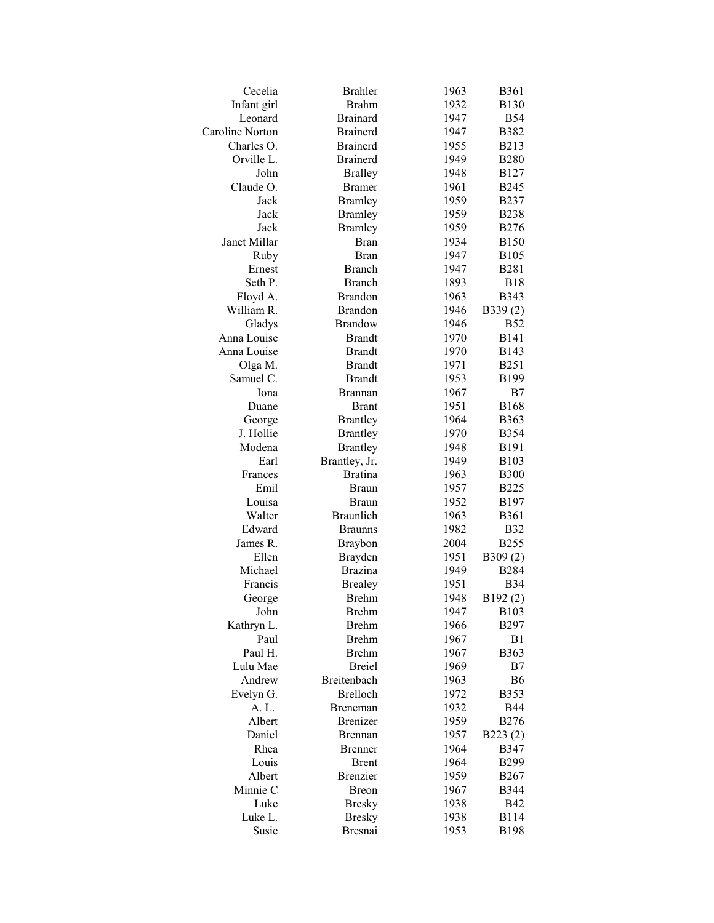| Cecelia             | <b>Brahler</b>   | 1963 | <b>B361</b>      |
|---------------------|------------------|------|------------------|
| Infant girl         | <b>Brahm</b>     | 1932 | <b>B130</b>      |
| Leonard             | <b>Brainard</b>  | 1947 | <b>B54</b>       |
| Caroline Norton     | <b>Brainerd</b>  | 1947 | <b>B382</b>      |
| Charles O.          | <b>Brainerd</b>  | 1955 | <b>B213</b>      |
| Orville L.          | <b>Brainerd</b>  | 1949 | <b>B280</b>      |
| John                | <b>Bralley</b>   | 1948 | <b>B127</b>      |
| Claude O.           | <b>Bramer</b>    | 1961 | <b>B245</b>      |
| Jack                | <b>Bramley</b>   | 1959 | <b>B237</b>      |
| Jack                | <b>Bramley</b>   | 1959 | <b>B238</b>      |
| Jack                | <b>Bramley</b>   | 1959 | <b>B276</b>      |
| Janet Millar        | <b>Bran</b>      | 1934 | <b>B150</b>      |
| Ruby                | Bran             | 1947 | <b>B105</b>      |
| Ernest              | <b>Branch</b>    | 1947 | <b>B281</b>      |
| Seth P.             | <b>Branch</b>    | 1893 | <b>B18</b>       |
| Floyd A.            | <b>Brandon</b>   | 1963 | <b>B343</b>      |
| William R.          | <b>Brandon</b>   | 1946 | B339(2)          |
| Gladys              | <b>Brandow</b>   | 1946 | <b>B52</b>       |
| Anna Louise         | <b>Brandt</b>    | 1970 | <b>B141</b>      |
| Anna Louise         | <b>Brandt</b>    | 1970 | <b>B143</b>      |
| Olga M.             | <b>Brandt</b>    | 1971 | <b>B251</b>      |
| Samuel C.           | <b>Brandt</b>    | 1953 | <b>B199</b>      |
| Iona                | <b>Brannan</b>   | 1967 | B7               |
| Duane               | <b>Brant</b>     | 1951 | <b>B168</b>      |
|                     |                  |      | <b>B363</b>      |
| George<br>J. Hollie | <b>Brantley</b>  | 1964 |                  |
| Modena              | <b>Brantley</b>  | 1970 | <b>B354</b>      |
|                     | <b>Brantley</b>  | 1948 | <b>B191</b>      |
| Earl                | Brantley, Jr.    | 1949 | B103             |
| Frances             | <b>Bratina</b>   | 1963 | <b>B300</b>      |
| Emil                | <b>Braun</b>     | 1957 | <b>B225</b>      |
| Louisa              | <b>Braun</b>     | 1952 | B <sub>197</sub> |
| Walter              | <b>Braunlich</b> | 1963 | <b>B361</b>      |
| Edward              | <b>Braunns</b>   | 1982 | <b>B32</b>       |
| James R.            | <b>Braybon</b>   | 2004 | <b>B255</b>      |
| Ellen               | Brayden          | 1951 | B309(2)          |
| Michael             | <b>Brazina</b>   | 1949 | <b>B284</b>      |
| Francis             | <b>Brealey</b>   | 1951 | <b>B34</b>       |
| George              | <b>Brehm</b>     | 1948 | B192(2)          |
| John                | <b>Brehm</b>     | 1947 | B103             |
| Kathryn L.          | <b>Brehm</b>     | 1966 | <b>B297</b>      |
| Paul                | <b>Brehm</b>     | 1967 | B1               |
| Paul H.             | <b>Brehm</b>     | 1967 | <b>B363</b>      |
| Lulu Mae            | <b>Breiel</b>    | 1969 | B7               |
| Andrew              | Breitenbach      | 1963 | <b>B6</b>        |
| Evelyn G.           | <b>Brelloch</b>  | 1972 | <b>B353</b>      |
| A. L.               | Breneman         | 1932 | <b>B44</b>       |
| Albert              | <b>Brenizer</b>  | 1959 | <b>B276</b>      |
| Daniel              | <b>Brennan</b>   | 1957 | B223(2)          |
| Rhea                | <b>Brenner</b>   | 1964 | <b>B347</b>      |
| Louis               | <b>Brent</b>     | 1964 | <b>B299</b>      |
| Albert              | <b>Brenzier</b>  | 1959 | <b>B267</b>      |
| Minnie C            | <b>Breon</b>     | 1967 | <b>B344</b>      |
| Luke                | <b>Bresky</b>    | 1938 | <b>B42</b>       |
| Luke L.             | <b>Bresky</b>    | 1938 | <b>B114</b>      |
| Susie               | <b>Bresnai</b>   | 1953 | <b>B198</b>      |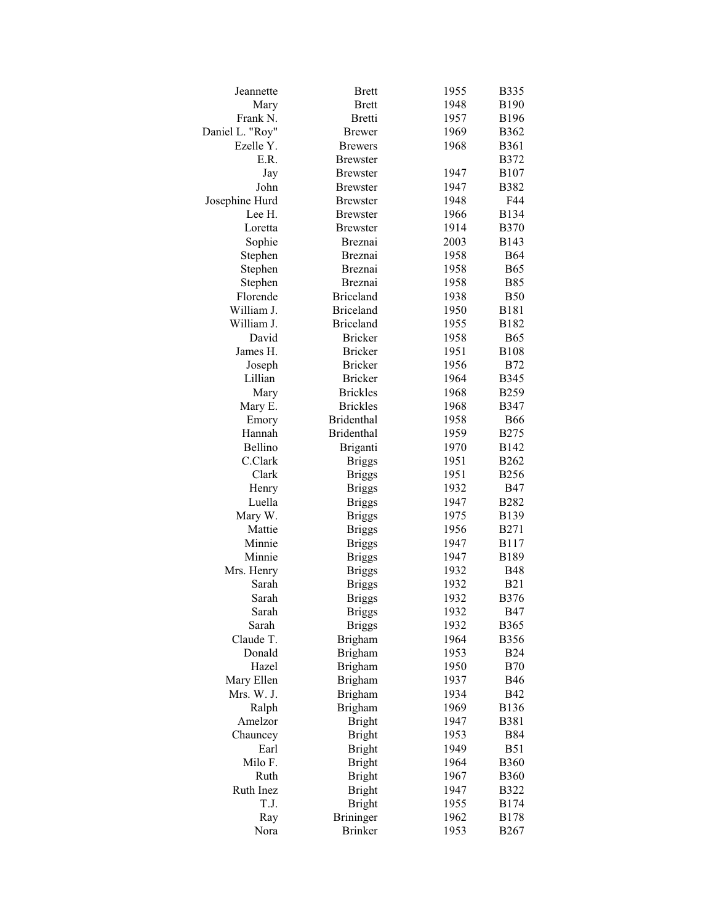| Jeannette         | <b>Brett</b>      | 1955         | <b>B335</b>                |
|-------------------|-------------------|--------------|----------------------------|
| Mary              | <b>Brett</b>      | 1948         | <b>B190</b>                |
| Frank N.          | <b>Bretti</b>     | 1957         | <b>B196</b>                |
| Daniel L. "Roy"   | <b>Brewer</b>     | 1969         | B362                       |
| Ezelle Y.         | <b>Brewers</b>    | 1968         | <b>B361</b>                |
| E.R.              | <b>Brewster</b>   |              | <b>B372</b>                |
| Jay               | <b>Brewster</b>   | 1947         | <b>B107</b>                |
| John              | <b>Brewster</b>   | 1947         | <b>B382</b>                |
| Josephine Hurd    | <b>Brewster</b>   | 1948         | F44                        |
| Lee H.            | <b>Brewster</b>   | 1966         | <b>B134</b>                |
| Loretta           | <b>Brewster</b>   | 1914         | <b>B370</b>                |
| Sophie            | Breznai           | 2003         | B143                       |
| Stephen           | Breznai           | 1958         | <b>B64</b>                 |
| Stephen           | Breznai           | 1958         | <b>B65</b>                 |
| Stephen           | Breznai           | 1958         | <b>B85</b>                 |
| Florende          | <b>Briceland</b>  | 1938         | <b>B50</b>                 |
| William J.        | <b>Briceland</b>  | 1950         | <b>B181</b>                |
| William J.        | <b>Briceland</b>  | 1955         | B182                       |
| David             | <b>Bricker</b>    | 1958         | <b>B65</b>                 |
| James H.          | <b>Bricker</b>    | 1951         | <b>B108</b>                |
| Joseph            | <b>Bricker</b>    | 1956         | <b>B72</b>                 |
| Lillian           | <b>Bricker</b>    | 1964         | <b>B345</b>                |
| Mary              | <b>Brickles</b>   | 1968         | B <sub>259</sub>           |
| Mary E.           | <b>Brickles</b>   | 1968         | <b>B347</b>                |
| Emory             | <b>Bridenthal</b> | 1958         | <b>B66</b>                 |
| Hannah            | <b>Bridenthal</b> | 1959         | <b>B275</b>                |
| Bellino           | Briganti          | 1970         | B142                       |
| C.Clark           |                   | 1951         | <b>B262</b>                |
| Clark             | <b>Briggs</b>     | 1951         | <b>B256</b>                |
|                   | <b>Briggs</b>     | 1932         | <b>B47</b>                 |
| Henry<br>Luella   | <b>Briggs</b>     |              |                            |
|                   | <b>Briggs</b>     | 1947         | <b>B282</b><br><b>B139</b> |
| Mary W.<br>Mattie | <b>Briggs</b>     | 1975<br>1956 | <b>B271</b>                |
| Minnie            | <b>Briggs</b>     | 1947         |                            |
| Minnie            | <b>Briggs</b>     |              | <b>B117</b>                |
|                   | <b>Briggs</b>     | 1947         | B189                       |
| Mrs. Henry        | <b>Briggs</b>     | 1932         | <b>B48</b>                 |
| Sarah<br>Sarah    | <b>Briggs</b>     | 1932         | <b>B21</b>                 |
|                   | <b>Briggs</b>     | 1932         | <b>B376</b>                |
| Sarah             | <b>Briggs</b>     | 1932         | <b>B47</b>                 |
| Sarah             | <b>Briggs</b>     | 1932         | <b>B365</b>                |
| Claude T.         | Brigham           | 1964         | <b>B356</b>                |
| Donald            | Brigham           | 1953         | <b>B24</b>                 |
| Hazel             | Brigham           | 1950         | <b>B70</b>                 |
| Mary Ellen        | Brigham           | 1937         | <b>B46</b>                 |
| Mrs. W. J.        | Brigham           | 1934         | <b>B42</b>                 |
| Ralph             | <b>Brigham</b>    | 1969         | <b>B136</b>                |
| Amelzor           | <b>Bright</b>     | 1947         | <b>B381</b>                |
| Chauncey          | <b>Bright</b>     | 1953         | <b>B84</b>                 |
| Earl              | <b>Bright</b>     | 1949         | <b>B51</b>                 |
| Milo F.           | <b>Bright</b>     | 1964         | <b>B360</b>                |
| Ruth              | <b>Bright</b>     | 1967         | <b>B360</b>                |
| Ruth Inez         | <b>Bright</b>     | 1947         | <b>B322</b>                |
| T.J.              | <b>Bright</b>     | 1955         | B174                       |
| Ray               | <b>Brininger</b>  | 1962         | B178                       |
| Nora              | <b>Brinker</b>    | 1953         | <b>B267</b>                |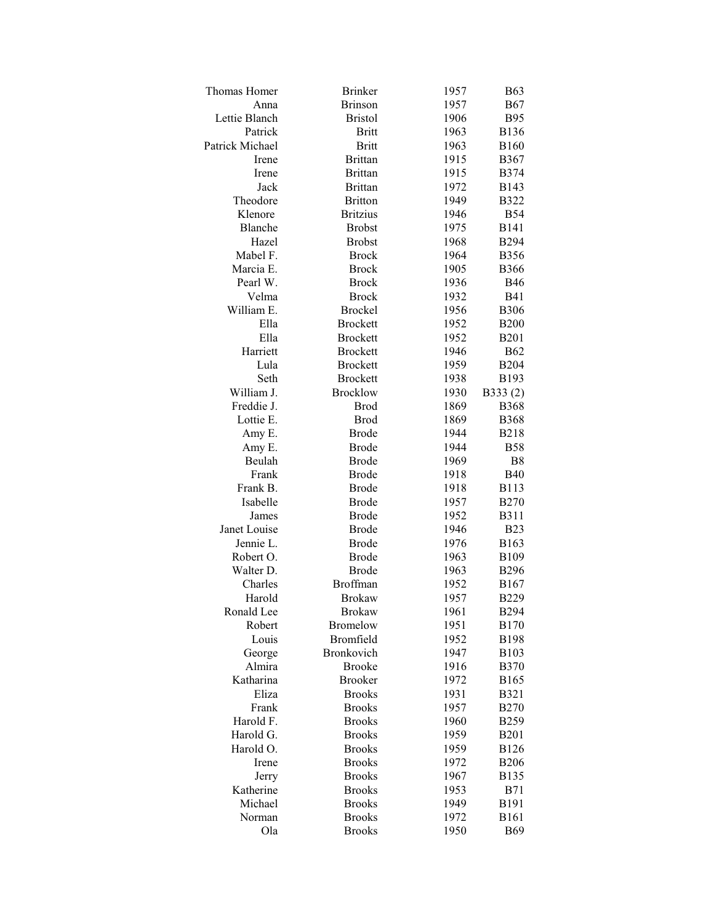| <b>Thomas Homer</b> | <b>Brinker</b>    | 1957 | <b>B63</b>     |
|---------------------|-------------------|------|----------------|
| Anna                | <b>Brinson</b>    | 1957 | <b>B67</b>     |
| Lettie Blanch       | <b>Bristol</b>    | 1906 | <b>B95</b>     |
| Patrick             | <b>Britt</b>      | 1963 | <b>B136</b>    |
| Patrick Michael     | <b>Britt</b>      | 1963 | <b>B160</b>    |
| Irene               | <b>Brittan</b>    | 1915 | <b>B367</b>    |
| Irene               | <b>Brittan</b>    | 1915 | <b>B374</b>    |
| Jack                | <b>Brittan</b>    | 1972 | B143           |
| Theodore            | <b>Britton</b>    | 1949 | <b>B322</b>    |
| Klenore             | <b>Britzius</b>   | 1946 | <b>B54</b>     |
| Blanche             | <b>Brobst</b>     | 1975 | <b>B141</b>    |
| Hazel               | <b>Brobst</b>     | 1968 | <b>B294</b>    |
| Mabel F.            | <b>Brock</b>      | 1964 | <b>B356</b>    |
| Marcia E.           | <b>Brock</b>      | 1905 | <b>B366</b>    |
| Pearl W.            | <b>Brock</b>      | 1936 | <b>B46</b>     |
| Velma               | <b>Brock</b>      | 1932 | <b>B41</b>     |
| William E.          | <b>Brockel</b>    | 1956 | <b>B306</b>    |
| Ella                | <b>Brockett</b>   | 1952 | <b>B200</b>    |
| Ella                | <b>Brockett</b>   | 1952 | <b>B201</b>    |
| Harriett            | <b>Brockett</b>   | 1946 | <b>B62</b>     |
| Lula                | <b>Brockett</b>   | 1959 | <b>B204</b>    |
| Seth                | <b>Brockett</b>   | 1938 | B193           |
| William J.          | <b>Brocklow</b>   | 1930 | B333(2)        |
| Freddie J.          | <b>Brod</b>       | 1869 | <b>B368</b>    |
| Lottie E.           | <b>Brod</b>       | 1869 | <b>B368</b>    |
| Amy E.              | <b>Brode</b>      | 1944 | <b>B218</b>    |
| Amy E.              | <b>Brode</b>      | 1944 | <b>B58</b>     |
| Beulah              | <b>Brode</b>      | 1969 | B <sub>8</sub> |
| Frank               | <b>Brode</b>      | 1918 | <b>B40</b>     |
| Frank B.            | <b>Brode</b>      | 1918 | <b>B113</b>    |
| Isabelle            | <b>Brode</b>      | 1957 | <b>B270</b>    |
| James               | <b>Brode</b>      | 1952 | <b>B311</b>    |
| Janet Louise        | <b>Brode</b>      | 1946 | <b>B23</b>     |
| Jennie L.           | <b>Brode</b>      | 1976 | <b>B163</b>    |
| Robert O.           | <b>Brode</b>      | 1963 | B109           |
| Walter D.           | <b>Brode</b>      | 1963 | <b>B296</b>    |
| Charles             | <b>Broffman</b>   | 1952 | B167           |
| Harold              | <b>Brokaw</b>     | 1957 | <b>B229</b>    |
| Ronald Lee          | <b>Brokaw</b>     | 1961 | <b>B294</b>    |
| Robert              | <b>Bromelow</b>   | 1951 | <b>B170</b>    |
| Louis               | Bromfield         | 1952 | <b>B198</b>    |
| George              | <b>Bronkovich</b> | 1947 | <b>B103</b>    |
| Almira              | <b>Brooke</b>     | 1916 | <b>B370</b>    |
| Katharina           | <b>Brooker</b>    | 1972 | <b>B165</b>    |
| Eliza               | <b>Brooks</b>     | 1931 | <b>B321</b>    |
| Frank               | <b>Brooks</b>     | 1957 | <b>B270</b>    |
| Harold F.           | <b>Brooks</b>     | 1960 | <b>B259</b>    |
| Harold G.           | <b>Brooks</b>     | 1959 | <b>B201</b>    |
| Harold O.           | <b>Brooks</b>     | 1959 | <b>B126</b>    |
| Irene               | <b>Brooks</b>     | 1972 | <b>B206</b>    |
| Jerry               | <b>Brooks</b>     | 1967 | <b>B135</b>    |
| Katherine           | <b>Brooks</b>     | 1953 | <b>B71</b>     |
| Michael             | <b>Brooks</b>     | 1949 | <b>B191</b>    |
| Norman              | <b>Brooks</b>     | 1972 | <b>B161</b>    |
| Ola                 | <b>Brooks</b>     | 1950 | <b>B69</b>     |
|                     |                   |      |                |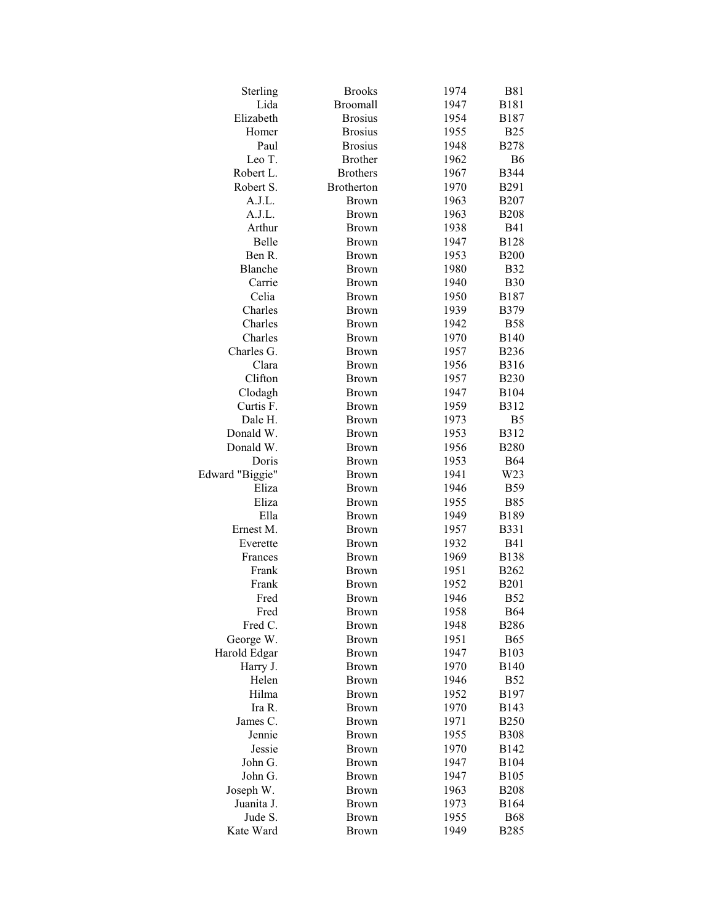| Sterling                 | <b>Brooks</b>     | 1974 | <b>B81</b>       |
|--------------------------|-------------------|------|------------------|
| Lida                     | <b>Broomall</b>   | 1947 | <b>B181</b>      |
| Elizabeth                | <b>Brosius</b>    | 1954 | <b>B187</b>      |
| Homer                    | <b>Brosius</b>    | 1955 | <b>B25</b>       |
| Paul                     | <b>Brosius</b>    | 1948 | <b>B278</b>      |
| Leo T.                   | <b>Brother</b>    | 1962 | <b>B6</b>        |
| Robert L.                | <b>Brothers</b>   | 1967 | <b>B344</b>      |
| Robert S.                | <b>Brotherton</b> | 1970 | <b>B291</b>      |
| A.J.L.                   | <b>Brown</b>      | 1963 | <b>B207</b>      |
| A.J.L.                   | <b>Brown</b>      | 1963 | <b>B208</b>      |
| Arthur                   | <b>Brown</b>      | 1938 | <b>B41</b>       |
| Belle                    | <b>Brown</b>      | 1947 | <b>B128</b>      |
| Ben R.                   | <b>Brown</b>      | 1953 | <b>B200</b>      |
| Blanche                  | <b>Brown</b>      | 1980 | <b>B32</b>       |
| Carrie                   | <b>Brown</b>      | 1940 | <b>B30</b>       |
| Celia                    | <b>Brown</b>      | 1950 | <b>B187</b>      |
| Charles                  | <b>Brown</b>      | 1939 | <b>B379</b>      |
| Charles                  | <b>Brown</b>      | 1942 | <b>B58</b>       |
| Charles                  | <b>Brown</b>      | 1970 | <b>B140</b>      |
| Charles G.               | <b>Brown</b>      | 1957 | <b>B236</b>      |
| Clara                    | <b>Brown</b>      | 1956 | <b>B316</b>      |
| Clifton                  | <b>Brown</b>      | 1957 | <b>B230</b>      |
| Clodagh                  | <b>Brown</b>      | 1947 | B104             |
| Curtis F.                | <b>Brown</b>      | 1959 | <b>B312</b>      |
| Dale H.                  | <b>Brown</b>      | 1973 | B <sub>5</sub>   |
| Donald W.                | <b>Brown</b>      | 1953 | <b>B312</b>      |
| Donald W.                |                   |      |                  |
|                          | <b>Brown</b>      | 1956 | <b>B280</b>      |
| Doris                    | <b>Brown</b>      | 1953 | <b>B64</b>       |
| Edward "Biggie"<br>Eliza | <b>Brown</b>      | 1941 | W23              |
| Eliza                    | <b>Brown</b>      | 1946 | <b>B59</b>       |
|                          | Brown             | 1955 | <b>B85</b>       |
| Ella                     | <b>Brown</b>      | 1949 | <b>B189</b>      |
| Ernest M.                | <b>Brown</b>      | 1957 | <b>B331</b>      |
| Everette                 | <b>Brown</b>      | 1932 | <b>B41</b>       |
| Frances                  | <b>Brown</b>      | 1969 | <b>B138</b>      |
| Frank                    | <b>Brown</b>      | 1951 | <b>B262</b>      |
| Frank                    | <b>Brown</b>      | 1952 | <b>B201</b>      |
| Fred                     | <b>Brown</b>      | 1946 | <b>B52</b>       |
| Fred                     | <b>Brown</b>      | 1958 | <b>B64</b>       |
| Fred C.                  | <b>Brown</b>      | 1948 | <b>B286</b>      |
| George W.                | <b>Brown</b>      | 1951 | <b>B65</b>       |
| Harold Edgar             | <b>Brown</b>      | 1947 | B103             |
| Harry J.                 | <b>Brown</b>      | 1970 | <b>B140</b>      |
| Helen                    | <b>Brown</b>      | 1946 | <b>B52</b>       |
| Hilma                    | <b>Brown</b>      | 1952 | <b>B197</b>      |
| Ira R.                   | <b>Brown</b>      | 1970 | B143             |
| James C.                 | <b>Brown</b>      | 1971 | <b>B250</b>      |
| Jennie                   | Brown             | 1955 | <b>B308</b>      |
| Jessie                   | <b>Brown</b>      | 1970 | B142             |
| John G.                  | <b>Brown</b>      | 1947 | <b>B104</b>      |
| John G.                  | <b>Brown</b>      | 1947 | B <sub>105</sub> |
| Joseph W.                | <b>Brown</b>      | 1963 | <b>B208</b>      |
| Juanita J.               | <b>Brown</b>      | 1973 | <b>B164</b>      |
| Jude S.                  | <b>Brown</b>      | 1955 | <b>B68</b>       |
| Kate Ward                | <b>Brown</b>      | 1949 | <b>B285</b>      |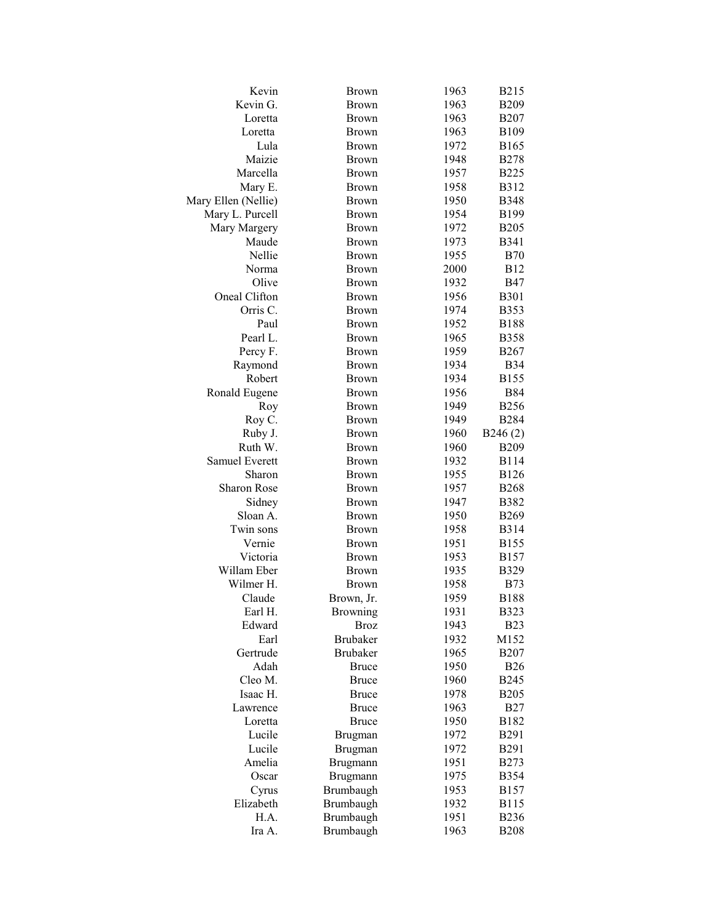| Kevin                | Brown           | 1963         | <b>B215</b> |
|----------------------|-----------------|--------------|-------------|
| Kevin G.             | <b>Brown</b>    | 1963         | <b>B209</b> |
| Loretta              | <b>Brown</b>    | 1963         | <b>B207</b> |
| Loretta              | <b>Brown</b>    | 1963         | B109        |
| Lula                 | <b>Brown</b>    | 1972         | B165        |
| Maizie               | <b>Brown</b>    | 1948         | <b>B278</b> |
| Marcella             | <b>Brown</b>    | 1957         | <b>B225</b> |
| Mary E.              | <b>Brown</b>    | 1958         | <b>B312</b> |
| Mary Ellen (Nellie)  | <b>Brown</b>    | 1950         | <b>B348</b> |
| Mary L. Purcell      | <b>Brown</b>    | 1954         | B199        |
| Mary Margery         | <b>Brown</b>    | 1972         | <b>B205</b> |
| Maude                | <b>Brown</b>    | 1973         | <b>B341</b> |
| Nellie               | <b>Brown</b>    | 1955         | <b>B70</b>  |
| Norma                | <b>Brown</b>    | 2000         | <b>B12</b>  |
| Olive                | <b>Brown</b>    | 1932         | <b>B47</b>  |
| Oneal Clifton        | <b>Brown</b>    | 1956         | <b>B301</b> |
| Orris C.             | <b>Brown</b>    | 1974         | <b>B353</b> |
| Paul                 | <b>Brown</b>    | 1952         | <b>B188</b> |
| Pearl L.             | <b>Brown</b>    | 1965         | <b>B358</b> |
| Percy F.             | <b>Brown</b>    | 1959         | B267        |
| Raymond              | <b>Brown</b>    | 1934         | <b>B</b> 34 |
| Robert               | <b>Brown</b>    | 1934         | <b>B155</b> |
| Ronald Eugene        | <b>Brown</b>    | 1956         | <b>B84</b>  |
| Roy                  | <b>Brown</b>    | 1949         | <b>B256</b> |
| Roy C.               | <b>Brown</b>    | 1949         | <b>B284</b> |
| Ruby J.              | <b>Brown</b>    | 1960         | B246(2)     |
| Ruth W.              | <b>Brown</b>    | 1960         | <b>B209</b> |
| Samuel Everett       | <b>Brown</b>    | 1932         | <b>B114</b> |
| Sharon               | <b>Brown</b>    | 1955         | <b>B126</b> |
| <b>Sharon Rose</b>   | <b>Brown</b>    | 1957         | <b>B268</b> |
| Sidney               | <b>Brown</b>    | 1947         | <b>B382</b> |
| Sloan A.             | <b>Brown</b>    | 1950         | <b>B269</b> |
| Twin sons            | <b>Brown</b>    | 1958         | B314        |
| Vernie               | <b>Brown</b>    | 1951         | <b>B155</b> |
| Victoria             | <b>Brown</b>    | 1953         | B157        |
| Willam Eber          | <b>Brown</b>    | 1935         | <b>B329</b> |
| Wilmer H.            | <b>Brown</b>    | 1958         | <b>B73</b>  |
| Claude               | Brown, Jr.      | 1959         | <b>B188</b> |
| Earl H.              | <b>Browning</b> | 1931         | <b>B323</b> |
| Edward               | <b>Broz</b>     | 1943         | <b>B23</b>  |
| Earl                 | <b>Brubaker</b> | 1932         | M152        |
| Gertrude             | <b>Brubaker</b> | 1965         | <b>B207</b> |
| Adah                 | <b>Bruce</b>    | 1950         | <b>B26</b>  |
| Cleo M.              | <b>Bruce</b>    | 1960         | <b>B245</b> |
|                      |                 |              |             |
| Isaac H.<br>Lawrence | <b>Bruce</b>    | 1978<br>1963 | <b>B205</b> |
|                      | <b>Bruce</b>    |              | <b>B27</b>  |
| Loretta              | <b>Bruce</b>    | 1950         | B182        |
| Lucile               | Brugman         | 1972         | B291        |
| Lucile               | Brugman         | 1972         | B291        |
| Amelia               | Brugmann        | 1951         | <b>B273</b> |
| Oscar                | Brugmann        | 1975         | <b>B354</b> |
| Cyrus                | Brumbaugh       | 1953         | <b>B157</b> |
| Elizabeth            | Brumbaugh       | 1932         | <b>B115</b> |
| H.A.                 | Brumbaugh       | 1951         | <b>B236</b> |
| Ira A.               | Brumbaugh       | 1963         | <b>B208</b> |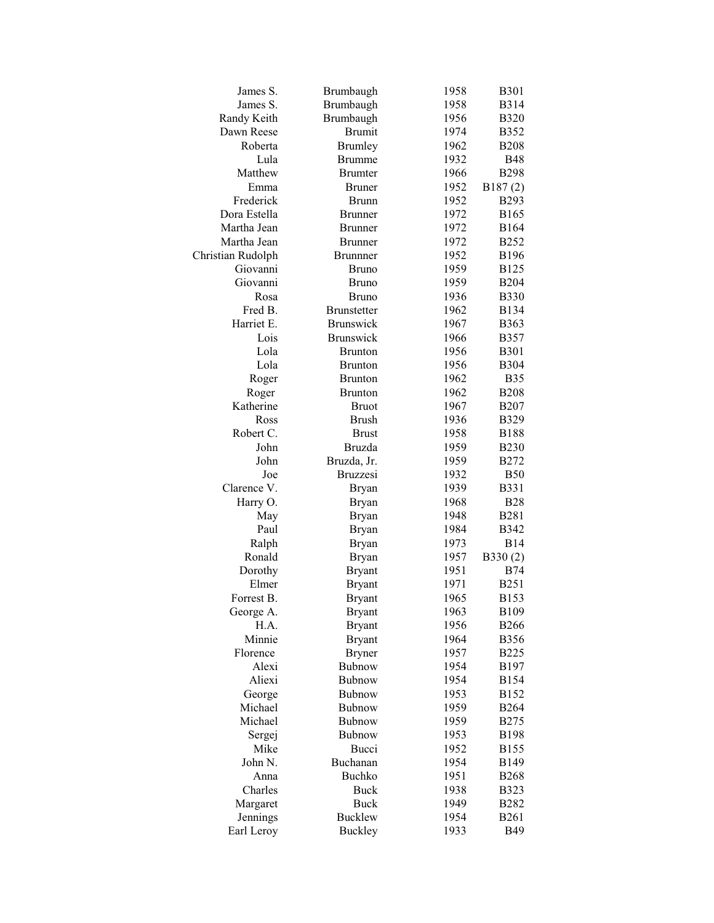| James S.           | Brumbaugh                      | 1958         | <b>B301</b> |
|--------------------|--------------------------------|--------------|-------------|
| James S.           | Brumbaugh                      | 1958         | <b>B314</b> |
| Randy Keith        | Brumbaugh                      | 1956         | <b>B320</b> |
| Dawn Reese         | <b>Brumit</b>                  | 1974         | B352        |
| Roberta            | <b>Brumley</b>                 | 1962         | <b>B208</b> |
| Lula               | <b>Brumme</b>                  | 1932         | <b>B48</b>  |
| Matthew            | <b>Brumter</b>                 | 1966         | <b>B298</b> |
| Emma               | <b>Bruner</b>                  | 1952         | B187(2)     |
| Frederick          | <b>Brunn</b>                   | 1952         | <b>B293</b> |
| Dora Estella       | <b>Brunner</b>                 | 1972         | <b>B165</b> |
| Martha Jean        | <b>Brunner</b>                 | 1972         | <b>B164</b> |
| Martha Jean        | <b>Brunner</b>                 | 1972         | <b>B252</b> |
| Christian Rudolph  | <b>Brunnner</b>                | 1952         | <b>B196</b> |
| Giovanni           | <b>Bruno</b>                   | 1959         | <b>B125</b> |
| Giovanni           | <b>Bruno</b>                   | 1959         | <b>B204</b> |
| Rosa               | <b>Bruno</b>                   | 1936         | <b>B330</b> |
| Fred B.            | <b>Brunstetter</b>             | 1962         | <b>B134</b> |
| Harriet E.         | <b>Brunswick</b>               | 1967         | B363        |
| Lois               | <b>Brunswick</b>               | 1966         | <b>B357</b> |
| Lola               | <b>Brunton</b>                 | 1956         | <b>B301</b> |
| Lola               | <b>Brunton</b>                 | 1956         | <b>B304</b> |
|                    | <b>Brunton</b>                 | 1962         | <b>B35</b>  |
| Roger              |                                |              |             |
| Roger<br>Katherine | <b>Brunton</b><br><b>Bruot</b> | 1962<br>1967 | <b>B208</b> |
| Ross               | <b>Brush</b>                   |              | <b>B207</b> |
|                    |                                | 1936         | <b>B329</b> |
| Robert C.          | <b>Brust</b>                   | 1958         | <b>B188</b> |
| John               | <b>Bruzda</b>                  | 1959         | <b>B230</b> |
| John               | Bruzda, Jr.                    | 1959         | <b>B272</b> |
| Joe                | <b>Bruzzesi</b>                | 1932         | <b>B50</b>  |
| Clarence V.        | <b>Bryan</b>                   | 1939         | <b>B331</b> |
| Harry O.           | <b>Bryan</b>                   | 1968         | <b>B28</b>  |
| May                | <b>Bryan</b>                   | 1948         | <b>B281</b> |
| Paul               | <b>Bryan</b>                   | 1984         | <b>B342</b> |
| Ralph              | <b>Bryan</b>                   | 1973         | <b>B14</b>  |
| Ronald             | <b>Bryan</b>                   | 1957         | B330(2)     |
| Dorothy            | <b>Bryant</b>                  | 1951         | <b>B74</b>  |
| Elmer              | <b>Bryant</b>                  | 1971         | <b>B251</b> |
| Forrest B.         | <b>Bryant</b>                  | 1965         | B153        |
| George A.          | <b>Bryant</b>                  | 1963         | <b>B109</b> |
| H.A.               | <b>Bryant</b>                  | 1956         | <b>B266</b> |
| Minnie             | <b>Bryant</b>                  | 1964         | <b>B356</b> |
| Florence           | <b>Bryner</b>                  | 1957         | <b>B225</b> |
| Alexi              | Bubnow                         | 1954         | B197        |
| Aliexi             | Bubnow                         | 1954         | <b>B154</b> |
| George             | <b>Bubnow</b>                  | 1953         | <b>B152</b> |
| Michael            | Bubnow                         | 1959         | <b>B264</b> |
| Michael            | Bubnow                         | 1959         | <b>B275</b> |
| Sergej             | Bubnow                         | 1953         | <b>B198</b> |
| Mike               | Bucci                          | 1952         | <b>B155</b> |
| John N.            | Buchanan                       | 1954         | B149        |
| Anna               | <b>Buchko</b>                  | 1951         | <b>B268</b> |
| Charles            | <b>Buck</b>                    | 1938         | <b>B323</b> |
| Margaret           | Buck                           | 1949         | <b>B282</b> |
| Jennings           | <b>Bucklew</b>                 | 1954         | <b>B261</b> |
| Earl Leroy         | <b>Buckley</b>                 | 1933         | <b>B49</b>  |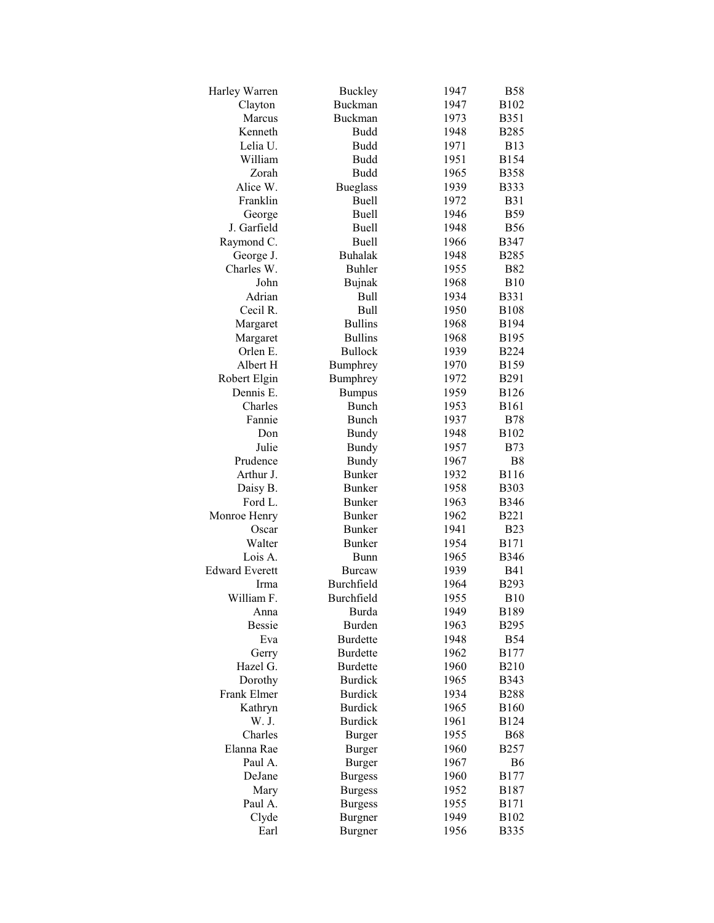| Harley Warren         | <b>Buckley</b>  | 1947 | <b>B58</b>  |
|-----------------------|-----------------|------|-------------|
| Clayton               | <b>Buckman</b>  | 1947 | B102        |
| Marcus                | Buckman         | 1973 | B351        |
| Kenneth               | Budd            | 1948 | <b>B285</b> |
| Lelia U.              | <b>Budd</b>     | 1971 | <b>B13</b>  |
| William               | <b>Budd</b>     | 1951 | <b>B154</b> |
| Zorah                 | <b>Budd</b>     | 1965 | <b>B358</b> |
| Alice W.              | <b>Bueglass</b> | 1939 | <b>B333</b> |
| Franklin              | <b>Buell</b>    | 1972 | <b>B31</b>  |
| George                | Buell           | 1946 | <b>B59</b>  |
| J. Garfield           | <b>Buell</b>    | 1948 | <b>B56</b>  |
| Raymond C.            | Buell           | 1966 | <b>B347</b> |
| George J.             | <b>Buhalak</b>  | 1948 | <b>B285</b> |
| Charles W.            | <b>Buhler</b>   | 1955 | <b>B82</b>  |
| John                  | <b>Bujnak</b>   | 1968 | <b>B10</b>  |
| Adrian                | <b>Bull</b>     | 1934 | B331        |
| Cecil R.              | <b>Bull</b>     | 1950 | <b>B108</b> |
| Margaret              | <b>Bullins</b>  | 1968 | B194        |
| Margaret              | <b>Bullins</b>  | 1968 | B195        |
| Orlen E.              | <b>Bullock</b>  | 1939 | <b>B224</b> |
| Albert H              | Bumphrey        | 1970 | <b>B159</b> |
| Robert Elgin          | Bumphrey        | 1972 | <b>B291</b> |
| Dennis E.             | <b>Bumpus</b>   | 1959 | <b>B126</b> |
| Charles               | <b>Bunch</b>    | 1953 | <b>B161</b> |
| Fannie                |                 |      |             |
|                       | <b>Bunch</b>    | 1937 | <b>B78</b>  |
| Don                   | <b>Bundy</b>    | 1948 | B102        |
| Julie                 | <b>Bundy</b>    | 1957 | <b>B73</b>  |
| Prudence              | <b>Bundy</b>    | 1967 | B8          |
| Arthur J.             | <b>Bunker</b>   | 1932 | <b>B116</b> |
| Daisy B.              | <b>Bunker</b>   | 1958 | <b>B303</b> |
| Ford L.               | <b>Bunker</b>   | 1963 | <b>B346</b> |
| Monroe Henry          | <b>Bunker</b>   | 1962 | <b>B221</b> |
| Oscar                 | <b>Bunker</b>   | 1941 | <b>B23</b>  |
| Walter                | <b>Bunker</b>   | 1954 | <b>B171</b> |
| Lois A.               | Bunn            | 1965 | <b>B346</b> |
| <b>Edward Everett</b> | <b>Burcaw</b>   | 1939 | <b>B41</b>  |
| Irma                  | Burchfield      | 1964 | <b>B293</b> |
| William F.            | Burchfield      | 1955 | B10         |
| Anna                  | <b>Burda</b>    | 1949 | <b>B189</b> |
| <b>Bessie</b>         | Burden          | 1963 | <b>B295</b> |
| Eva                   | <b>Burdette</b> | 1948 | <b>B54</b>  |
| Gerry                 | <b>Burdette</b> | 1962 | <b>B177</b> |
| Hazel G.              | <b>Burdette</b> | 1960 | <b>B210</b> |
| Dorothy               | <b>Burdick</b>  | 1965 | <b>B343</b> |
| <b>Frank Elmer</b>    | <b>Burdick</b>  | 1934 | <b>B288</b> |
| Kathryn               | <b>Burdick</b>  | 1965 | <b>B160</b> |
| W. J.                 | <b>Burdick</b>  | 1961 | <b>B124</b> |
| Charles               | <b>Burger</b>   | 1955 | <b>B68</b>  |
| Elanna Rae            | <b>Burger</b>   | 1960 | <b>B257</b> |
| Paul A.               | <b>Burger</b>   | 1967 | B6          |
| DeJane                | <b>Burgess</b>  | 1960 | <b>B177</b> |
| Mary                  | <b>Burgess</b>  | 1952 | <b>B187</b> |
| Paul A.               | <b>Burgess</b>  | 1955 | <b>B171</b> |
| Clyde                 | <b>Burgner</b>  | 1949 | B102        |
| Earl                  | <b>Burgner</b>  | 1956 | <b>B335</b> |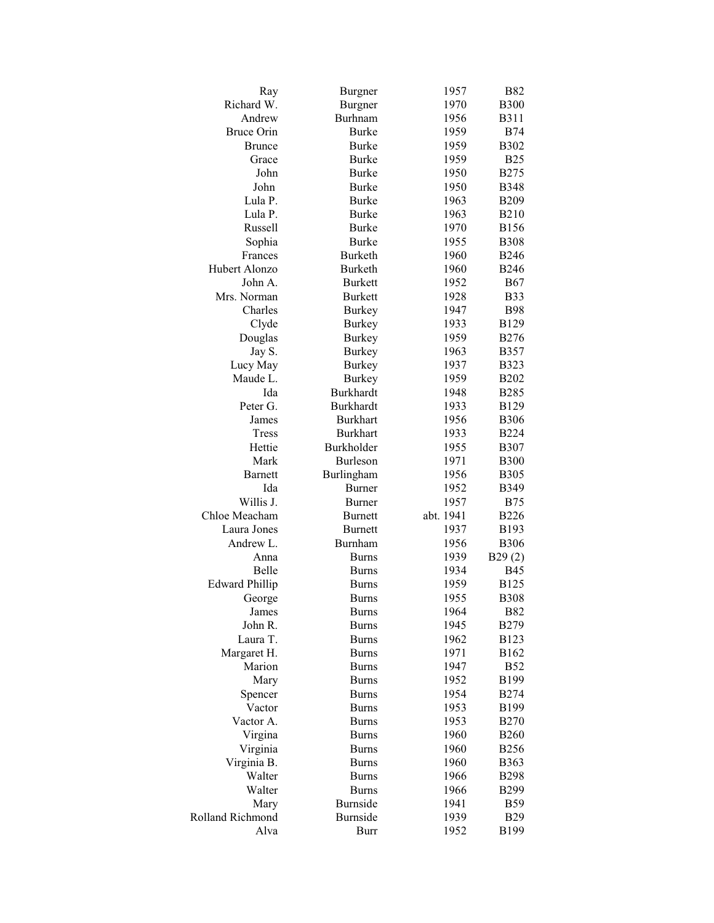| Ray                   | Burgner          | 1957      | <b>B82</b>   |
|-----------------------|------------------|-----------|--------------|
| Richard W.            | <b>Burgner</b>   | 1970      | <b>B300</b>  |
| Andrew                | <b>Burhnam</b>   | 1956      | <b>B311</b>  |
| <b>Bruce Orin</b>     | Burke            | 1959      | <b>B74</b>   |
| <b>Brunce</b>         | <b>Burke</b>     | 1959      | <b>B302</b>  |
| Grace                 | <b>Burke</b>     | 1959      | <b>B25</b>   |
| John                  | <b>Burke</b>     | 1950      | <b>B275</b>  |
| John                  | <b>Burke</b>     | 1950      | <b>B</b> 348 |
| Lula P.               | <b>Burke</b>     | 1963      | <b>B209</b>  |
| Lula P.               | <b>Burke</b>     | 1963      | <b>B210</b>  |
| Russell               | <b>Burke</b>     | 1970      | <b>B156</b>  |
| Sophia                | <b>Burke</b>     | 1955      | <b>B</b> 308 |
| Frances               | Burketh          | 1960      | <b>B246</b>  |
| Hubert Alonzo         | <b>Burketh</b>   | 1960      | <b>B246</b>  |
| John A.               | <b>Burkett</b>   | 1952      | <b>B67</b>   |
| Mrs. Norman           | <b>Burkett</b>   | 1928      | <b>B33</b>   |
| Charles               | <b>Burkey</b>    | 1947      | <b>B98</b>   |
| Clyde                 | <b>Burkey</b>    | 1933      | <b>B129</b>  |
| Douglas               | <b>Burkey</b>    | 1959      | <b>B276</b>  |
| Jay S.                | <b>Burkey</b>    | 1963      | <b>B357</b>  |
| Lucy May              | <b>Burkey</b>    | 1937      | <b>B323</b>  |
| Maude L.              | <b>Burkey</b>    | 1959      | <b>B202</b>  |
| Ida                   | <b>Burkhardt</b> | 1948      | <b>B285</b>  |
| Peter G.              | <b>Burkhardt</b> | 1933      | B129         |
| James                 | <b>Burkhart</b>  | 1956      | <b>B306</b>  |
| <b>Tress</b>          | <b>Burkhart</b>  | 1933      | <b>B224</b>  |
| Hettie                | Burkholder       | 1955      | <b>B307</b>  |
| Mark                  | <b>Burleson</b>  | 1971      | <b>B300</b>  |
| <b>Barnett</b>        | Burlingham       | 1956      | <b>B305</b>  |
| Ida                   | <b>Burner</b>    | 1952      | <b>B349</b>  |
| Willis J.             | <b>Burner</b>    | 1957      | <b>B75</b>   |
| Chloe Meacham         | <b>Burnett</b>   | abt. 1941 | <b>B226</b>  |
| Laura Jones           | <b>Burnett</b>   | 1937      | B193         |
| Andrew L.             | Burnham          | 1956      | <b>B306</b>  |
| Anna                  | <b>Burns</b>     | 1939      | B29(2)       |
| Belle                 | <b>Burns</b>     | 1934      | <b>B45</b>   |
| <b>Edward Phillip</b> | <b>Burns</b>     | 1959      | <b>B125</b>  |
| George                | <b>Burns</b>     | 1955      | <b>B308</b>  |
| James                 | <b>Burns</b>     | 1964      | <b>B82</b>   |
| John R.               | <b>Burns</b>     | 1945      | <b>B279</b>  |
| Laura T.              | <b>Burns</b>     | 1962      | B123         |
| Margaret H.           | <b>Burns</b>     | 1971      | B162         |
| Marion                | <b>Burns</b>     | 1947      | <b>B52</b>   |
| Mary                  | <b>Burns</b>     | 1952      | <b>B199</b>  |
| Spencer               | <b>Burns</b>     | 1954      | <b>B274</b>  |
| Vactor                | <b>Burns</b>     | 1953      | <b>B199</b>  |
| Vactor A.             | <b>Burns</b>     | 1953      | <b>B270</b>  |
| Virgina               | <b>Burns</b>     | 1960      | <b>B260</b>  |
| Virginia              | <b>Burns</b>     | 1960      | <b>B256</b>  |
| Virginia B.           | <b>Burns</b>     | 1960      | B363         |
| Walter                | <b>Burns</b>     | 1966      | <b>B298</b>  |
| Walter                | <b>Burns</b>     | 1966      | <b>B299</b>  |
| Mary                  | <b>Burnside</b>  | 1941      | <b>B59</b>   |
| Rolland Richmond      | <b>Burnside</b>  | 1939      | <b>B29</b>   |
| Alva                  | Burr             | 1952      | B199         |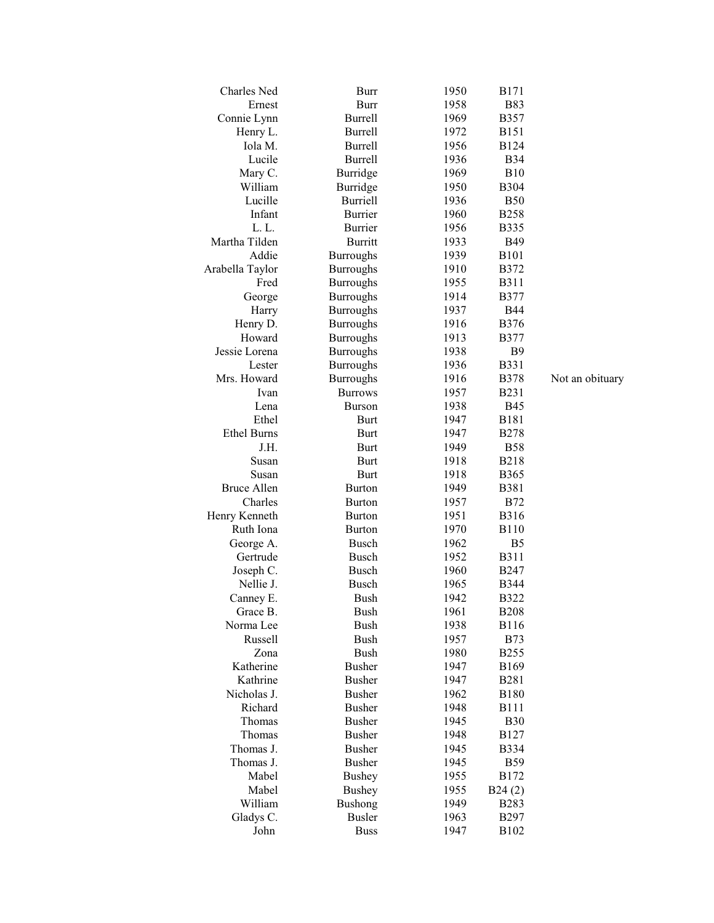| Charles Ned        | Burr             | 1950 | <b>B171</b>    |
|--------------------|------------------|------|----------------|
| Ernest             | <b>Burr</b>      | 1958 | <b>B83</b>     |
| Connie Lynn        | <b>Burrell</b>   | 1969 | <b>B357</b>    |
| Henry L.           | <b>Burrell</b>   | 1972 | <b>B151</b>    |
| Iola M.            | <b>Burrell</b>   | 1956 | <b>B124</b>    |
| Lucile             | <b>Burrell</b>   | 1936 | <b>B</b> 34    |
| Mary C.            | Burridge         | 1969 | <b>B10</b>     |
| William            | Burridge         | 1950 | <b>B</b> 304   |
| Lucille            | <b>Burriell</b>  | 1936 | <b>B50</b>     |
| Infant             | <b>Burrier</b>   | 1960 | <b>B258</b>    |
| L.L.               | <b>Burrier</b>   | 1956 | <b>B335</b>    |
| Martha Tilden      | <b>Burritt</b>   | 1933 | <b>B49</b>     |
| Addie              | <b>Burroughs</b> | 1939 | <b>B101</b>    |
| Arabella Taylor    | <b>Burroughs</b> | 1910 | <b>B372</b>    |
| Fred               | <b>Burroughs</b> | 1955 | <b>B311</b>    |
| George             | <b>Burroughs</b> | 1914 | <b>B377</b>    |
| Harry              | <b>Burroughs</b> | 1937 | <b>B44</b>     |
| Henry D.           |                  | 1916 | <b>B376</b>    |
| Howard             | <b>Burroughs</b> | 1913 | <b>B377</b>    |
|                    | <b>Burroughs</b> |      |                |
| Jessie Lorena      | <b>Burroughs</b> | 1938 | B <sub>9</sub> |
| Lester             | <b>Burroughs</b> | 1936 | <b>B331</b>    |
| Mrs. Howard        | <b>Burroughs</b> | 1916 | <b>B378</b>    |
| Ivan               | <b>Burrows</b>   | 1957 | <b>B231</b>    |
| Lena               | <b>Burson</b>    | 1938 | <b>B45</b>     |
| Ethel              | <b>Burt</b>      | 1947 | <b>B181</b>    |
| <b>Ethel Burns</b> | <b>Burt</b>      | 1947 | <b>B278</b>    |
| J.H.               | <b>Burt</b>      | 1949 | <b>B58</b>     |
| Susan              | <b>Burt</b>      | 1918 | <b>B218</b>    |
| Susan              | <b>Burt</b>      | 1918 | <b>B365</b>    |
| <b>Bruce Allen</b> | <b>Burton</b>    | 1949 | <b>B381</b>    |
| Charles            | <b>Burton</b>    | 1957 | <b>B72</b>     |
| Henry Kenneth      | <b>Burton</b>    | 1951 | <b>B316</b>    |
| Ruth Iona          | <b>Burton</b>    | 1970 | <b>B110</b>    |
| George A.          | <b>Busch</b>     | 1962 | B <sub>5</sub> |
| Gertrude           | <b>Busch</b>     | 1952 | <b>B311</b>    |
| Joseph C.          | <b>Busch</b>     | 1960 | <b>B247</b>    |
| Nellie J.          | <b>Busch</b>     | 1965 | <b>B344</b>    |
| Canney E.          | <b>Bush</b>      | 1942 | <b>B322</b>    |
| Grace B.           | <b>Bush</b>      | 1961 | <b>B208</b>    |
| Norma Lee          | <b>Bush</b>      | 1938 | <b>B116</b>    |
| Russell            | <b>Bush</b>      | 1957 | <b>B73</b>     |
| Zona               | <b>Bush</b>      | 1980 | <b>B255</b>    |
| Katherine          | <b>Busher</b>    | 1947 | <b>B169</b>    |
| Kathrine           | <b>Busher</b>    | 1947 | <b>B281</b>    |
| Nicholas J.        | <b>Busher</b>    | 1962 | <b>B180</b>    |
| Richard            | <b>Busher</b>    | 1948 | <b>B111</b>    |
| Thomas             | <b>Busher</b>    | 1945 | <b>B30</b>     |
| Thomas             | <b>Busher</b>    | 1948 | <b>B127</b>    |
| Thomas J.          | <b>Busher</b>    | 1945 | <b>B334</b>    |
| Thomas J.          | <b>Busher</b>    | 1945 | <b>B59</b>     |
| Mabel              | <b>Bushey</b>    | 1955 | <b>B172</b>    |
| Mabel              | <b>Bushey</b>    | 1955 | B24(2)         |
| William            | <b>Bushong</b>   | 1949 | <b>B283</b>    |
| Gladys C.          | <b>Busler</b>    | 1963 | <b>B297</b>    |
|                    |                  |      |                |
| John               | <b>Buss</b>      | 1947 | B102           |

8 Not an o bituary